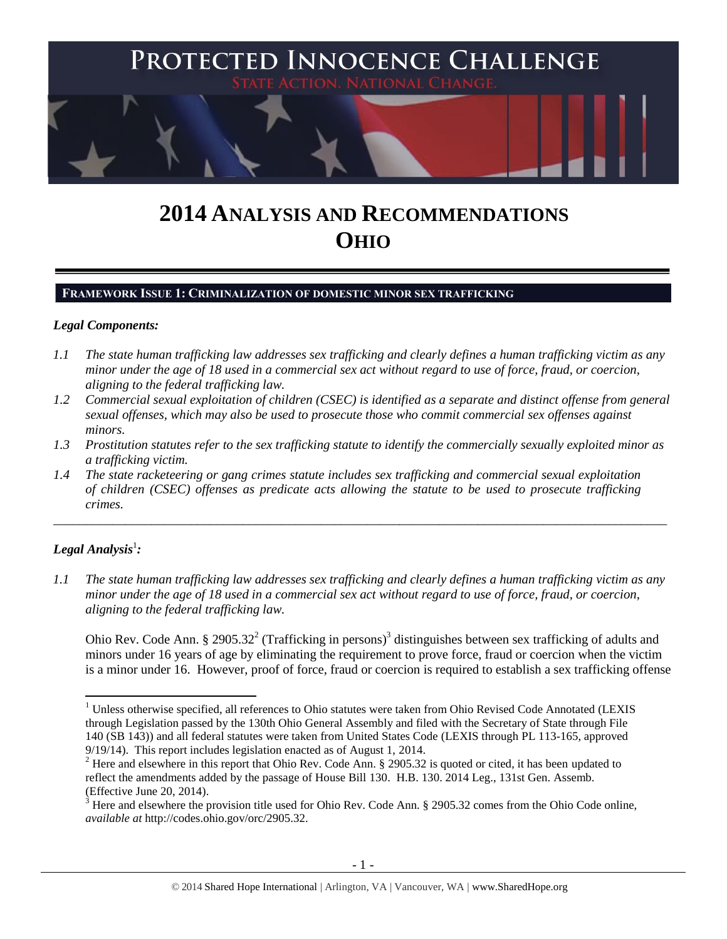

# **2014 ANALYSIS AND RECOMMENDATIONS OHIO**

## **FRAMEWORK ISSUE 1: CRIMINALIZATION OF DOMESTIC MINOR SEX TRAFFICKING**

#### *Legal Components:*

- *1.1 The state human trafficking law addresses sex trafficking and clearly defines a human trafficking victim as any minor under the age of 18 used in a commercial sex act without regard to use of force, fraud, or coercion, aligning to the federal trafficking law.*
- *1.2 Commercial sexual exploitation of children (CSEC) is identified as a separate and distinct offense from general sexual offenses, which may also be used to prosecute those who commit commercial sex offenses against minors.*
- *1.3 Prostitution statutes refer to the sex trafficking statute to identify the commercially sexually exploited minor as a trafficking victim.*

\_\_\_\_\_\_\_\_\_\_\_\_\_\_\_\_\_\_\_\_\_\_\_\_\_\_\_\_\_\_\_\_\_\_\_\_\_\_\_\_\_\_\_\_\_\_\_\_\_\_\_\_\_\_\_\_\_\_\_\_\_\_\_\_\_\_\_\_\_\_\_\_\_\_\_\_\_\_\_\_\_\_\_\_\_\_\_\_\_\_\_\_\_\_

*1.4 The state racketeering or gang crimes statute includes sex trafficking and commercial sexual exploitation of children (CSEC) offenses as predicate acts allowing the statute to be used to prosecute trafficking crimes.* 

# $\bm{L}$ egal Analysis $^1$ :

l

*1.1 The state human trafficking law addresses sex trafficking and clearly defines a human trafficking victim as any minor under the age of 18 used in a commercial sex act without regard to use of force, fraud, or coercion, aligning to the federal trafficking law.*

<span id="page-0-0"></span>Ohio Rev. Code Ann. § 2905.32<sup>2</sup> (Trafficking in persons)<sup>3</sup> distinguishes between sex trafficking of adults and minors under 16 years of age by eliminating the requirement to prove force, fraud or coercion when the victim is a minor under 16. However, proof of force, fraud or coercion is required to establish a sex trafficking offense

 $1$  Unless otherwise specified, all references to Ohio statutes were taken from Ohio Revised Code Annotated (LEXIS through Legislation passed by the 130th Ohio General Assembly and filed with the Secretary of State through File 140 (SB 143)) and all federal statutes were taken from United States Code (LEXIS through PL 113-165, approved 9/19/14). This report includes legislation enacted as of August 1, 2014.

<sup>&</sup>lt;sup>2</sup> Here and elsewhere in this report that Ohio Rev. Code Ann. § 2905.32 is quoted or cited, it has been updated to reflect the amendments added by the passage of House Bill 130. H.B. 130. 2014 Leg., 131st Gen. Assemb. (Effective June 20, 2014).

 $3$  Here and elsewhere the provision title used for Ohio Rev. Code Ann. § 2905.32 comes from the Ohio Code online, *available at* http://codes.ohio.gov/orc/2905.32.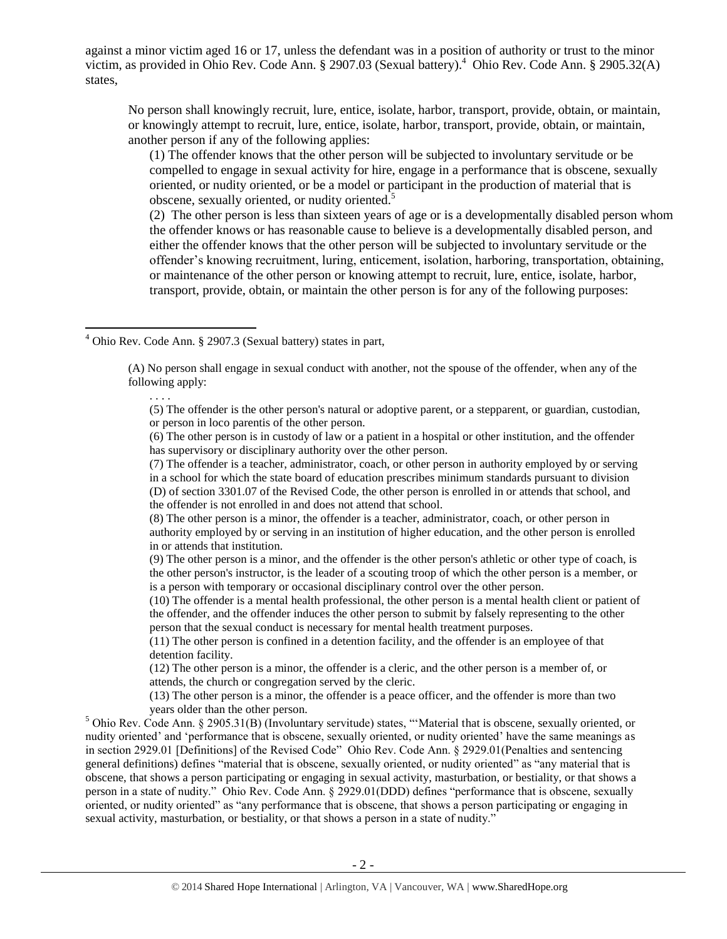against a minor victim aged 16 or 17, unless the defendant was in a position of authority or trust to the minor victim, as provided in Ohio Rev. Code Ann. § 2907.03 (Sexual battery).<sup>4</sup> Ohio Rev. Code Ann. § 2905.32(A) states,

No person shall knowingly recruit, lure, entice, isolate, harbor, transport, provide, obtain, or maintain, or knowingly attempt to recruit, lure, entice, isolate, harbor, transport, provide, obtain, or maintain, another person if any of the following applies:

<span id="page-1-0"></span>(1) The offender knows that the other person will be subjected to involuntary servitude or be compelled to engage in sexual activity for hire, engage in a performance that is obscene, sexually oriented, or nudity oriented, or be a model or participant in the production of material that is obscene, sexually oriented, or nudity oriented.<sup>5</sup>

(2) The other person is less than sixteen years of age or is a developmentally disabled person whom the offender knows or has reasonable cause to believe is a developmentally disabled person, and either the offender knows that the other person will be subjected to involuntary servitude or the offender's knowing recruitment, luring, enticement, isolation, harboring, transportation, obtaining, or maintenance of the other person or knowing attempt to recruit, lure, entice, isolate, harbor, transport, provide, obtain, or maintain the other person is for any of the following purposes:

 $4$  Ohio Rev. Code Ann. § 2907.3 (Sexual battery) states in part,

. . . .

 $\overline{\phantom{a}}$ 

(A) No person shall engage in sexual conduct with another, not the spouse of the offender, when any of the following apply:

(5) The offender is the other person's natural or adoptive parent, or a stepparent, or guardian, custodian, or person in loco parentis of the other person.

(6) The other person is in custody of law or a patient in a hospital or other institution, and the offender has supervisory or disciplinary authority over the other person.

(7) The offender is a teacher, administrator, coach, or other person in authority employed by or serving in a school for which the state board of education prescribes minimum standards pursuant to division (D) of section 3301.07 of the Revised Code, the other person is enrolled in or attends that school, and the offender is not enrolled in and does not attend that school.

(8) The other person is a minor, the offender is a teacher, administrator, coach, or other person in authority employed by or serving in an institution of higher education, and the other person is enrolled in or attends that institution.

(9) The other person is a minor, and the offender is the other person's athletic or other type of coach, is the other person's instructor, is the leader of a scouting troop of which the other person is a member, or is a person with temporary or occasional disciplinary control over the other person.

(10) The offender is a mental health professional, the other person is a mental health client or patient of the offender, and the offender induces the other person to submit by falsely representing to the other person that the sexual conduct is necessary for mental health treatment purposes.

(11) The other person is confined in a detention facility, and the offender is an employee of that detention facility.

(12) The other person is a minor, the offender is a cleric, and the other person is a member of, or attends, the church or congregation served by the cleric.

(13) The other person is a minor, the offender is a peace officer, and the offender is more than two years older than the other person.

<sup>5</sup> Ohio Rev. Code Ann. § 2905.31(B) (Involuntary servitude) states, "'Material that is obscene, sexually oriented, or nudity oriented' and 'performance that is obscene, sexually oriented, or nudity oriented' have the same meanings as in section 2929.01 [Definitions] of the Revised Code" Ohio Rev. Code Ann. § 2929.01(Penalties and sentencing general definitions) defines "material that is obscene, sexually oriented, or nudity oriented" as "any material that is obscene, that shows a person participating or engaging in sexual activity, masturbation, or bestiality, or that shows a person in a state of nudity." Ohio Rev. Code Ann. § 2929.01(DDD) defines "performance that is obscene, sexually oriented, or nudity oriented" as "any performance that is obscene, that shows a person participating or engaging in sexual activity, masturbation, or bestiality, or that shows a person in a state of nudity."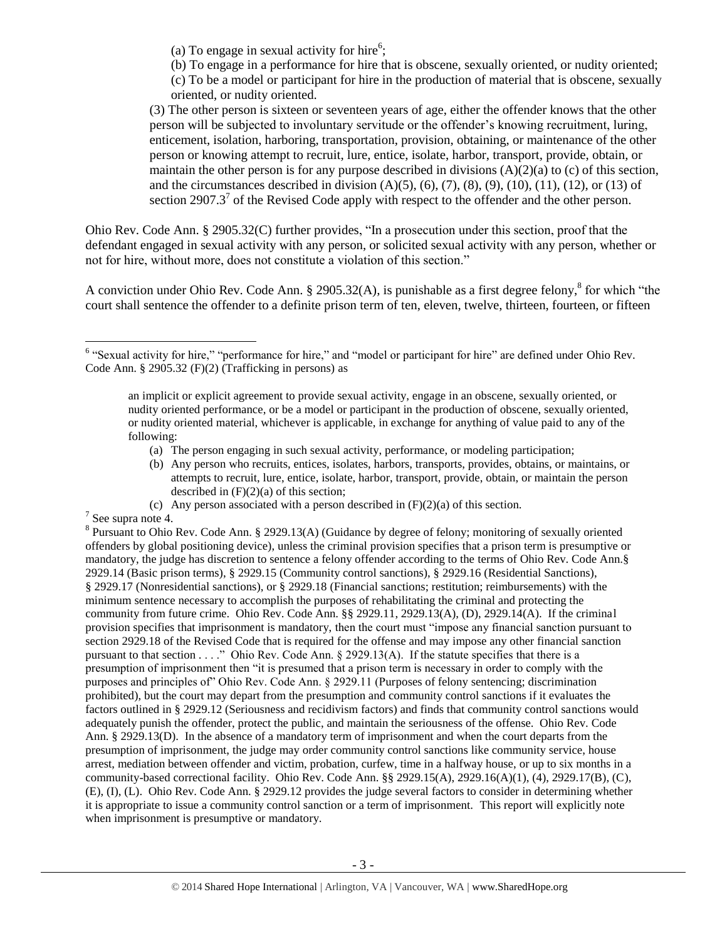(a) To engage in sexual activity for hire<sup>6</sup>;

(b) To engage in a performance for hire that is obscene, sexually oriented, or nudity oriented;

(c) To be a model or participant for hire in the production of material that is obscene, sexually oriented, or nudity oriented.

(3) The other person is sixteen or seventeen years of age, either the offender knows that the other person will be subjected to involuntary servitude or the offender's knowing recruitment, luring, enticement, isolation, harboring, transportation, provision, obtaining, or maintenance of the other person or knowing attempt to recruit, lure, entice, isolate, harbor, transport, provide, obtain, or maintain the other person is for any purpose described in divisions (A)(2)(a) to (c) of this section, and the circumstances described in division  $(A)(5)$ ,  $(6)$ ,  $(7)$ ,  $(8)$ ,  $(9)$ ,  $(10)$ ,  $(11)$ ,  $(12)$ , or  $(13)$  of section 2907.3<sup>7</sup> of the Revised Code apply with respect to the offender and the other person.

Ohio Rev. Code Ann. § 2905.32(C) further provides, "In a prosecution under this section, proof that the defendant engaged in sexual activity with any person, or solicited sexual activity with any person, whether or not for hire, without more, does not constitute a violation of this section."

A conviction under Ohio Rev. Code Ann. § 2905.32(A), is punishable as a first degree felony,<sup>8</sup> for which "the court shall sentence the offender to a definite prison term of ten, eleven, twelve, thirteen, fourteen, or fifteen

- (a) The person engaging in such sexual activity, performance, or modeling participation;
- (b) Any person who recruits, entices, isolates, harbors, transports, provides, obtains, or maintains, or attempts to recruit, lure, entice, isolate, harbor, transport, provide, obtain, or maintain the person described in (F)(2)(a) of this section;
- (c) Any person associated with a person described in  $(F)(2)(a)$  of this section.

<sup>8</sup> Pursuant to Ohio Rev. Code Ann. § 2929.13(A) (Guidance by degree of felony; monitoring of sexually oriented offenders by global positioning device), unless the criminal provision specifies that a prison term is presumptive or mandatory, the judge has discretion to sentence a felony offender according to the terms of Ohio Rev. Code Ann.§ 2929.14 (Basic prison terms), § 2929.15 (Community control sanctions), § 2929.16 (Residential Sanctions), § 2929.17 (Nonresidential sanctions), or § 2929.18 (Financial sanctions; restitution; reimbursements) with the minimum sentence necessary to accomplish the purposes of rehabilitating the criminal and protecting the community from future crime. Ohio Rev. Code Ann. §§ 2929.11, 2929.13(A), (D), 2929.14(A). If the criminal provision specifies that imprisonment is mandatory, then the court must "impose any financial sanction pursuant to section 2929.18 of the Revised Code that is required for the offense and may impose any other financial sanction pursuant to that section . . . ." Ohio Rev. Code Ann. § 2929.13(A). If the statute specifies that there is a presumption of imprisonment then "it is presumed that a prison term is necessary in order to comply with the purposes and principles of" Ohio Rev. Code Ann. § 2929.11 (Purposes of felony sentencing; discrimination prohibited), but the court may depart from the presumption and community control sanctions if it evaluates the factors outlined in § 2929.12 (Seriousness and recidivism factors) and finds that community control sanctions would adequately punish the offender, protect the public, and maintain the seriousness of the offense. Ohio Rev. Code Ann. § 2929.13(D). In the absence of a mandatory term of imprisonment and when the court departs from the presumption of imprisonment, the judge may order community control sanctions like community service, house arrest, mediation between offender and victim, probation, curfew, time in a halfway house, or up to six months in a community-based correctional facility. Ohio Rev. Code Ann. §§ 2929.15(A), 2929.16(A)(1), (4), 2929.17(B), (C), (E), (I), (L). Ohio Rev. Code Ann. § 2929.12 provides the judge several factors to consider in determining whether it is appropriate to issue a community control sanction or a term of imprisonment. This report will explicitly note when imprisonment is presumptive or mandatory.

<sup>&</sup>lt;sup>6</sup> "Sexual activity for hire," "performance for hire," and "model or participant for hire" are defined under Ohio Rev. Code Ann. § 2905.32 (F)(2) (Trafficking in persons) as

an implicit or explicit agreement to provide sexual activity, engage in an obscene, sexually oriented, or nudity oriented performance, or be a model or participant in the production of obscene, sexually oriented, or nudity oriented material, whichever is applicable, in exchange for anything of value paid to any of the following:

<sup>&</sup>lt;sup>7</sup> See supra note [4.](#page-1-0)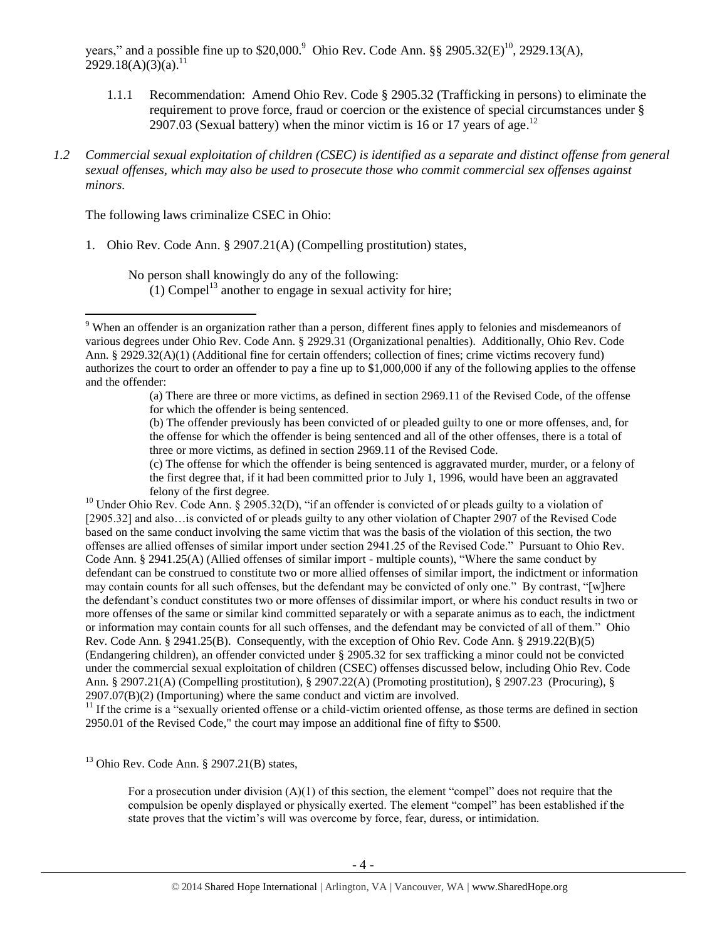years," and a possible fine up to  $$20,000$ . Ohio Rev. Code Ann. §§ 2905.32(E)<sup>10</sup>, 2929.13(A),  $2929.18(A)(3)(a)^{11}$ 

- 1.1.1 Recommendation: Amend Ohio Rev. Code § 2905.32 (Trafficking in persons) to eliminate the requirement to prove force, fraud or coercion or the existence of special circumstances under § 2907.03 (Sexual battery) when the minor victim is 16 or 17 years of age.<sup>12</sup>
- *1.2 Commercial sexual exploitation of children (CSEC) is identified as a separate and distinct offense from general sexual offenses, which may also be used to prosecute those who commit commercial sex offenses against minors.*

The following laws criminalize CSEC in Ohio:

 $\overline{\phantom{a}}$ 

1. Ohio Rev. Code Ann. § 2907.21(A) (Compelling prostitution) states,

No person shall knowingly do any of the following:  $(1)$  Compel<sup>13</sup> another to engage in sexual activity for hire;

(a) There are three or more victims, as defined in section 2969.11 of the Revised Code, of the offense for which the offender is being sentenced.

(b) The offender previously has been convicted of or pleaded guilty to one or more offenses, and, for the offense for which the offender is being sentenced and all of the other offenses, there is a total of three or more victims, as defined in section 2969.11 of the Revised Code.

(c) The offense for which the offender is being sentenced is aggravated murder, murder, or a felony of the first degree that, if it had been committed prior to July 1, 1996, would have been an aggravated felony of the first degree.

<sup>10</sup> Under Ohio Rev. Code Ann. § 2905.32(D), "if an offender is convicted of or pleads guilty to a violation of [2905.32] and also…is convicted of or pleads guilty to any other violation of Chapter 2907 of the Revised Code based on the same conduct involving the same victim that was the basis of the violation of this section, the two offenses are allied offenses of similar import under section 2941.25 of the Revised Code." Pursuant to Ohio Rev. Code Ann. § 2941.25(A) (Allied offenses of similar import - multiple counts), "Where the same conduct by defendant can be construed to constitute two or more allied offenses of similar import, the indictment or information may contain counts for all such offenses, but the defendant may be convicted of only one." By contrast, "[w]here the defendant's conduct constitutes two or more offenses of dissimilar import, or where his conduct results in two or more offenses of the same or similar kind committed separately or with a separate animus as to each, the indictment or information may contain counts for all such offenses, and the defendant may be convicted of all of them." Ohio Rev. Code Ann. § 2941.25(B). Consequently, with the exception of Ohio Rev. Code Ann. § 2919.22(B)(5) (Endangering children), an offender convicted under § 2905.32 for sex trafficking a minor could not be convicted under the commercial sexual exploitation of children (CSEC) offenses discussed below, including Ohio Rev. Code Ann. § 2907.21(A) (Compelling prostitution), § 2907.22(A) (Promoting prostitution), § 2907.23 (Procuring), § 2907.07(B)(2) (Importuning) where the same conduct and victim are involved.

 $11$  If the crime is a "sexually oriented offense or a child-victim oriented offense, as those terms are defined in section 2950.01 of the Revised Code," the court may impose an additional fine of fifty to \$500.

 $13$  Ohio Rev. Code Ann. § 2907.21(B) states,

For a prosecution under division  $(A)(1)$  of this section, the element "compel" does not require that the compulsion be openly displayed or physically exerted. The element "compel" has been established if the state proves that the victim's will was overcome by force, fear, duress, or intimidation.

<sup>9</sup> When an offender is an organization rather than a person, different fines apply to felonies and misdemeanors of various degrees under Ohio Rev. Code Ann. § 2929.31 (Organizational penalties). Additionally, Ohio Rev. Code Ann. § 2929.32(A)(1) (Additional fine for certain offenders; collection of fines; crime victims recovery fund) authorizes the court to order an offender to pay a fine up to \$1,000,000 if any of the following applies to the offense and the offender: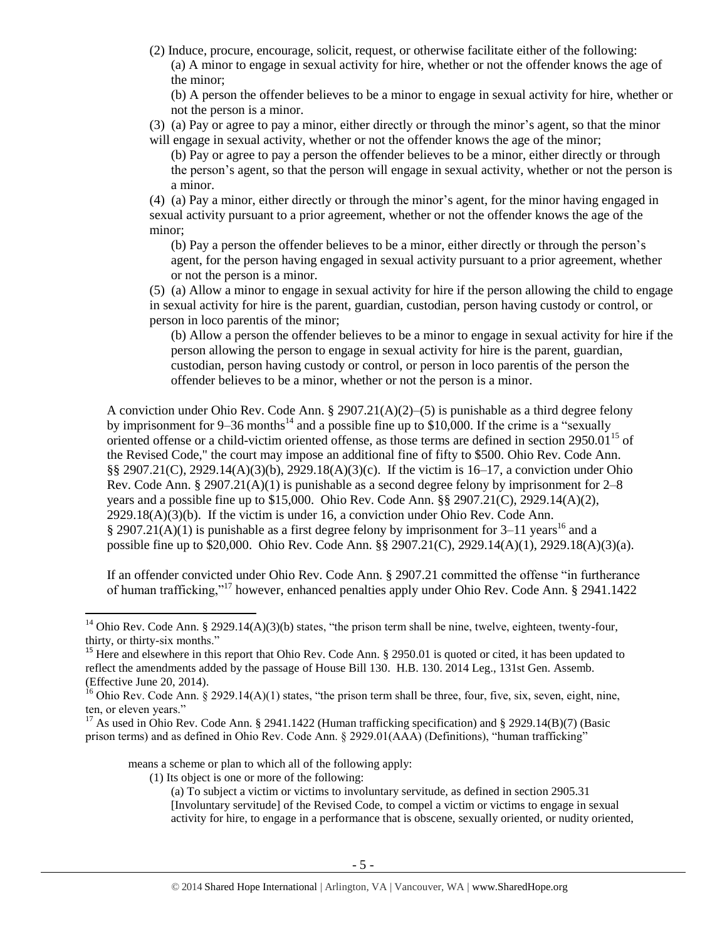(2) Induce, procure, encourage, solicit, request, or otherwise facilitate either of the following: (a) A minor to engage in sexual activity for hire, whether or not the offender knows the age of the minor;

(b) A person the offender believes to be a minor to engage in sexual activity for hire, whether or not the person is a minor.

(3) (a) Pay or agree to pay a minor, either directly or through the minor's agent, so that the minor will engage in sexual activity, whether or not the offender knows the age of the minor;

(b) Pay or agree to pay a person the offender believes to be a minor, either directly or through the person's agent, so that the person will engage in sexual activity, whether or not the person is a minor.

(4) (a) Pay a minor, either directly or through the minor's agent, for the minor having engaged in sexual activity pursuant to a prior agreement, whether or not the offender knows the age of the minor;

(b) Pay a person the offender believes to be a minor, either directly or through the person's agent, for the person having engaged in sexual activity pursuant to a prior agreement, whether or not the person is a minor.

(5) (a) Allow a minor to engage in sexual activity for hire if the person allowing the child to engage in sexual activity for hire is the parent, guardian, custodian, person having custody or control, or person in loco parentis of the minor;

<span id="page-4-2"></span><span id="page-4-1"></span><span id="page-4-0"></span>(b) Allow a person the offender believes to be a minor to engage in sexual activity for hire if the person allowing the person to engage in sexual activity for hire is the parent, guardian, custodian, person having custody or control, or person in loco parentis of the person the offender believes to be a minor, whether or not the person is a minor.

A conviction under Ohio Rev. Code Ann.  $\S 2907.21(A)(2)$ –(5) is punishable as a third degree felony by imprisonment for 9–36 months<sup>14</sup> and a possible fine up to \$10,000. If the crime is a "sexually oriented offense or a child-victim oriented offense, as those terms are defined in section  $2950.01^{15}$  of the Revised Code," the court may impose an additional fine of fifty to \$500. Ohio Rev. Code Ann. §§ 2907.21(C), 2929.14(A)(3)(b), 2929.18(A)(3)(c). If the victim is 16–17, a conviction under Ohio Rev. Code Ann. § 2907.21(A)(1) is punishable as a second degree felony by imprisonment for  $2-8$ years and a possible fine up to \$15,000. Ohio Rev. Code Ann. §§ 2907.21(C), 2929.14(A)(2),  $2929.18(A)(3)(b)$ . If the victim is under 16, a conviction under Ohio Rev. Code Ann. § 2907.21(A)(1) is punishable as a first degree felony by imprisonment for 3–11 years<sup>16</sup> and a possible fine up to \$20,000. Ohio Rev. Code Ann. §§ 2907.21(C), 2929.14(A)(1), 2929.18(A)(3)(a).

<span id="page-4-3"></span>If an offender convicted under Ohio Rev. Code Ann. § 2907.21 committed the offense "in furtherance of human trafficking,"<sup>17</sup> however, enhanced penalties apply under Ohio Rev. Code Ann. § 2941.1422

means a scheme or plan to which all of the following apply:

(1) Its object is one or more of the following:

 $\overline{\phantom{a}}$ 

(a) To subject a victim or victims to involuntary servitude, as defined in section 2905.31 [Involuntary servitude] of the Revised Code, to compel a victim or victims to engage in sexual activity for hire, to engage in a performance that is obscene, sexually oriented, or nudity oriented,

<sup>&</sup>lt;sup>14</sup> Ohio Rev. Code Ann. § 2929.14(A)(3)(b) states, "the prison term shall be nine, twelve, eighteen, twenty-four, thirty, or thirty-six months."

<sup>&</sup>lt;sup>15</sup> Here and elsewhere in this report that Ohio Rev. Code Ann. § 2950.01 is quoted or cited, it has been updated to reflect the amendments added by the passage of House Bill 130. H.B. 130. 2014 Leg., 131st Gen. Assemb. (Effective June 20, 2014).

<sup>&</sup>lt;sup>16</sup> Ohio Rev. Code Ann. § 2929.14(A)(1) states, "the prison term shall be three, four, five, six, seven, eight, nine, ten, or eleven years."

<sup>&</sup>lt;sup>17</sup> As used in Ohio Rev. Code Ann. § 2941.1422 (Human trafficking specification) and § 2929.14(B)(7) (Basic prison terms) and as defined in Ohio Rev. Code Ann. § 2929.01(AAA) (Definitions), "human trafficking"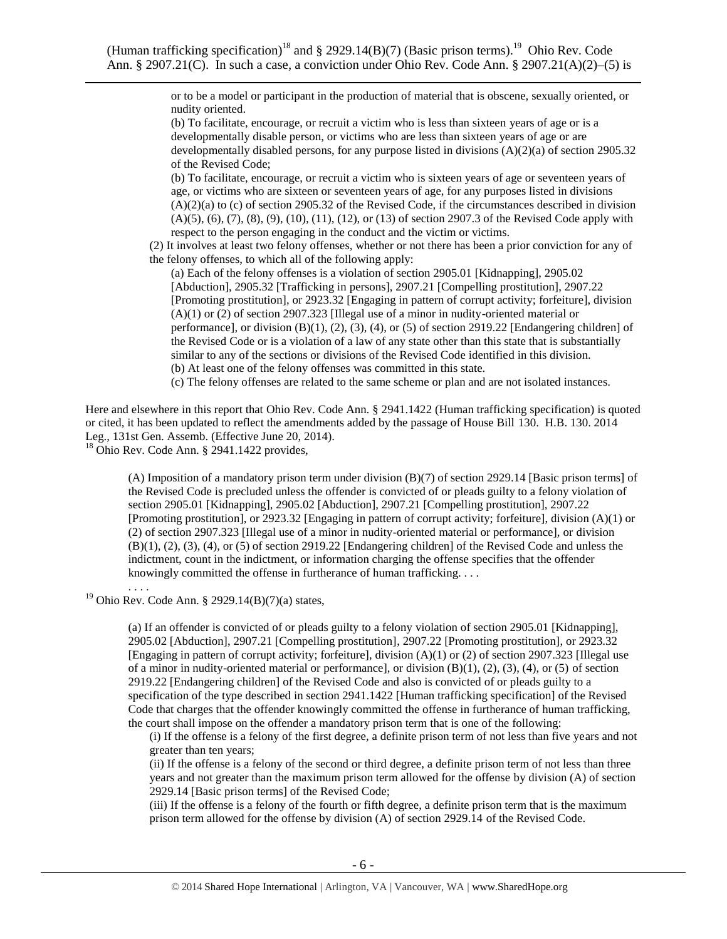or to be a model or participant in the production of material that is obscene, sexually oriented, or nudity oriented.

(b) To facilitate, encourage, or recruit a victim who is less than sixteen years of age or is a developmentally disable person, or victims who are less than sixteen years of age or are developmentally disabled persons, for any purpose listed in divisions (A)(2)(a) of section 2905.32 of the Revised Code;

(b) To facilitate, encourage, or recruit a victim who is sixteen years of age or seventeen years of age, or victims who are sixteen or seventeen years of age, for any purposes listed in divisions (A)(2)(a) to (c) of section 2905.32 of the Revised Code, if the circumstances described in division (A)(5), (6), (7), (8), (9), (10), (11), (12), or (13) of section 2907.3 of the Revised Code apply with respect to the person engaging in the conduct and the victim or victims.

(2) It involves at least two felony offenses, whether or not there has been a prior conviction for any of the felony offenses, to which all of the following apply:

(a) Each of the felony offenses is a violation of section 2905.01 [Kidnapping], 2905.02 [Abduction], 2905.32 [Trafficking in persons], 2907.21 [Compelling prostitution], 2907.22 [Promoting prostitution], or 2923.32 [Engaging in pattern of corrupt activity; forfeiture], division (A)(1) or (2) of section 2907.323 [Illegal use of a minor in nudity-oriented material or performance], or division  $(B)(1)$ ,  $(2)$ ,  $(3)$ ,  $(4)$ , or  $(5)$  of section 2919.22 [Endangering children] of the Revised Code or is a violation of a law of any state other than this state that is substantially similar to any of the sections or divisions of the Revised Code identified in this division. (b) At least one of the felony offenses was committed in this state.

(c) The felony offenses are related to the same scheme or plan and are not isolated instances.

Here and elsewhere in this report that Ohio Rev. Code Ann. § 2941.1422 (Human trafficking specification) is quoted or cited, it has been updated to reflect the amendments added by the passage of House Bill 130. H.B. 130. 2014 Leg., 131st Gen. Assemb. (Effective June 20, 2014).

<sup>18</sup> Ohio Rev. Code Ann. § 2941.1422 provides,

l

(A) Imposition of a mandatory prison term under division (B)(7) of section 2929.14 [Basic prison terms] of the Revised Code is precluded unless the offender is convicted of or pleads guilty to a felony violation of section 2905.01 [Kidnapping], 2905.02 [Abduction], 2907.21 [Compelling prostitution], 2907.22 [Promoting prostitution], or 2923.32 [Engaging in pattern of corrupt activity; forfeiture], division (A)(1) or (2) of section 2907.323 [Illegal use of a minor in nudity-oriented material or performance], or division (B)(1), (2), (3), (4), or (5) of section 2919.22 [Endangering children] of the Revised Code and unless the indictment, count in the indictment, or information charging the offense specifies that the offender knowingly committed the offense in furtherance of human trafficking. . . .

. . . . <sup>19</sup> Ohio Rev. Code Ann. § 2929.14(B)(7)(a) states,

> (a) If an offender is convicted of or pleads guilty to a felony violation of section 2905.01 [Kidnapping], 2905.02 [Abduction], 2907.21 [Compelling prostitution], 2907.22 [Promoting prostitution], or 2923.32 [Engaging in pattern of corrupt activity; forfeiture], division (A)(1) or (2) of section 2907.323 [Illegal use of a minor in nudity-oriented material or performance], or division  $(B)(1)$ ,  $(2)$ ,  $(3)$ ,  $(4)$ , or  $(5)$  of section 2919.22 [Endangering children] of the Revised Code and also is convicted of or pleads guilty to a specification of the type described in section 2941.1422 [Human trafficking specification] of the Revised Code that charges that the offender knowingly committed the offense in furtherance of human trafficking, the court shall impose on the offender a mandatory prison term that is one of the following:

(i) If the offense is a felony of the first degree, a definite prison term of not less than five years and not greater than ten years;

(ii) If the offense is a felony of the second or third degree, a definite prison term of not less than three years and not greater than the maximum prison term allowed for the offense by division (A) of section 2929.14 [Basic prison terms] of the Revised Code;

(iii) If the offense is a felony of the fourth or fifth degree, a definite prison term that is the maximum prison term allowed for the offense by division (A) of section 2929.14 of the Revised Code.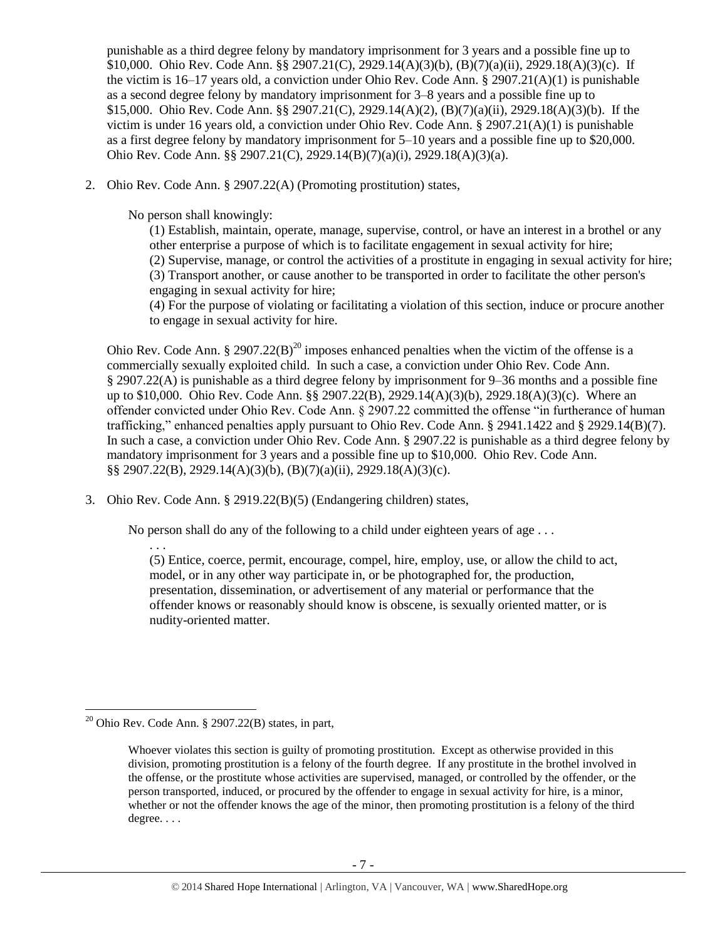punishable as a third degree felony by mandatory imprisonment for 3 years and a possible fine up to \$10,000. Ohio Rev. Code Ann. §§ 2907.21(C), 2929.14(A)(3)(b), (B)(7)(a)(ii), 2929.18(A)(3)(c). If the victim is 16–17 years old, a conviction under Ohio Rev. Code Ann.  $\S 2907.21(A)(1)$  is punishable as a second degree felony by mandatory imprisonment for 3–8 years and a possible fine up to \$15,000. Ohio Rev. Code Ann. §§ 2907.21(C), 2929.14(A)(2), (B)(7)(a)(ii), 2929.18(A)(3)(b). If the victim is under 16 years old, a conviction under Ohio Rev. Code Ann. § 2907.21(A)(1) is punishable as a first degree felony by mandatory imprisonment for 5–10 years and a possible fine up to \$20,000. Ohio Rev. Code Ann. §§ 2907.21(C), 2929.14(B)(7)(a)(i), 2929.18(A)(3)(a).

2. Ohio Rev. Code Ann. § 2907.22(A) (Promoting prostitution) states,

No person shall knowingly:

(1) Establish, maintain, operate, manage, supervise, control, or have an interest in a brothel or any other enterprise a purpose of which is to facilitate engagement in sexual activity for hire; (2) Supervise, manage, or control the activities of a prostitute in engaging in sexual activity for hire; (3) Transport another, or cause another to be transported in order to facilitate the other person's engaging in sexual activity for hire;

<span id="page-6-0"></span>(4) For the purpose of violating or facilitating a violation of this section, induce or procure another to engage in sexual activity for hire.

Ohio Rev. Code Ann. § 2907.22(B)<sup>20</sup> imposes enhanced penalties when the victim of the offense is a commercially sexually exploited child. In such a case, a conviction under Ohio Rev. Code Ann. § 2907.22(A) is punishable as a third degree felony by imprisonment for 9–36 months and a possible fine up to \$10,000. Ohio Rev. Code Ann. §§ 2907.22(B), 2929.14(A)(3)(b), 2929.18(A)(3)(c). Where an offender convicted under Ohio Rev. Code Ann. § 2907.22 committed the offense "in furtherance of human trafficking," enhanced penalties apply pursuant to Ohio Rev. Code Ann. § 2941.1422 and § 2929.14(B)(7). In such a case, a conviction under Ohio Rev. Code Ann. § 2907.22 is punishable as a third degree felony by mandatory imprisonment for 3 years and a possible fine up to \$10,000. Ohio Rev. Code Ann. §§ 2907.22(B), 2929.14(A)(3)(b), (B)(7)(a)(ii), 2929.18(A)(3)(c).

3. Ohio Rev. Code Ann. § 2919.22(B)(5) (Endangering children) states,

No person shall do any of the following to a child under eighteen years of age . . .

(5) Entice, coerce, permit, encourage, compel, hire, employ, use, or allow the child to act, model, or in any other way participate in, or be photographed for, the production, presentation, dissemination, or advertisement of any material or performance that the offender knows or reasonably should know is obscene, is sexually oriented matter, or is nudity-oriented matter.

. . .

 $\overline{a}$  $^{20}$  Ohio Rev. Code Ann. § 2907.22(B) states, in part,

Whoever violates this section is guilty of promoting prostitution. Except as otherwise provided in this division, promoting prostitution is a felony of the fourth degree. If any prostitute in the brothel involved in the offense, or the prostitute whose activities are supervised, managed, or controlled by the offender, or the person transported, induced, or procured by the offender to engage in sexual activity for hire, is a minor, whether or not the offender knows the age of the minor, then promoting prostitution is a felony of the third degree. . . .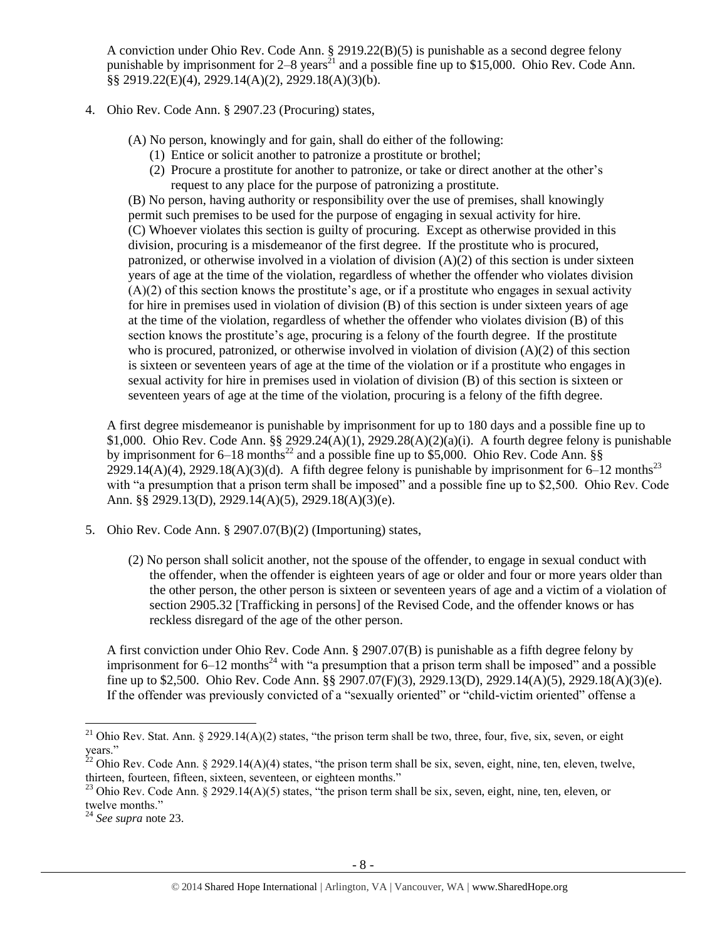A conviction under Ohio Rev. Code Ann. § 2919.22(B)(5) is punishable as a second degree felony punishable by imprisonment for  $2-8$  years<sup>21</sup> and a possible fine up to \$15,000. Ohio Rev. Code Ann. §§ 2919.22(E)(4), 2929.14(A)(2), 2929.18(A)(3)(b).

4. Ohio Rev. Code Ann. § 2907.23 (Procuring) states,

(A) No person, knowingly and for gain, shall do either of the following:

- <span id="page-7-2"></span>(1) Entice or solicit another to patronize a prostitute or brothel;
- (2) Procure a prostitute for another to patronize, or take or direct another at the other's request to any place for the purpose of patronizing a prostitute.

(B) No person, having authority or responsibility over the use of premises, shall knowingly permit such premises to be used for the purpose of engaging in sexual activity for hire. (C) Whoever violates this section is guilty of procuring. Except as otherwise provided in this division, procuring is a misdemeanor of the first degree. If the prostitute who is procured, patronized, or otherwise involved in a violation of division  $(A)(2)$  of this section is under sixteen years of age at the time of the violation, regardless of whether the offender who violates division (A)(2) of this section knows the prostitute's age, or if a prostitute who engages in sexual activity for hire in premises used in violation of division (B) of this section is under sixteen years of age at the time of the violation, regardless of whether the offender who violates division (B) of this section knows the prostitute's age, procuring is a felony of the fourth degree. If the prostitute who is procured, patronized, or otherwise involved in violation of division (A)(2) of this section is sixteen or seventeen years of age at the time of the violation or if a prostitute who engages in sexual activity for hire in premises used in violation of division (B) of this section is sixteen or seventeen years of age at the time of the violation, procuring is a felony of the fifth degree.

<span id="page-7-1"></span><span id="page-7-0"></span>A first degree misdemeanor is punishable by imprisonment for up to 180 days and a possible fine up to \$1,000. Ohio Rev. Code Ann. §§ 2929.24(A)(1), 2929.28(A)(2)(a)(i). A fourth degree felony is punishable by imprisonment for  $6-18$  months<sup>22</sup> and a possible fine up to \$5,000. Ohio Rev. Code Ann. §§  $2929.14(A)(4)$ ,  $2929.18(A)(3)(d)$ . A fifth degree felony is punishable by imprisonment for 6–12 months<sup>23</sup> with "a presumption that a prison term shall be imposed" and a possible fine up to \$2,500. Ohio Rev. Code Ann. §§ 2929.13(D), 2929.14(A)(5), 2929.18(A)(3)(e).

- 5. Ohio Rev. Code Ann. § 2907.07(B)(2) (Importuning) states,
	- (2) No person shall solicit another, not the spouse of the offender, to engage in sexual conduct with the offender, when the offender is eighteen years of age or older and four or more years older than the other person, the other person is sixteen or seventeen years of age and a victim of a violation of section 2905.32 [Trafficking in persons] of the Revised Code, and the offender knows or has reckless disregard of the age of the other person.

A first conviction under Ohio Rev. Code Ann. § 2907.07(B) is punishable as a fifth degree felony by imprisonment for  $6-12$  months<sup>24</sup> with "a presumption that a prison term shall be imposed" and a possible fine up to \$2,500. Ohio Rev. Code Ann. §§ 2907.07(F)(3), 2929.13(D), 2929.14(A)(5), 2929.18(A)(3)(e). If the offender was previously convicted of a "sexually oriented" or "child-victim oriented" offense a

 $\overline{\phantom{a}}$ <sup>21</sup> Ohio Rev. Stat. Ann. § 2929.14(A)(2) states, "the prison term shall be two, three, four, five, six, seven, or eight years."

 $^{22}$  Ohio Rev. Code Ann. § 2929.14(A)(4) states, "the prison term shall be six, seven, eight, nine, ten, eleven, twelve, thirteen, fourteen, fifteen, sixteen, seventeen, or eighteen months."

<sup>&</sup>lt;sup>23</sup> Ohio Rev. Code Ann. § 2929.14(A)(5) states, "the prison term shall be six, seven, eight, nine, ten, eleven, or twelve months."

<sup>24</sup> *See supra* note [23.](#page-7-0)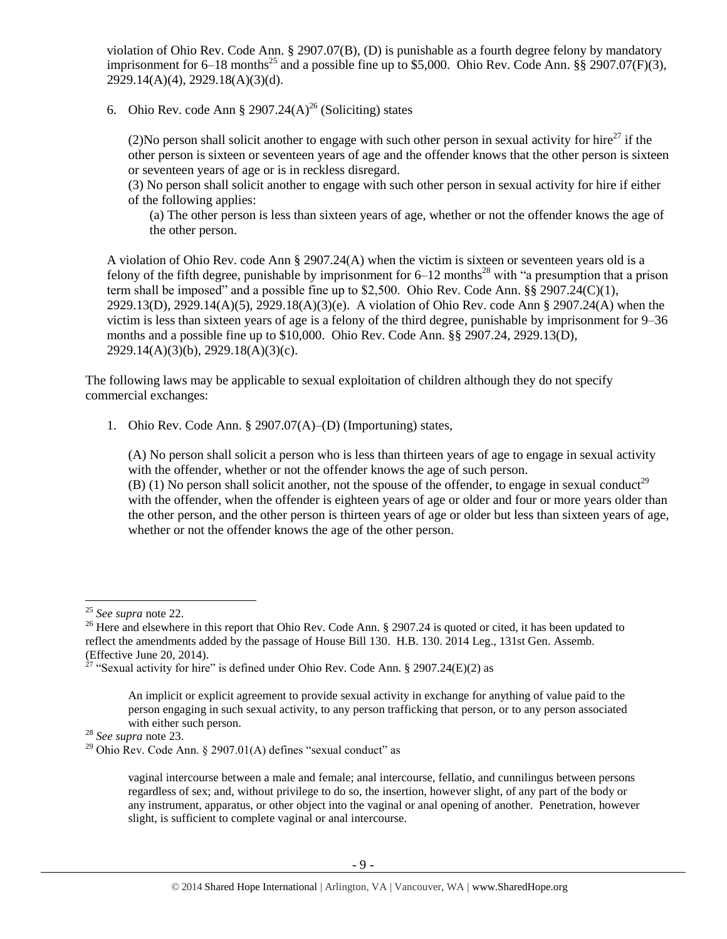violation of Ohio Rev. Code Ann. § 2907.07(B), (D) is punishable as a fourth degree felony by mandatory imprisonment for  $6-18$  months<sup>25</sup> and a possible fine up to \$5,000. Ohio Rev. Code Ann. §§ 2907.07(F)(3), 2929.14(A)(4), 2929.18(A)(3)(d).

6. Ohio Rev. code Ann § 2907.24(A)<sup>26</sup> (Soliciting) states

<span id="page-8-0"></span>(2)No person shall solicit another to engage with such other person in sexual activity for hire<sup>27</sup> if the other person is sixteen or seventeen years of age and the offender knows that the other person is sixteen or seventeen years of age or is in reckless disregard.

(3) No person shall solicit another to engage with such other person in sexual activity for hire if either of the following applies:

(a) The other person is less than sixteen years of age, whether or not the offender knows the age of the other person.

A violation of Ohio Rev. code Ann § 2907.24(A) when the victim is sixteen or seventeen years old is a felony of the fifth degree, punishable by imprisonment for  $6-12$  months<sup>28</sup> with "a presumption that a prison term shall be imposed" and a possible fine up to \$2,500. Ohio Rev. Code Ann.  $\S\overline{\S}$  2907.24(C)(1), 2929.13(D), 2929.14(A)(5), 2929.18(A)(3)(e). A violation of Ohio Rev. code Ann § 2907.24(A) when the victim is less than sixteen years of age is a felony of the third degree, punishable by imprisonment for 9–36 months and a possible fine up to \$10,000. Ohio Rev. Code Ann. §§ 2907.24, 2929.13(D), 2929.14(A)(3)(b), 2929.18(A)(3)(c).

The following laws may be applicable to sexual exploitation of children although they do not specify commercial exchanges:

1. Ohio Rev. Code Ann. § 2907.07(A)–(D) (Importuning) states,

(A) No person shall solicit a person who is less than thirteen years of age to engage in sexual activity with the offender, whether or not the offender knows the age of such person.

(B) (1) No person shall solicit another, not the spouse of the offender, to engage in sexual conduct<sup>29</sup> with the offender, when the offender is eighteen years of age or older and four or more years older than the other person, and the other person is thirteen years of age or older but less than sixteen years of age, whether or not the offender knows the age of the other person.

 $\overline{\phantom{a}}$ 

<sup>25</sup> *See supra* note [22.](#page-7-1)

<sup>&</sup>lt;sup>26</sup> Here and elsewhere in this report that Ohio Rev. Code Ann. § 2907.24 is quoted or cited, it has been updated to reflect the amendments added by the passage of House Bill 130. H.B. 130. 2014 Leg., 131st Gen. Assemb. (Effective June 20, 2014).

<sup>&</sup>lt;sup>27</sup> "Sexual activity for hire" is defined under Ohio Rev. Code Ann. § 2907.24(E)(2) as

An implicit or explicit agreement to provide sexual activity in exchange for anything of value paid to the person engaging in such sexual activity, to any person trafficking that person, or to any person associated with either such person.

<sup>28</sup> *See supra* note [23.](#page-7-0)

 $29$  Ohio Rev. Code Ann. § 2907.01(A) defines "sexual conduct" as

vaginal intercourse between a male and female; anal intercourse, fellatio, and cunnilingus between persons regardless of sex; and, without privilege to do so, the insertion, however slight, of any part of the body or any instrument, apparatus, or other object into the vaginal or anal opening of another. Penetration, however slight, is sufficient to complete vaginal or anal intercourse.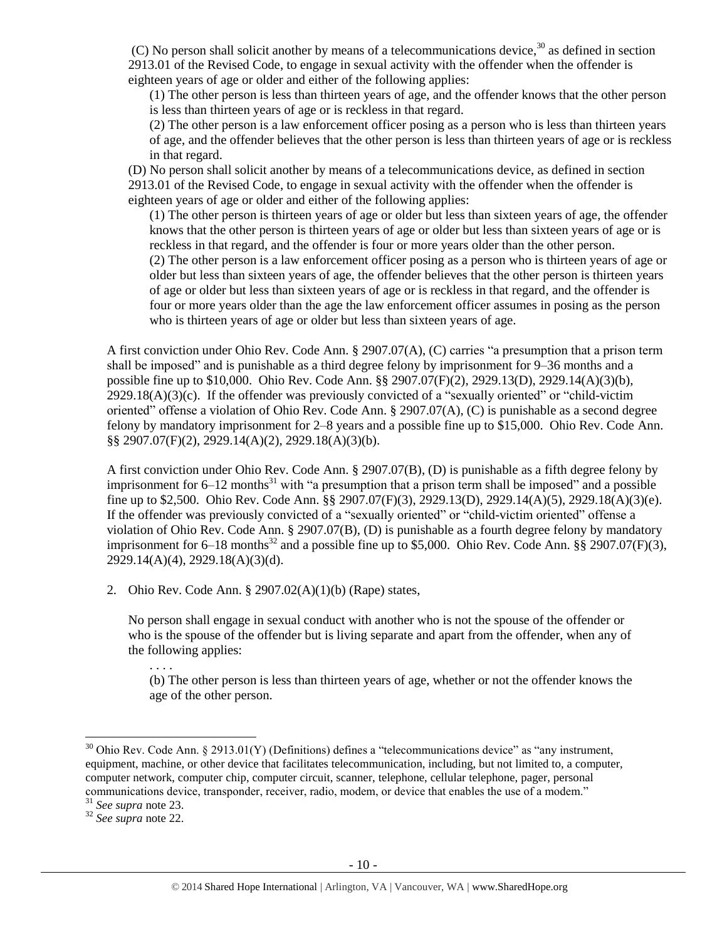(C) No person shall solicit another by means of a telecommunications device,  $30$  as defined in section 2913.01 of the Revised Code, to engage in sexual activity with the offender when the offender is eighteen years of age or older and either of the following applies:

(1) The other person is less than thirteen years of age, and the offender knows that the other person is less than thirteen years of age or is reckless in that regard.

(2) The other person is a law enforcement officer posing as a person who is less than thirteen years of age, and the offender believes that the other person is less than thirteen years of age or is reckless in that regard.

(D) No person shall solicit another by means of a telecommunications device, as defined in section 2913.01 of the Revised Code, to engage in sexual activity with the offender when the offender is eighteen years of age or older and either of the following applies:

(1) The other person is thirteen years of age or older but less than sixteen years of age, the offender knows that the other person is thirteen years of age or older but less than sixteen years of age or is reckless in that regard, and the offender is four or more years older than the other person. (2) The other person is a law enforcement officer posing as a person who is thirteen years of age or older but less than sixteen years of age, the offender believes that the other person is thirteen years of age or older but less than sixteen years of age or is reckless in that regard, and the offender is four or more years older than the age the law enforcement officer assumes in posing as the person who is thirteen years of age or older but less than sixteen years of age.

A first conviction under Ohio Rev. Code Ann. § 2907.07(A), (C) carries "a presumption that a prison term shall be imposed" and is punishable as a third degree felony by imprisonment for 9–36 months and a possible fine up to \$10,000. Ohio Rev. Code Ann. §§ 2907.07(F)(2), 2929.13(D), 2929.14(A)(3)(b),  $2929.18(A)(3)(c)$ . If the offender was previously convicted of a "sexually oriented" or "child-victim" oriented" offense a violation of Ohio Rev. Code Ann. § 2907.07(A), (C) is punishable as a second degree felony by mandatory imprisonment for 2–8 years and a possible fine up to \$15,000. Ohio Rev. Code Ann. §§ 2907.07(F)(2), 2929.14(A)(2), 2929.18(A)(3)(b).

A first conviction under Ohio Rev. Code Ann. § 2907.07(B), (D) is punishable as a fifth degree felony by imprisonment for  $6-12$  months<sup>31</sup> with "a presumption that a prison term shall be imposed" and a possible fine up to \$2,500. Ohio Rev. Code Ann. §§ 2907.07(F)(3), 2929.13(D), 2929.14(A)(5), 2929.18(A)(3)(e). If the offender was previously convicted of a "sexually oriented" or "child-victim oriented" offense a violation of Ohio Rev. Code Ann. § 2907.07(B), (D) is punishable as a fourth degree felony by mandatory imprisonment for  $6-18$  months<sup>32</sup> and a possible fine up to \$5,000. Ohio Rev. Code Ann. §§ 2907.07(F)(3), 2929.14(A)(4), 2929.18(A)(3)(d).

2. Ohio Rev. Code Ann. § 2907.02(A)(1)(b) (Rape) states,

No person shall engage in sexual conduct with another who is not the spouse of the offender or who is the spouse of the offender but is living separate and apart from the offender, when any of the following applies:

. . . .

(b) The other person is less than thirteen years of age, whether or not the offender knows the age of the other person.

l

 $30$  Ohio Rev. Code Ann. § 2913.01(Y) (Definitions) defines a "telecommunications device" as "any instrument, equipment, machine, or other device that facilitates telecommunication, including, but not limited to, a computer, computer network, computer chip, computer circuit, scanner, telephone, cellular telephone, pager, personal communications device, transponder, receiver, radio, modem, or device that enables the use of a modem."

<sup>31</sup> *See supra* note [23.](#page-7-0)

<sup>32</sup> *See supra* note [22.](#page-7-1)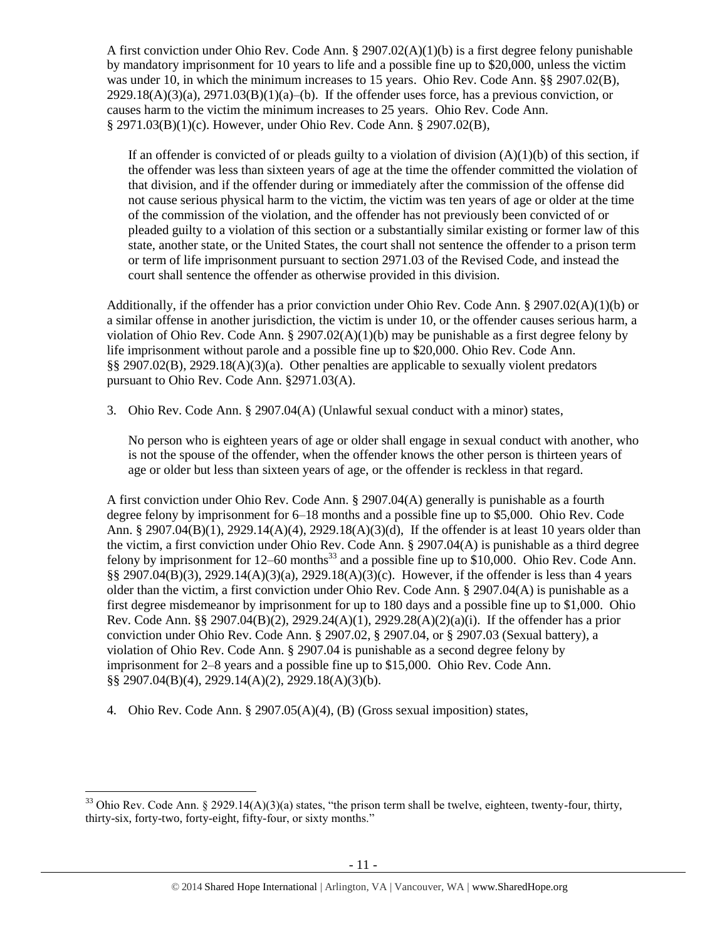A first conviction under Ohio Rev. Code Ann. § 2907.02(A)(1)(b) is a first degree felony punishable by mandatory imprisonment for 10 years to life and a possible fine up to \$20,000, unless the victim was under 10, in which the minimum increases to 15 years. Ohio Rev. Code Ann. §§ 2907.02(B),  $2929.18(A)(3)(a)$ ,  $2971.03(B)(1)(a)$ –(b). If the offender uses force, has a previous conviction, or causes harm to the victim the minimum increases to 25 years. Ohio Rev. Code Ann. § 2971.03(B)(1)(c). However, under Ohio Rev. Code Ann. § 2907.02(B),

If an offender is convicted of or pleads guilty to a violation of division  $(A)(1)(b)$  of this section, if the offender was less than sixteen years of age at the time the offender committed the violation of that division, and if the offender during or immediately after the commission of the offense did not cause serious physical harm to the victim, the victim was ten years of age or older at the time of the commission of the violation, and the offender has not previously been convicted of or pleaded guilty to a violation of this section or a substantially similar existing or former law of this state, another state, or the United States, the court shall not sentence the offender to a prison term or term of life imprisonment pursuant to section 2971.03 of the Revised Code, and instead the court shall sentence the offender as otherwise provided in this division.

Additionally, if the offender has a prior conviction under Ohio Rev. Code Ann. § 2907.02(A)(1)(b) or a similar offense in another jurisdiction, the victim is under 10, or the offender causes serious harm, a violation of Ohio Rev. Code Ann. § 2907.02(A)(1)(b) may be punishable as a first degree felony by life imprisonment without parole and a possible fine up to \$20,000. Ohio Rev. Code Ann. §§ 2907.02(B), 2929.18(A)(3)(a). Other penalties are applicable to sexually violent predators pursuant to Ohio Rev. Code Ann. §2971.03(A).

3. Ohio Rev. Code Ann. § 2907.04(A) (Unlawful sexual conduct with a minor) states,

No person who is eighteen years of age or older shall engage in sexual conduct with another, who is not the spouse of the offender, when the offender knows the other person is thirteen years of age or older but less than sixteen years of age, or the offender is reckless in that regard.

A first conviction under Ohio Rev. Code Ann. § 2907.04(A) generally is punishable as a fourth degree felony by imprisonment for 6–18 months and a possible fine up to \$5,000. Ohio Rev. Code Ann. § 2907.04(B)(1), 2929.14(A)(4), 2929.18(A)(3)(d), If the offender is at least 10 years older than the victim, a first conviction under Ohio Rev. Code Ann. § 2907.04(A) is punishable as a third degree felony by imprisonment for  $12-60$  months<sup>33</sup> and a possible fine up to \$10,000. Ohio Rev. Code Ann. §§ 2907.04(B)(3), 2929.14(A)(3)(a), 2929.18(A)(3)(c). However, if the offender is less than 4 years older than the victim, a first conviction under Ohio Rev. Code Ann. § 2907.04(A) is punishable as a first degree misdemeanor by imprisonment for up to 180 days and a possible fine up to \$1,000. Ohio Rev. Code Ann. §§ 2907.04(B)(2), 2929.24(A)(1), 2929.28(A)(2)(a)(i). If the offender has a prior conviction under Ohio Rev. Code Ann. § 2907.02, § 2907.04, or § 2907.03 (Sexual battery), a violation of Ohio Rev. Code Ann. § 2907.04 is punishable as a second degree felony by imprisonment for 2–8 years and a possible fine up to \$15,000. Ohio Rev. Code Ann. §§ 2907.04(B)(4), 2929.14(A)(2), 2929.18(A)(3)(b).

4. Ohio Rev. Code Ann. § 2907.05(A)(4), (B) (Gross sexual imposition) states,

 $\overline{a}$ 

 $33$  Ohio Rev. Code Ann. § 2929.14(A)(3)(a) states, "the prison term shall be twelve, eighteen, twenty-four, thirty, thirty-six, forty-two, forty-eight, fifty-four, or sixty months."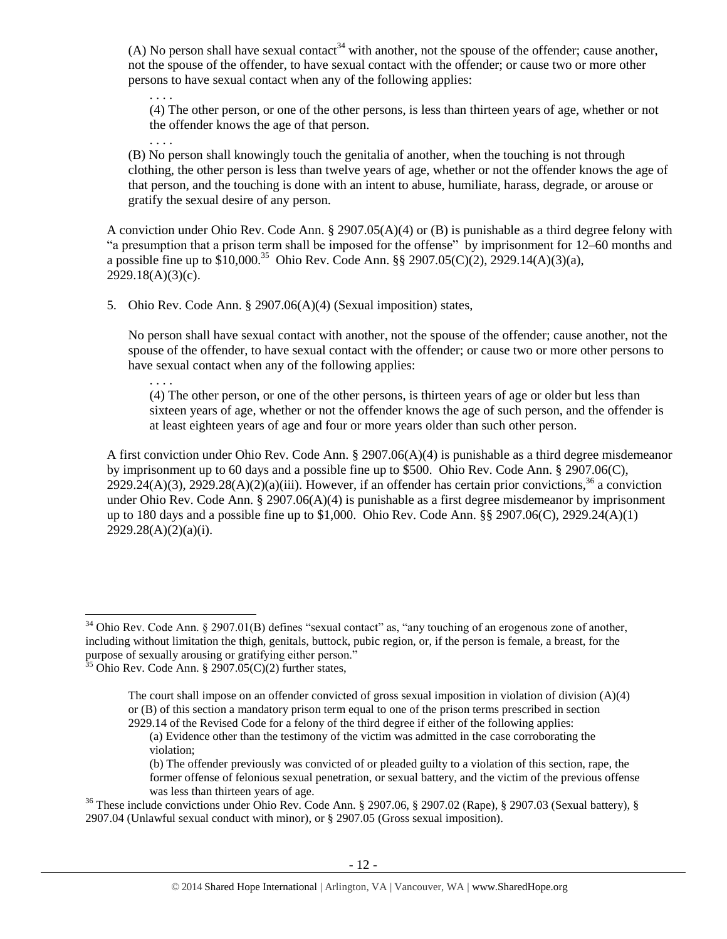(A) No person shall have sexual contact<sup>34</sup> with another, not the spouse of the offender; cause another, not the spouse of the offender, to have sexual contact with the offender; or cause two or more other persons to have sexual contact when any of the following applies:

. . . . (4) The other person, or one of the other persons, is less than thirteen years of age, whether or not the offender knows the age of that person.

(B) No person shall knowingly touch the genitalia of another, when the touching is not through clothing, the other person is less than twelve years of age, whether or not the offender knows the age of that person, and the touching is done with an intent to abuse, humiliate, harass, degrade, or arouse or gratify the sexual desire of any person.

A conviction under Ohio Rev. Code Ann. § 2907.05(A)(4) or (B) is punishable as a third degree felony with "a presumption that a prison term shall be imposed for the offense" by imprisonment for 12–60 months and a possible fine up to  $$10,000$ .<sup>35</sup> Ohio Rev. Code Ann. §§ 2907.05(C)(2), 2929.14(A)(3)(a),  $2929.18(A)(3)(c)$ .

5. Ohio Rev. Code Ann. § 2907.06(A)(4) (Sexual imposition) states,

. . . .

. . . .

l

No person shall have sexual contact with another, not the spouse of the offender; cause another, not the spouse of the offender, to have sexual contact with the offender; or cause two or more other persons to have sexual contact when any of the following applies:

(4) The other person, or one of the other persons, is thirteen years of age or older but less than sixteen years of age, whether or not the offender knows the age of such person, and the offender is at least eighteen years of age and four or more years older than such other person.

A first conviction under Ohio Rev. Code Ann. § 2907.06(A)(4) is punishable as a third degree misdemeanor by imprisonment up to 60 days and a possible fine up to \$500. Ohio Rev. Code Ann. § 2907.06(C), 2929.24(A)(3), 2929.28(A)(2)(a)(iii). However, if an offender has certain prior convictions,  $36$  a conviction under Ohio Rev. Code Ann. § 2907.06(A)(4) is punishable as a first degree misdemeanor by imprisonment up to 180 days and a possible fine up to \$1,000. Ohio Rev. Code Ann. §§ 2907.06(C), 2929.24(A)(1)  $2929.28(A)(2)(a)(i)$ .

 $34$  Ohio Rev. Code Ann. § 2907.01(B) defines "sexual contact" as, "any touching of an erogenous zone of another, including without limitation the thigh, genitals, buttock, pubic region, or, if the person is female, a breast, for the purpose of sexually arousing or gratifying either person."

 $35$  Ohio Rev. Code Ann. § 2907.05(C)(2) further states,

The court shall impose on an offender convicted of gross sexual imposition in violation of division  $(A)(4)$ or (B) of this section a mandatory prison term equal to one of the prison terms prescribed in section 2929.14 of the Revised Code for a felony of the third degree if either of the following applies:

<sup>(</sup>a) Evidence other than the testimony of the victim was admitted in the case corroborating the violation;

<sup>(</sup>b) The offender previously was convicted of or pleaded guilty to a violation of this section, rape, the former offense of felonious sexual penetration, or sexual battery, and the victim of the previous offense was less than thirteen years of age.

<sup>&</sup>lt;sup>36</sup> These include convictions under Ohio Rev. Code Ann. § 2907.06, § 2907.02 (Rape), § 2907.03 (Sexual battery), § 2907.04 (Unlawful sexual conduct with minor), or § 2907.05 (Gross sexual imposition).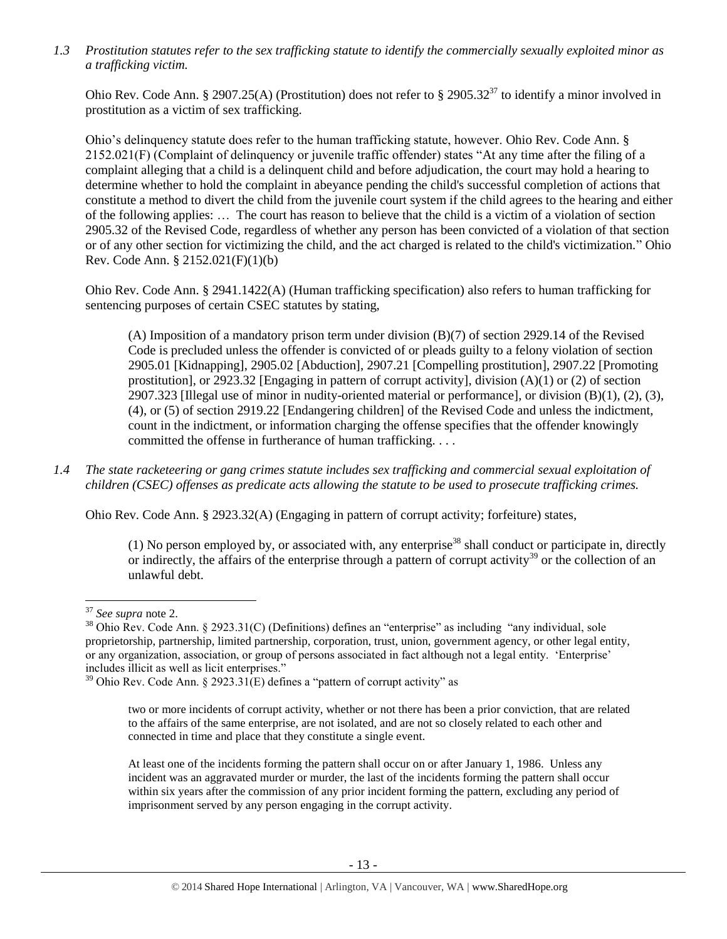*1.3 Prostitution statutes refer to the sex trafficking statute to identify the commercially sexually exploited minor as a trafficking victim.* 

Ohio Rev. Code Ann. § 2907.25(A) (Prostitution) does not refer to § 2905.32<sup>37</sup> to identify a minor involved in prostitution as a victim of sex trafficking.

Ohio's delinquency statute does refer to the human trafficking statute, however. Ohio Rev. Code Ann. § 2152.021(F) (Complaint of delinquency or juvenile traffic offender) states "At any time after the filing of a complaint alleging that a child is a delinquent child and before adjudication, the court may hold a hearing to determine whether to hold the complaint in abeyance pending the child's successful completion of actions that constitute a method to divert the child from the juvenile court system if the child agrees to the hearing and either of the following applies: … The court has reason to believe that the child is a victim of a violation of section 2905.32 of the Revised Code, regardless of whether any person has been convicted of a violation of that section or of any other section for victimizing the child, and the act charged is related to the child's victimization." Ohio Rev. Code Ann. § 2152.021(F)(1)(b)

Ohio Rev. Code Ann. § 2941.1422(A) (Human trafficking specification) also refers to human trafficking for sentencing purposes of certain CSEC statutes by stating,

(A) Imposition of a mandatory prison term under division (B)(7) of section 2929.14 of the Revised Code is precluded unless the offender is convicted of or pleads guilty to a felony violation of section 2905.01 [Kidnapping], 2905.02 [Abduction], 2907.21 [Compelling prostitution], 2907.22 [Promoting prostitution], or 2923.32 [Engaging in pattern of corrupt activity], division (A)(1) or (2) of section 2907.323 [Illegal use of minor in nudity-oriented material or performance], or division  $(B)(1)$ ,  $(2)$ ,  $(3)$ , (4), or (5) of section 2919.22 [Endangering children] of the Revised Code and unless the indictment, count in the indictment, or information charging the offense specifies that the offender knowingly committed the offense in furtherance of human trafficking. . . .

*1.4 The state racketeering or gang crimes statute includes sex trafficking and commercial sexual exploitation of children (CSEC) offenses as predicate acts allowing the statute to be used to prosecute trafficking crimes.* 

Ohio Rev. Code Ann. § 2923.32(A) (Engaging in pattern of corrupt activity; forfeiture) states,

(1) No person employed by, or associated with, any enterprise<sup>38</sup> shall conduct or participate in, directly or indirectly, the affairs of the enterprise through a pattern of corrupt activity<sup>39</sup> or the collection of an unlawful debt.

At least one of the incidents forming the pattern shall occur on or after January 1, 1986. Unless any incident was an aggravated murder or murder, the last of the incidents forming the pattern shall occur within six years after the commission of any prior incident forming the pattern, excluding any period of imprisonment served by any person engaging in the corrupt activity.

 $\overline{\phantom{a}}$ <sup>37</sup> *See supra* note [2.](#page-0-0)

<sup>38</sup> Ohio Rev. Code Ann. § 2923.31(C) (Definitions) defines an "enterprise" as including "any individual, sole proprietorship, partnership, limited partnership, corporation, trust, union, government agency, or other legal entity, or any organization, association, or group of persons associated in fact although not a legal entity. 'Enterprise' includes illicit as well as licit enterprises."

<sup>&</sup>lt;sup>39</sup> Ohio Rev. Code Ann. § 2923.31(E) defines a "pattern of corrupt activity" as

two or more incidents of corrupt activity, whether or not there has been a prior conviction, that are related to the affairs of the same enterprise, are not isolated, and are not so closely related to each other and connected in time and place that they constitute a single event.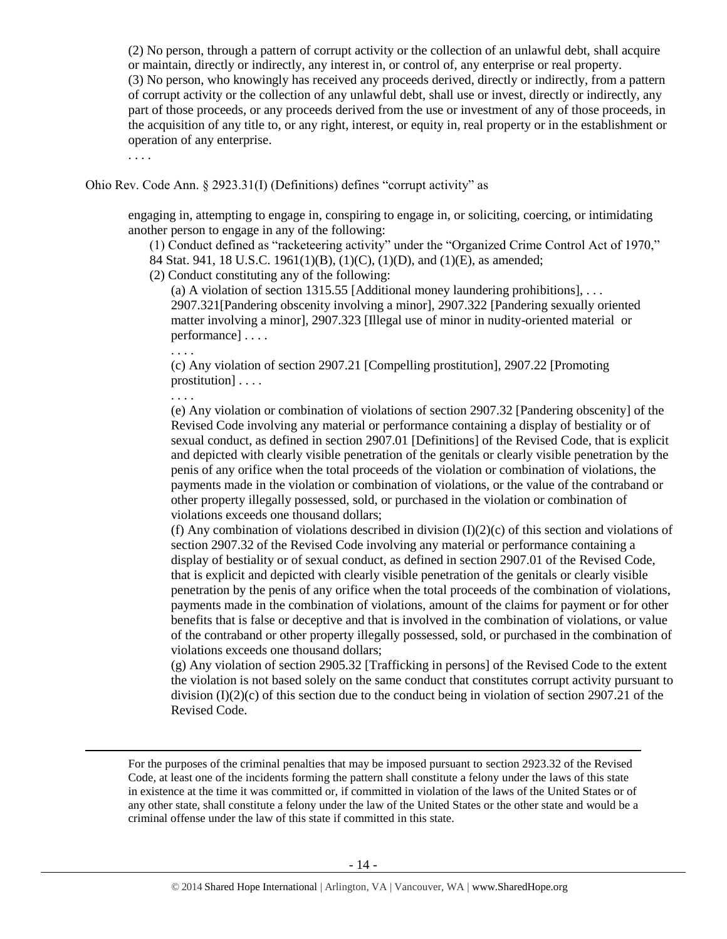(2) No person, through a pattern of corrupt activity or the collection of an unlawful debt, shall acquire or maintain, directly or indirectly, any interest in, or control of, any enterprise or real property. (3) No person, who knowingly has received any proceeds derived, directly or indirectly, from a pattern of corrupt activity or the collection of any unlawful debt, shall use or invest, directly or indirectly, any part of those proceeds, or any proceeds derived from the use or investment of any of those proceeds, in the acquisition of any title to, or any right, interest, or equity in, real property or in the establishment or operation of any enterprise.

. . . .

Ohio Rev. Code Ann. § 2923.31(I) (Definitions) defines "corrupt activity" as

engaging in, attempting to engage in, conspiring to engage in, or soliciting, coercing, or intimidating another person to engage in any of the following:

(1) Conduct defined as "racketeering activity" under the "Organized Crime Control Act of 1970," 84 Stat. 941, 18 U.S.C. 1961(1)(B), (1)(C), (1)(D), and (1)(E), as amended;

(2) Conduct constituting any of the following:

(a) A violation of section 1315.55 [Additional money laundering prohibitions], . . . 2907.321[Pandering obscenity involving a minor], 2907.322 [Pandering sexually oriented matter involving a minor], 2907.323 [Illegal use of minor in nudity-oriented material or performance] . . . .

. . . .

(c) Any violation of section 2907.21 [Compelling prostitution], 2907.22 [Promoting prostitution] . . . .

. . . .

 $\overline{a}$ 

(e) Any violation or combination of violations of section 2907.32 [Pandering obscenity] of the Revised Code involving any material or performance containing a display of bestiality or of sexual conduct, as defined in section 2907.01 [Definitions] of the Revised Code, that is explicit and depicted with clearly visible penetration of the genitals or clearly visible penetration by the penis of any orifice when the total proceeds of the violation or combination of violations, the payments made in the violation or combination of violations, or the value of the contraband or other property illegally possessed, sold, or purchased in the violation or combination of violations exceeds one thousand dollars;

(f) Any combination of violations described in division  $(I)(2)(c)$  of this section and violations of section 2907.32 of the Revised Code involving any material or performance containing a display of bestiality or of sexual conduct, as defined in section 2907.01 of the Revised Code, that is explicit and depicted with clearly visible penetration of the genitals or clearly visible penetration by the penis of any orifice when the total proceeds of the combination of violations, payments made in the combination of violations, amount of the claims for payment or for other benefits that is false or deceptive and that is involved in the combination of violations, or value of the contraband or other property illegally possessed, sold, or purchased in the combination of violations exceeds one thousand dollars;

(g) Any violation of section 2905.32 [Trafficking in persons] of the Revised Code to the extent the violation is not based solely on the same conduct that constitutes corrupt activity pursuant to division  $(I)(2)(c)$  of this section due to the conduct being in violation of section 2907.21 of the Revised Code.

For the purposes of the criminal penalties that may be imposed pursuant to section 2923.32 of the Revised Code, at least one of the incidents forming the pattern shall constitute a felony under the laws of this state in existence at the time it was committed or, if committed in violation of the laws of the United States or of any other state, shall constitute a felony under the law of the United States or the other state and would be a criminal offense under the law of this state if committed in this state.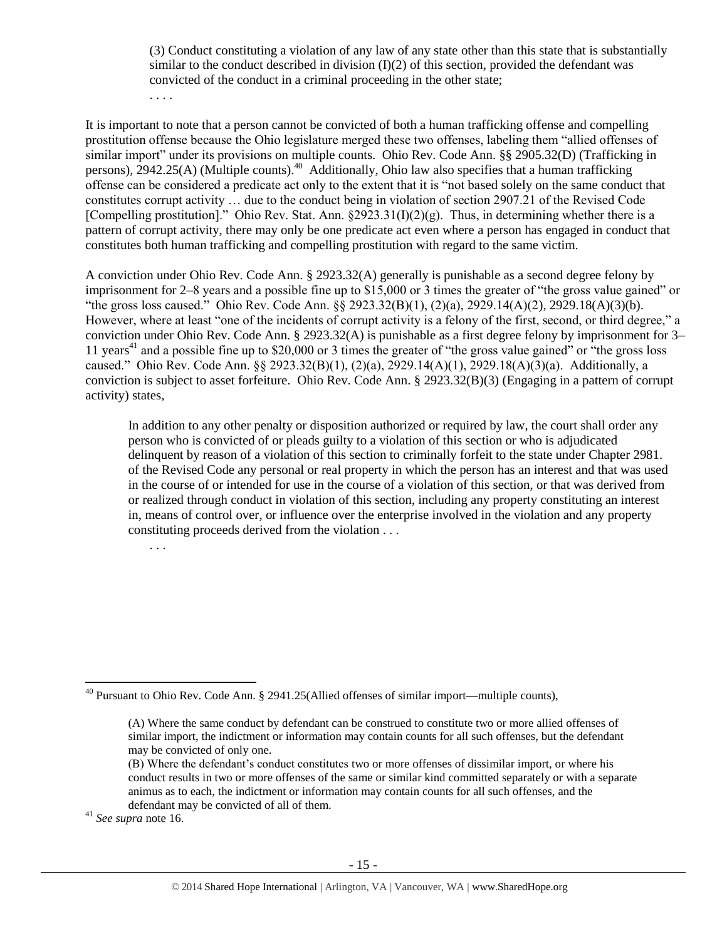(3) Conduct constituting a violation of any law of any state other than this state that is substantially similar to the conduct described in division  $(I)(2)$  of this section, provided the defendant was convicted of the conduct in a criminal proceeding in the other state; . . . .

It is important to note that a person cannot be convicted of both a human trafficking offense and compelling prostitution offense because the Ohio legislature merged these two offenses, labeling them "allied offenses of similar import" under its provisions on multiple counts. Ohio Rev. Code Ann. §§ 2905.32(D) (Trafficking in persons), 2942.25(A) (Multiple counts).<sup>40</sup> Additionally, Ohio law also specifies that a human trafficking offense can be considered a predicate act only to the extent that it is "not based solely on the same conduct that constitutes corrupt activity … due to the conduct being in violation of section 2907.21 of the Revised Code [Compelling prostitution]." Ohio Rev. Stat. Ann.  $\S2923.31(I)(2)(g)$ . Thus, in determining whether there is a pattern of corrupt activity, there may only be one predicate act even where a person has engaged in conduct that constitutes both human trafficking and compelling prostitution with regard to the same victim.

A conviction under Ohio Rev. Code Ann. § 2923.32(A) generally is punishable as a second degree felony by imprisonment for 2–8 years and a possible fine up to \$15,000 or 3 times the greater of "the gross value gained" or "the gross loss caused." Ohio Rev. Code Ann. §§ 2923.32(B)(1), (2)(a), 2929.14(A)(2), 2929.18(A)(3)(b). However, where at least "one of the incidents of corrupt activity is a felony of the first, second, or third degree," a conviction under Ohio Rev. Code Ann. § 2923.32(A) is punishable as a first degree felony by imprisonment for 3– 11 years<sup>41</sup> and a possible fine up to \$20,000 or 3 times the greater of "the gross value gained" or "the gross loss caused." Ohio Rev. Code Ann. §§ 2923.32(B)(1), (2)(a), 2929.14(A)(1), 2929.18(A)(3)(a). Additionally, a conviction is subject to asset forfeiture. Ohio Rev. Code Ann. § 2923.32(B)(3) (Engaging in a pattern of corrupt activity) states,

In addition to any other penalty or disposition authorized or required by law, the court shall order any person who is convicted of or pleads guilty to a violation of this section or who is adjudicated delinquent by reason of a violation of this section to criminally forfeit to the state under Chapter 2981. of the Revised Code any personal or real property in which the person has an interest and that was used in the course of or intended for use in the course of a violation of this section, or that was derived from or realized through conduct in violation of this section, including any property constituting an interest in, means of control over, or influence over the enterprise involved in the violation and any property constituting proceeds derived from the violation . . .

. . .

<sup>41</sup> *See supra* note [16.](#page-4-0)

 $\overline{\phantom{a}}$ 

 $40$  Pursuant to Ohio Rev. Code Ann. § 2941.25(Allied offenses of similar import—multiple counts),

<sup>(</sup>A) Where the same conduct by defendant can be construed to constitute two or more allied offenses of similar import, the indictment or information may contain counts for all such offenses, but the defendant may be convicted of only one.

<sup>(</sup>B) Where the defendant's conduct constitutes two or more offenses of dissimilar import, or where his conduct results in two or more offenses of the same or similar kind committed separately or with a separate animus as to each, the indictment or information may contain counts for all such offenses, and the defendant may be convicted of all of them.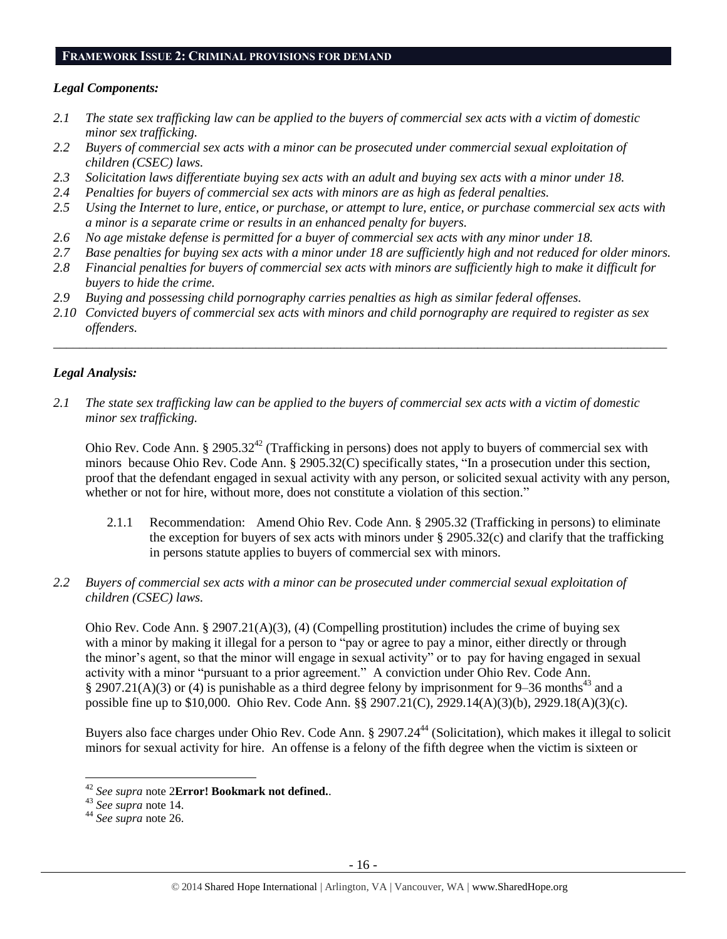#### **FRAMEWORK ISSUE 2: CRIMINAL PROVISIONS FOR DEMAND**

## *Legal Components:*

- *2.1 The state sex trafficking law can be applied to the buyers of commercial sex acts with a victim of domestic minor sex trafficking.*
- *2.2 Buyers of commercial sex acts with a minor can be prosecuted under commercial sexual exploitation of children (CSEC) laws.*
- *2.3 Solicitation laws differentiate buying sex acts with an adult and buying sex acts with a minor under 18.*
- *2.4 Penalties for buyers of commercial sex acts with minors are as high as federal penalties.*
- *2.5 Using the Internet to lure, entice, or purchase, or attempt to lure, entice, or purchase commercial sex acts with a minor is a separate crime or results in an enhanced penalty for buyers.*
- *2.6 No age mistake defense is permitted for a buyer of commercial sex acts with any minor under 18.*
- *2.7 Base penalties for buying sex acts with a minor under 18 are sufficiently high and not reduced for older minors.*
- *2.8 Financial penalties for buyers of commercial sex acts with minors are sufficiently high to make it difficult for buyers to hide the crime.*
- *2.9 Buying and possessing child pornography carries penalties as high as similar federal offenses.*
- *2.10 Convicted buyers of commercial sex acts with minors and child pornography are required to register as sex offenders.*

\_\_\_\_\_\_\_\_\_\_\_\_\_\_\_\_\_\_\_\_\_\_\_\_\_\_\_\_\_\_\_\_\_\_\_\_\_\_\_\_\_\_\_\_\_\_\_\_\_\_\_\_\_\_\_\_\_\_\_\_\_\_\_\_\_\_\_\_\_\_\_\_\_\_\_\_\_\_\_\_\_\_\_\_\_\_\_\_\_\_\_\_\_\_

## *Legal Analysis:*

*2.1 The state sex trafficking law can be applied to the buyers of commercial sex acts with a victim of domestic minor sex trafficking.*

Ohio Rev. Code Ann. § 2905.32<sup>42</sup> (Trafficking in persons) does not apply to buyers of commercial sex with minors because Ohio Rev. Code Ann. § 2905.32(C) specifically states, "In a prosecution under this section, proof that the defendant engaged in sexual activity with any person, or solicited sexual activity with any person, whether or not for hire, without more, does not constitute a violation of this section."

- 2.1.1 Recommendation: Amend Ohio Rev. Code Ann. § 2905.32 (Trafficking in persons) to eliminate the exception for buyers of sex acts with minors under  $\S$  2905.32(c) and clarify that the trafficking in persons statute applies to buyers of commercial sex with minors.
- *2.2 Buyers of commercial sex acts with a minor can be prosecuted under commercial sexual exploitation of children (CSEC) laws.*

Ohio Rev. Code Ann. § 2907.21(A)(3), (4) (Compelling prostitution) includes the crime of buying sex with a minor by making it illegal for a person to "pay or agree to pay a minor, either directly or through the minor's agent, so that the minor will engage in sexual activity" or to pay for having engaged in sexual activity with a minor "pursuant to a prior agreement." A conviction under Ohio Rev. Code Ann. § 2907.21(A)(3) or (4) is punishable as a third degree felony by imprisonment for 9–36 months<sup>43</sup> and a possible fine up to \$10,000. Ohio Rev. Code Ann. §§ 2907.21(C), 2929.14(A)(3)(b), 2929.18(A)(3)(c).

Buyers also face charges under Ohio Rev. Code Ann. § 2907.24<sup>44</sup> (Solicitation), which makes it illegal to solicit minors for sexual activity for hire. An offense is a felony of the fifth degree when the victim is sixteen or

 $\overline{\phantom{a}}$ <sup>42</sup> *See supra* note [2](#page-0-0)**[Error! Bookmark not defined.](#page-0-0)**.

<sup>43</sup> *See supra* note [14.](#page-4-1)

<sup>44</sup> *See supra* note [26.](#page-8-0)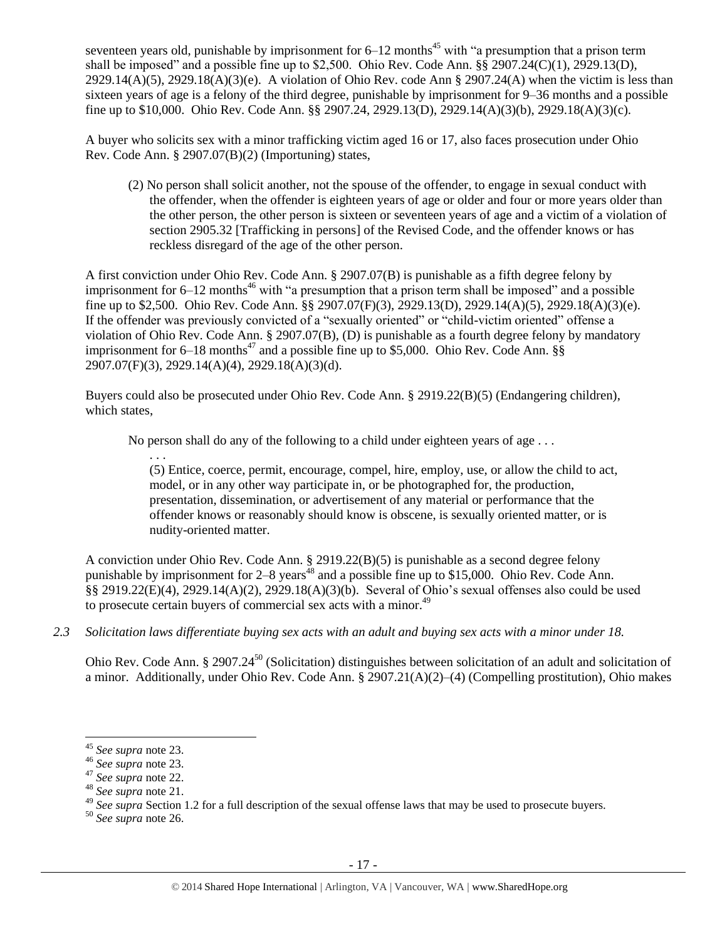seventeen years old, punishable by imprisonment for  $6-12$  months<sup>45</sup> with "a presumption that a prison term shall be imposed" and a possible fine up to \$2,500. Ohio Rev. Code Ann. §§ 2907.24(C)(1), 2929.13(D),  $2929.14(A)(5)$ ,  $2929.18(A)(3)(e)$ . A violation of Ohio Rev. code Ann § 2907.24(A) when the victim is less than sixteen years of age is a felony of the third degree, punishable by imprisonment for 9–36 months and a possible fine up to \$10,000. Ohio Rev. Code Ann. §§ 2907.24, 2929.13(D), 2929.14(A)(3)(b), 2929.18(A)(3)(c).

A buyer who solicits sex with a minor trafficking victim aged 16 or 17, also faces prosecution under Ohio Rev. Code Ann. § 2907.07(B)(2) (Importuning) states,

(2) No person shall solicit another, not the spouse of the offender, to engage in sexual conduct with the offender, when the offender is eighteen years of age or older and four or more years older than the other person, the other person is sixteen or seventeen years of age and a victim of a violation of section 2905.32 [Trafficking in persons] of the Revised Code, and the offender knows or has reckless disregard of the age of the other person.

A first conviction under Ohio Rev. Code Ann. § 2907.07(B) is punishable as a fifth degree felony by imprisonment for  $6-12$  months<sup>46</sup> with "a presumption that a prison term shall be imposed" and a possible fine up to \$2,500. Ohio Rev. Code Ann. §§ 2907.07(F)(3), 2929.13(D), 2929.14(A)(5), 2929.18(A)(3)(e). If the offender was previously convicted of a "sexually oriented" or "child-victim oriented" offense a violation of Ohio Rev. Code Ann. § 2907.07(B), (D) is punishable as a fourth degree felony by mandatory imprisonment for  $6-18$  months<sup>47</sup> and a possible fine up to \$5,000. Ohio Rev. Code Ann. §§ 2907.07(F)(3), 2929.14(A)(4), 2929.18(A)(3)(d).

Buyers could also be prosecuted under Ohio Rev. Code Ann. § 2919.22(B)(5) (Endangering children), which states,

No person shall do any of the following to a child under eighteen years of age . . .

(5) Entice, coerce, permit, encourage, compel, hire, employ, use, or allow the child to act, model, or in any other way participate in, or be photographed for, the production, presentation, dissemination, or advertisement of any material or performance that the offender knows or reasonably should know is obscene, is sexually oriented matter, or is nudity-oriented matter.

A conviction under Ohio Rev. Code Ann. § 2919.22(B)(5) is punishable as a second degree felony punishable by imprisonment for  $2-8$  years<sup>48</sup> and a possible fine up to \$15,000. Ohio Rev. Code Ann. §§ 2919.22(E)(4), 2929.14(A)(2), 2929.18(A)(3)(b). Several of Ohio's sexual offenses also could be used to prosecute certain buyers of commercial sex acts with a minor.<sup>49</sup>

# *2.3 Solicitation laws differentiate buying sex acts with an adult and buying sex acts with a minor under 18.*

Ohio Rev. Code Ann. § 2907.24<sup>50</sup> (Solicitation) distinguishes between solicitation of an adult and solicitation of a minor. Additionally, under Ohio Rev. Code Ann. § 2907.21(A)(2)–(4) (Compelling prostitution), Ohio makes

l

. . .

<sup>45</sup> *See supra* note [23.](#page-7-0)

<sup>46</sup> *See supra* note [23.](#page-7-0)

<sup>47</sup> *See supra* note [22.](#page-7-1)

<sup>48</sup> *See supra* note [21.](#page-7-2)

<sup>&</sup>lt;sup>49</sup> See supra Section 1.2 for a full description of the sexual offense laws that may be used to prosecute buyers.

<sup>50</sup> *See supra* note [26.](#page-8-0)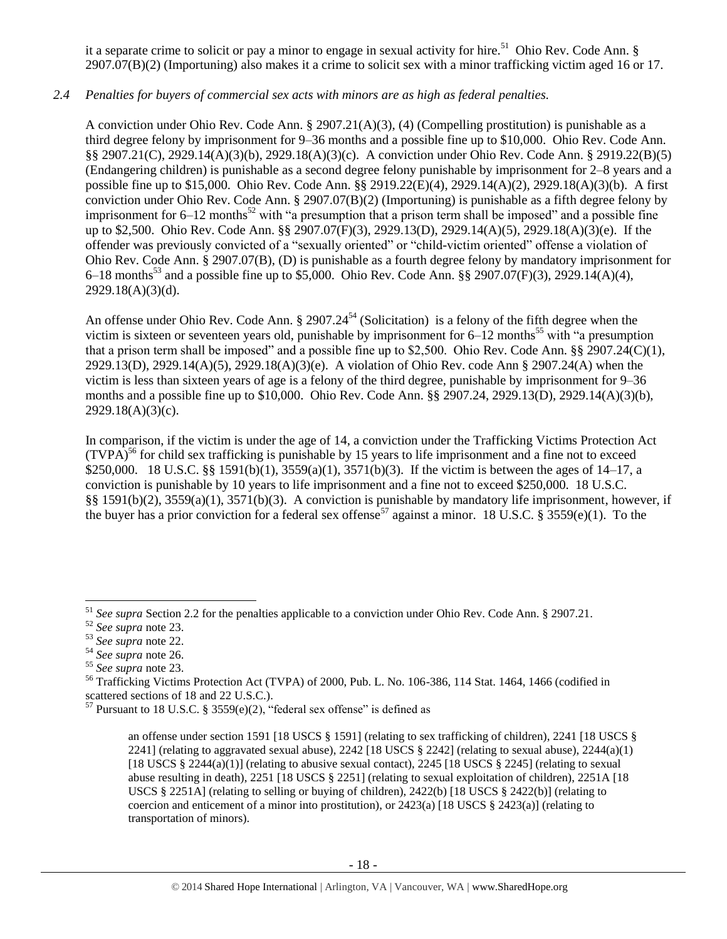it a separate crime to solicit or pay a minor to engage in sexual activity for hire.<sup>51</sup> Ohio Rev. Code Ann. § 2907.07(B)(2) (Importuning) also makes it a crime to solicit sex with a minor trafficking victim aged 16 or 17.

# *2.4 Penalties for buyers of commercial sex acts with minors are as high as federal penalties.*

A conviction under Ohio Rev. Code Ann. § 2907.21(A)(3), (4) (Compelling prostitution) is punishable as a third degree felony by imprisonment for 9–36 months and a possible fine up to \$10,000. Ohio Rev. Code Ann. §§ 2907.21(C), 2929.14(A)(3)(b), 2929.18(A)(3)(c). A conviction under Ohio Rev. Code Ann. § 2919.22(B)(5) (Endangering children) is punishable as a second degree felony punishable by imprisonment for 2–8 years and a possible fine up to \$15,000. Ohio Rev. Code Ann. §§ 2919.22(E)(4), 2929.14(A)(2), 2929.18(A)(3)(b). A first conviction under Ohio Rev. Code Ann. § 2907.07(B)(2) (Importuning) is punishable as a fifth degree felony by imprisonment for  $6-12$  months<sup>52</sup> with "a presumption that a prison term shall be imposed" and a possible fine up to \$2,500. Ohio Rev. Code Ann. §§ 2907.07(F)(3), 2929.13(D), 2929.14(A)(5), 2929.18(A)(3)(e). If the offender was previously convicted of a "sexually oriented" or "child-victim oriented" offense a violation of Ohio Rev. Code Ann. § 2907.07(B), (D) is punishable as a fourth degree felony by mandatory imprisonment for 6–18 months<sup>53</sup> and a possible fine up to \$5,000. Ohio Rev. Code Ann. §§ 2907.07(F)(3), 2929.14(A)(4), 2929.18(A)(3)(d).

An offense under Ohio Rev. Code Ann. § 2907.24<sup>54</sup> (Solicitation) is a felony of the fifth degree when the victim is sixteen or seventeen years old, punishable by imprisonment for  $6-12$  months<sup>55</sup> with "a presumption that a prison term shall be imposed" and a possible fine up to \$2,500. Ohio Rev. Code Ann. §§ 2907.24(C)(1), 2929.13(D), 2929.14(A)(5), 2929.18(A)(3)(e). A violation of Ohio Rev. code Ann § 2907.24(A) when the victim is less than sixteen years of age is a felony of the third degree, punishable by imprisonment for 9–36 months and a possible fine up to \$10,000. Ohio Rev. Code Ann. §§ 2907.24, 2929.13(D), 2929.14(A)(3)(b),  $2929.18(A)(3)(c)$ .

<span id="page-17-1"></span><span id="page-17-0"></span>In comparison, if the victim is under the age of 14, a conviction under the Trafficking Victims Protection Act  $(TVPA)^{56}$  for child sex trafficking is punishable by 15 years to life imprisonment and a fine not to exceed \$250,000. 18 U.S.C. §§ 1591(b)(1), 3559(a)(1), 3571(b)(3). If the victim is between the ages of 14–17, a conviction is punishable by 10 years to life imprisonment and a fine not to exceed \$250,000. 18 U.S.C. §§ 1591(b)(2), 3559(a)(1), 3571(b)(3). A conviction is punishable by mandatory life imprisonment, however, if the buyer has a prior conviction for a federal sex offense<sup>57</sup> against a minor. 18 U.S.C. § 3559(e)(1). To the

 $\overline{\phantom{a}}$ 

<sup>56</sup> Trafficking Victims Protection Act (TVPA) of 2000, Pub. L. No. 106-386, 114 Stat. 1464, 1466 (codified in scattered sections of 18 and 22 U.S.C.).

<sup>51</sup> *See supra* Section 2.2 for the penalties applicable to a conviction under Ohio Rev. Code Ann. § 2907.21.

<sup>52</sup> *See supra* note [23.](#page-7-0)

<sup>53</sup> *See supra* note [22.](#page-7-1)

<sup>54</sup> *See supra* note [26.](#page-8-0)

<sup>55</sup> *See supra* note [23.](#page-7-0)

<sup>&</sup>lt;sup>57</sup> Pursuant to 18 U.S.C. § 3559 $(e)(2)$ , "federal sex offense" is defined as

an offense under section 1591 [18 USCS § 1591] (relating to sex trafficking of children), 2241 [18 USCS § 2241] (relating to aggravated sexual abuse),  $2242$  [18 USCS § 2242] (relating to sexual abuse),  $2244(a)(1)$ [18 USCS § 2244(a)(1)] (relating to abusive sexual contact), 2245 [18 USCS § 2245] (relating to sexual abuse resulting in death), 2251 [18 USCS § 2251] (relating to sexual exploitation of children), 2251A [18 USCS § 2251A] (relating to selling or buying of children),  $2422(b)$  [18 USCS § 2422(b)] (relating to coercion and enticement of a minor into prostitution), or  $2423(a)$  [18 USCS §  $2423(a)$ ] (relating to transportation of minors).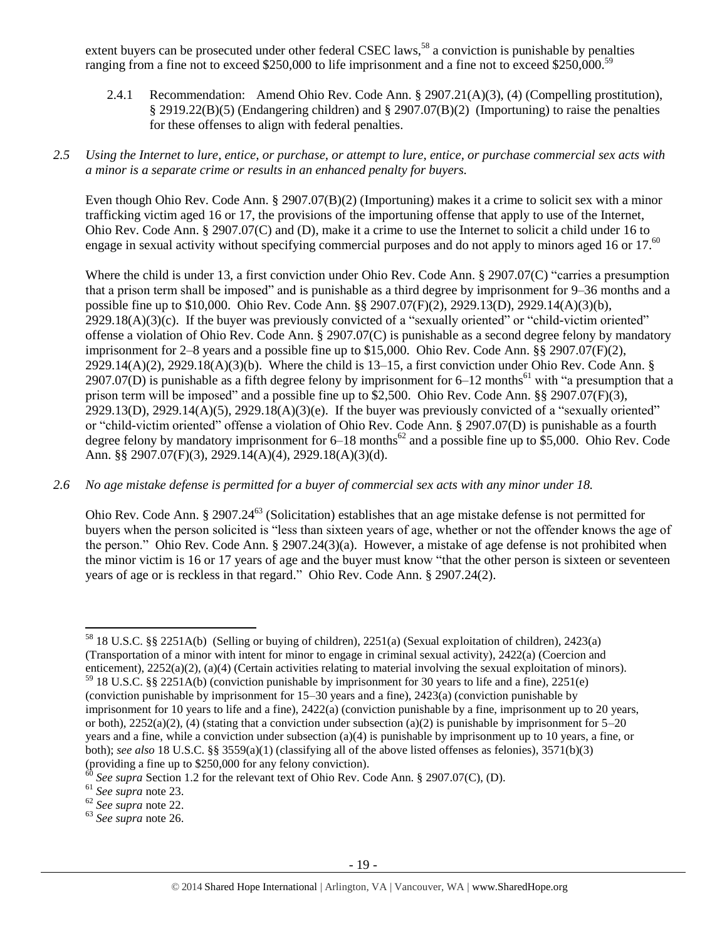extent buyers can be prosecuted under other federal CSEC laws,<sup>58</sup> a conviction is punishable by penalties ranging from a fine not to exceed \$250,000 to life imprisonment and a fine not to exceed \$250,000.<sup>59</sup>

2.4.1 Recommendation: Amend Ohio Rev. Code Ann. § 2907.21(A)(3), (4) (Compelling prostitution), § 2919.22(B)(5) (Endangering children) and § 2907.07(B)(2) (Importuning) to raise the penalties for these offenses to align with federal penalties.

## *2.5 Using the Internet to lure, entice, or purchase, or attempt to lure, entice, or purchase commercial sex acts with a minor is a separate crime or results in an enhanced penalty for buyers.*

Even though Ohio Rev. Code Ann. § 2907.07(B)(2) (Importuning) makes it a crime to solicit sex with a minor trafficking victim aged 16 or 17, the provisions of the importuning offense that apply to use of the Internet, Ohio Rev. Code Ann. § 2907.07(C) and (D), make it a crime to use the Internet to solicit a child under 16 to engage in sexual activity without specifying commercial purposes and do not apply to minors aged 16 or 17.<sup>60</sup>

Where the child is under 13, a first conviction under Ohio Rev. Code Ann. § 2907.07(C) "carries a presumption that a prison term shall be imposed" and is punishable as a third degree by imprisonment for 9–36 months and a possible fine up to \$10,000. Ohio Rev. Code Ann. §§ 2907.07(F)(2), 2929.13(D), 2929.14(A)(3)(b),  $2929.18(A)(3)(c)$ . If the buyer was previously convicted of a "sexually oriented" or "child-victim oriented" offense a violation of Ohio Rev. Code Ann. § 2907.07(C) is punishable as a second degree felony by mandatory imprisonment for 2–8 years and a possible fine up to \$15,000. Ohio Rev. Code Ann. §§ 2907.07(F)(2),  $2929.14(A)(2)$ ,  $2929.18(A)(3)(b)$ . Where the child is 13–15, a first conviction under Ohio Rev. Code Ann. § 2907.07(D) is punishable as a fifth degree felony by imprisonment for  $6-12$  months<sup>61</sup> with "a presumption that a prison term will be imposed" and a possible fine up to \$2,500. Ohio Rev. Code Ann. §§ 2907.07(F)(3),  $2929.13(D)$ ,  $2929.14(A)(5)$ ,  $2929.18(A)(3)(e)$ . If the buyer was previously convicted of a "sexually oriented" or "child-victim oriented" offense a violation of Ohio Rev. Code Ann. § 2907.07(D) is punishable as a fourth degree felony by mandatory imprisonment for  $6-18$  months<sup>62</sup> and a possible fine up to \$5,000. Ohio Rev. Code Ann. §§ 2907.07(F)(3), 2929.14(A)(4), 2929.18(A)(3)(d).

# *2.6 No age mistake defense is permitted for a buyer of commercial sex acts with any minor under 18.*

Ohio Rev. Code Ann. § 2907.24<sup>63</sup> (Solicitation) establishes that an age mistake defense is not permitted for buyers when the person solicited is "less than sixteen years of age, whether or not the offender knows the age of the person." Ohio Rev. Code Ann. § 2907.24(3)(a). However, a mistake of age defense is not prohibited when the minor victim is 16 or 17 years of age and the buyer must know "that the other person is sixteen or seventeen years of age or is reckless in that regard." Ohio Rev. Code Ann. § 2907.24(2).

 $\overline{a}$ <sup>58</sup> 18 U.S.C. §§ 2251A(b) (Selling or buying of children), 2251(a) (Sexual exploitation of children), 2423(a) (Transportation of a minor with intent for minor to engage in criminal sexual activity), 2422(a) (Coercion and enticement), 2252(a)(2), (a)(4) (Certain activities relating to material involving the sexual exploitation of minors).

<sup>59</sup> 18 U.S.C. §§ 2251A(b) (conviction punishable by imprisonment for 30 years to life and a fine), 2251(e) (conviction punishable by imprisonment for 15–30 years and a fine), 2423(a) (conviction punishable by imprisonment for 10 years to life and a fine), 2422(a) (conviction punishable by a fine, imprisonment up to 20 years, or both),  $2252(a)(2)$ , (4) (stating that a conviction under subsection (a)(2) is punishable by imprisonment for  $5-20$ years and a fine, while a conviction under subsection (a)(4) is punishable by imprisonment up to 10 years, a fine, or both); *see also* 18 U.S.C. §§ 3559(a)(1) (classifying all of the above listed offenses as felonies), 3571(b)(3) (providing a fine up to \$250,000 for any felony conviction).

<sup>&</sup>lt;sup>60</sup> See supra Section 1.2 for the relevant text of Ohio Rev. Code Ann. § 2907.07(C), (D).

<sup>61</sup> *See supra* note [23.](#page-7-0)

<sup>62</sup> *See supra* note [22.](#page-7-1)

<sup>63</sup> *See supra* note [26.](#page-8-0)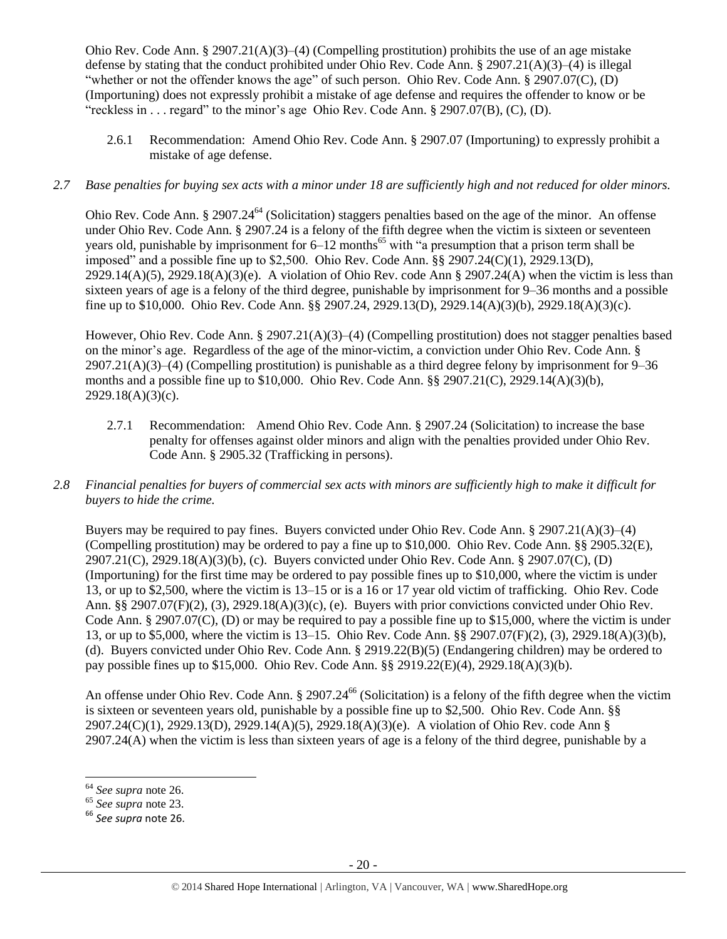Ohio Rev. Code Ann. § 2907.21(A)(3)–(4) (Compelling prostitution) prohibits the use of an age mistake defense by stating that the conduct prohibited under Ohio Rev. Code Ann. § 2907.21(A)(3)–(4) is illegal "whether or not the offender knows the age" of such person. Ohio Rev. Code Ann. § 2907.07(C), (D) (Importuning) does not expressly prohibit a mistake of age defense and requires the offender to know or be "reckless in . . . regard" to the minor's age Ohio Rev. Code Ann.  $\S 2907.07(B)$ , (C), (D).

2.6.1 Recommendation: Amend Ohio Rev. Code Ann. § 2907.07 (Importuning) to expressly prohibit a mistake of age defense.

# *2.7 Base penalties for buying sex acts with a minor under 18 are sufficiently high and not reduced for older minors.*

Ohio Rev. Code Ann. § 2907.24<sup>64</sup> (Solicitation) staggers penalties based on the age of the minor. An offense under Ohio Rev. Code Ann. § 2907.24 is a felony of the fifth degree when the victim is sixteen or seventeen years old, punishable by imprisonment for  $6-12$  months<sup>65</sup> with "a presumption that a prison term shall be imposed" and a possible fine up to \$2,500. Ohio Rev. Code Ann. §§ 2907.24(C)(1), 2929.13(D),  $2929.14(A)(5)$ ,  $2929.18(A)(3)(e)$ . A violation of Ohio Rev. code Ann § 2907.24(A) when the victim is less than sixteen years of age is a felony of the third degree, punishable by imprisonment for 9–36 months and a possible fine up to \$10,000. Ohio Rev. Code Ann. §§ 2907.24, 2929.13(D), 2929.14(A)(3)(b), 2929.18(A)(3)(c).

However, Ohio Rev. Code Ann. § 2907.21(A)(3)–(4) (Compelling prostitution) does not stagger penalties based on the minor's age. Regardless of the age of the minor-victim, a conviction under Ohio Rev. Code Ann. § 2907.21(A)(3)–(4) (Compelling prostitution) is punishable as a third degree felony by imprisonment for 9–36 months and a possible fine up to \$10,000. Ohio Rev. Code Ann. §§ 2907.21(C), 2929.14(A)(3)(b),  $2929.18(A)(3)(c)$ .

- 2.7.1 Recommendation: Amend Ohio Rev. Code Ann. § 2907.24 (Solicitation) to increase the base penalty for offenses against older minors and align with the penalties provided under Ohio Rev. Code Ann. § 2905.32 (Trafficking in persons).
- *2.8 Financial penalties for buyers of commercial sex acts with minors are sufficiently high to make it difficult for buyers to hide the crime.*

Buyers may be required to pay fines. Buyers convicted under Ohio Rev. Code Ann. § 2907.21(A)(3)–(4) (Compelling prostitution) may be ordered to pay a fine up to \$10,000. Ohio Rev. Code Ann. §§ 2905.32(E), 2907.21(C), 2929.18(A)(3)(b), (c). Buyers convicted under Ohio Rev. Code Ann. § 2907.07(C), (D) (Importuning) for the first time may be ordered to pay possible fines up to \$10,000, where the victim is under 13, or up to \$2,500, where the victim is 13–15 or is a 16 or 17 year old victim of trafficking. Ohio Rev. Code Ann. §§ 2907.07 $(F)(2)$ , (3), 2929.18 $(A)(3)(c)$ , (e). Buyers with prior convictions convicted under Ohio Rev. Code Ann. § 2907.07(C), (D) or may be required to pay a possible fine up to \$15,000, where the victim is under 13, or up to \$5,000, where the victim is 13–15. Ohio Rev. Code Ann. §§ 2907.07(F)(2), (3), 2929.18(A)(3)(b), (d). Buyers convicted under Ohio Rev. Code Ann. § 2919.22(B)(5) (Endangering children) may be ordered to pay possible fines up to \$15,000. Ohio Rev. Code Ann. §§ 2919.22(E)(4), 2929.18(A)(3)(b).

An offense under Ohio Rev. Code Ann. § 2907.24<sup>66</sup> (Solicitation) is a felony of the fifth degree when the victim is sixteen or seventeen years old, punishable by a possible fine up to \$2,500. Ohio Rev. Code Ann. §§ 2907.24(C)(1), 2929.13(D), 2929.14(A)(5), 2929.18(A)(3)(e). A violation of Ohio Rev. code Ann § 2907.24(A) when the victim is less than sixteen years of age is a felony of the third degree, punishable by a

 $\overline{\phantom{a}}$ 

<sup>64</sup> *See supra* note [26.](#page-8-0)

<sup>65</sup> *See supra* note [23.](#page-7-0)

<sup>66</sup> *See supra* not[e 26.](#page-8-0)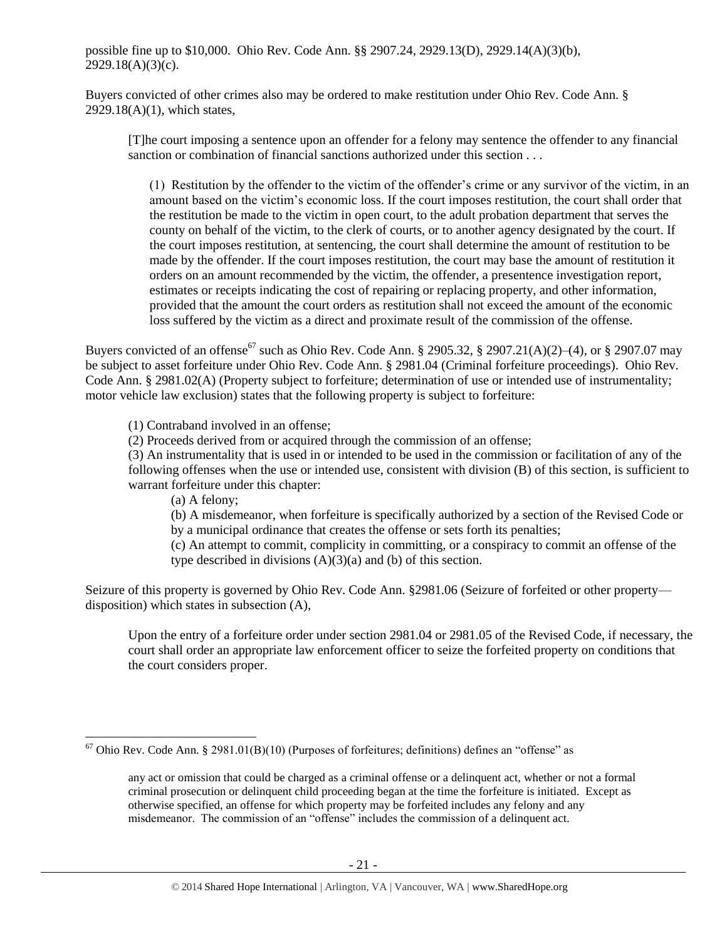possible fine up to \$10,000. Ohio Rev. Code Ann. §§ 2907.24, 2929.13(D), 2929.14(A)(3)(b),  $2929.18(A)(3)(c)$ .

Buyers convicted of other crimes also may be ordered to make restitution under Ohio Rev. Code Ann. § 2929.18(A)(1), which states,

[T]he court imposing a sentence upon an offender for a felony may sentence the offender to any financial sanction or combination of financial sanctions authorized under this section . . .

(1) Restitution by the offender to the victim of the offender's crime or any survivor of the victim, in an amount based on the victim's economic loss. If the court imposes restitution, the court shall order that the restitution be made to the victim in open court, to the adult probation department that serves the county on behalf of the victim, to the clerk of courts, or to another agency designated by the court. If the court imposes restitution, at sentencing, the court shall determine the amount of restitution to be made by the offender. If the court imposes restitution, the court may base the amount of restitution it orders on an amount recommended by the victim, the offender, a presentence investigation report, estimates or receipts indicating the cost of repairing or replacing property, and other information, provided that the amount the court orders as restitution shall not exceed the amount of the economic loss suffered by the victim as a direct and proximate result of the commission of the offense.

Buyers convicted of an offense<sup>67</sup> such as Ohio Rev. Code Ann. § 2905.32, § 2907.21(A)(2)–(4), or § 2907.07 may be subject to asset forfeiture under Ohio Rev. Code Ann. § 2981.04 (Criminal forfeiture proceedings). Ohio Rev. Code Ann. § 2981.02(A) (Property subject to forfeiture; determination of use or intended use of instrumentality; motor vehicle law exclusion) states that the following property is subject to forfeiture:

<span id="page-20-0"></span>(1) Contraband involved in an offense;

(2) Proceeds derived from or acquired through the commission of an offense;

(3) An instrumentality that is used in or intended to be used in the commission or facilitation of any of the following offenses when the use or intended use, consistent with division (B) of this section, is sufficient to warrant forfeiture under this chapter:

(a) A felony;

l

(b) A misdemeanor, when forfeiture is specifically authorized by a section of the Revised Code or by a municipal ordinance that creates the offense or sets forth its penalties;

(c) An attempt to commit, complicity in committing, or a conspiracy to commit an offense of the type described in divisions  $(A)(3)(a)$  and (b) of this section.

Seizure of this property is governed by Ohio Rev. Code Ann. §2981.06 (Seizure of forfeited or other property disposition) which states in subsection (A),

Upon the entry of a forfeiture order under section 2981.04 or 2981.05 of the Revised Code, if necessary, the court shall order an appropriate law enforcement officer to seize the forfeited property on conditions that the court considers proper.

 $67$  Ohio Rev. Code Ann. § 2981.01(B)(10) (Purposes of forfeitures; definitions) defines an "offense" as

any act or omission that could be charged as a criminal offense or a delinquent act, whether or not a formal criminal prosecution or delinquent child proceeding began at the time the forfeiture is initiated. Except as otherwise specified, an offense for which property may be forfeited includes any felony and any misdemeanor. The commission of an "offense" includes the commission of a delinquent act.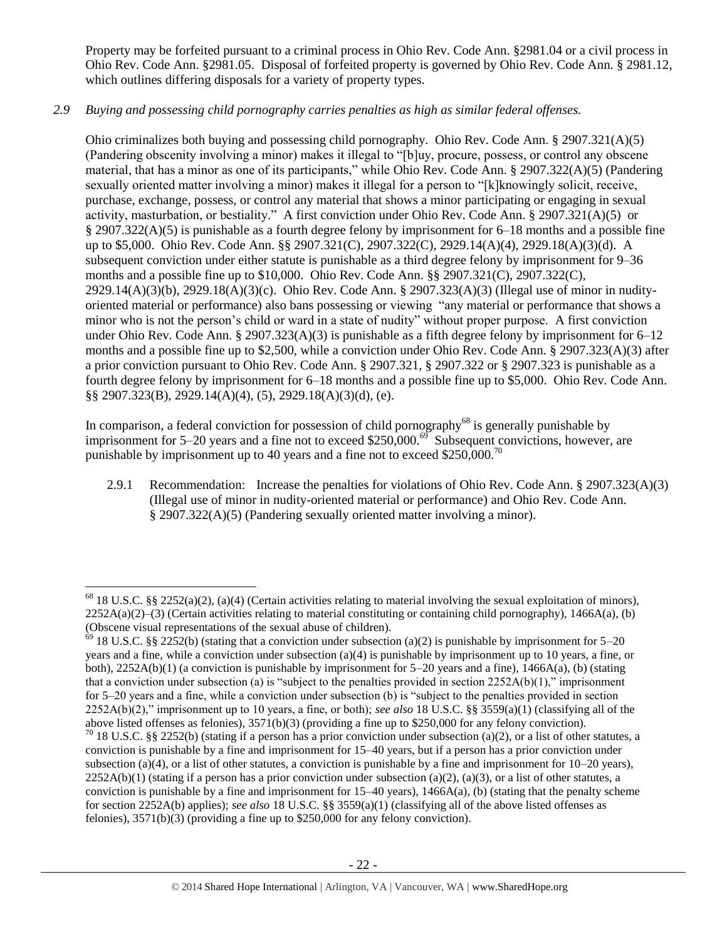Property may be forfeited pursuant to a criminal process in Ohio Rev. Code Ann. §2981.04 or a civil process in Ohio Rev. Code Ann. §2981.05. Disposal of forfeited property is governed by Ohio Rev. Code Ann. § 2981.12, which outlines differing disposals for a variety of property types.

# *2.9 Buying and possessing child pornography carries penalties as high as similar federal offenses.*

Ohio criminalizes both buying and possessing child pornography. Ohio Rev. Code Ann. § 2907.321(A)(5) (Pandering obscenity involving a minor) makes it illegal to "[b]uy, procure, possess, or control any obscene material, that has a minor as one of its participants," while Ohio Rev. Code Ann. § 2907.322(A)(5) (Pandering sexually oriented matter involving a minor) makes it illegal for a person to "[k]knowingly solicit, receive, purchase, exchange, possess, or control any material that shows a minor participating or engaging in sexual activity, masturbation, or bestiality." A first conviction under Ohio Rev. Code Ann. § 2907.321(A)(5) or § 2907.322(A)(5) is punishable as a fourth degree felony by imprisonment for 6–18 months and a possible fine up to \$5,000. Ohio Rev. Code Ann. §§ 2907.321(C), 2907.322(C), 2929.14(A)(4), 2929.18(A)(3)(d). A subsequent conviction under either statute is punishable as a third degree felony by imprisonment for 9–36 months and a possible fine up to \$10,000. Ohio Rev. Code Ann. §§ 2907.321(C), 2907.322(C), 2929.14(A)(3)(b), 2929.18(A)(3)(c). Ohio Rev. Code Ann. § 2907.323(A)(3) (Illegal use of minor in nudityoriented material or performance) also bans possessing or viewing "any material or performance that shows a minor who is not the person's child or ward in a state of nudity" without proper purpose. A first conviction under Ohio Rev. Code Ann. § 2907.323(A)(3) is punishable as a fifth degree felony by imprisonment for 6–12 months and a possible fine up to \$2,500, while a conviction under Ohio Rev. Code Ann. § 2907.323(A)(3) after a prior conviction pursuant to Ohio Rev. Code Ann. § 2907.321, § 2907.322 or § 2907.323 is punishable as a fourth degree felony by imprisonment for 6–18 months and a possible fine up to \$5,000. Ohio Rev. Code Ann. §§ 2907.323(B), 2929.14(A)(4), (5), 2929.18(A)(3)(d), (e).

In comparison, a federal conviction for possession of child pornography<sup>68</sup> is generally punishable by imprisonment for 5–20 years and a fine not to exceed \$250,000. $\frac{69}{9}$  Subsequent convictions, however, are punishable by imprisonment up to 40 years and a fine not to exceed  $$250,000.<sup>70</sup>$ 

2.9.1 Recommendation: Increase the penalties for violations of Ohio Rev. Code Ann. § 2907.323(A)(3) (Illegal use of minor in nudity-oriented material or performance) and Ohio Rev. Code Ann. § 2907.322(A)(5) (Pandering sexually oriented matter involving a minor).

 $\overline{\phantom{a}}$  $68$  18 U.S.C. §§ 2252(a)(2), (a)(4) (Certain activities relating to material involving the sexual exploitation of minors),  $2252A(a)(2)$ –(3) (Certain activities relating to material constituting or containing child pornography), 1466A(a), (b) (Obscene visual representations of the sexual abuse of children).

 $69$  18 U.S.C. §§ 2252(b) (stating that a conviction under subsection (a)(2) is punishable by imprisonment for 5–20 years and a fine, while a conviction under subsection (a)(4) is punishable by imprisonment up to 10 years, a fine, or both),  $2252A(b)(1)$  (a conviction is punishable by imprisonment for  $5-20$  years and a fine),  $1466A(a)$ , (b) (stating that a conviction under subsection (a) is "subject to the penalties provided in section  $2252A(b)(1)$ ," imprisonment for 5–20 years and a fine, while a conviction under subsection (b) is "subject to the penalties provided in section 2252A(b)(2)," imprisonment up to 10 years, a fine, or both); *see also* 18 U.S.C. §§ 3559(a)(1) (classifying all of the above listed offenses as felonies), 3571(b)(3) (providing a fine up to \$250,000 for any felony conviction).  $70$  18 U.S.C. §§ 2252(b) (stating if a person has a prior conviction under subsection (a)(2), or a list of other statutes, a conviction is punishable by a fine and imprisonment for 15–40 years, but if a person has a prior conviction under subsection (a)(4), or a list of other statutes, a conviction is punishable by a fine and imprisonment for  $10-20$  years),  $2252A(b)(1)$  (stating if a person has a prior conviction under subsection (a)(2), (a)(3), or a list of other statutes, a conviction is punishable by a fine and imprisonment for  $15-40$  years),  $1466A(a)$ , (b) (stating that the penalty scheme for section 2252A(b) applies); *see also* 18 U.S.C. §§ 3559(a)(1) (classifying all of the above listed offenses as felonies), 3571(b)(3) (providing a fine up to \$250,000 for any felony conviction).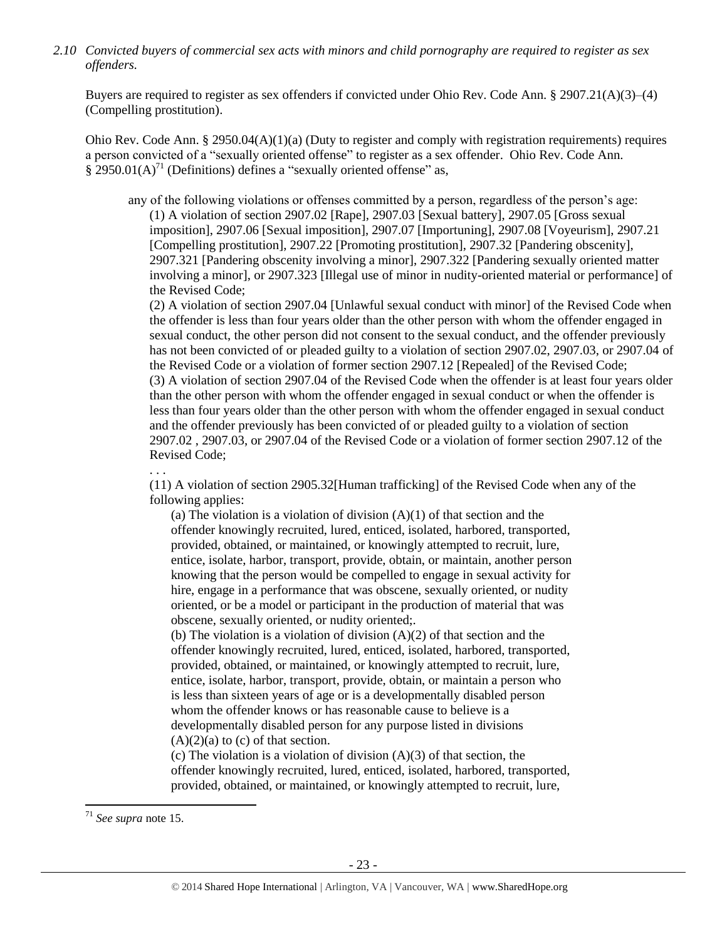*2.10 Convicted buyers of commercial sex acts with minors and child pornography are required to register as sex offenders.* 

Buyers are required to register as sex offenders if convicted under Ohio Rev. Code Ann. § 2907.21(A)(3)–(4) (Compelling prostitution).

Ohio Rev. Code Ann. § 2950.04(A)(1)(a) (Duty to register and comply with registration requirements) requires a person convicted of a "sexually oriented offense" to register as a sex offender. Ohio Rev. Code Ann.  $\hat{\gamma}$  2950.01(A)<sup>71</sup> (Definitions) defines a "sexually oriented offense" as,

any of the following violations or offenses committed by a person, regardless of the person's age:

(1) A violation of section 2907.02 [Rape], 2907.03 [Sexual battery], 2907.05 [Gross sexual imposition], 2907.06 [Sexual imposition], 2907.07 [Importuning], 2907.08 [Voyeurism], 2907.21 [Compelling prostitution], 2907.22 [Promoting prostitution], 2907.32 [Pandering obscenity], 2907.321 [Pandering obscenity involving a minor], 2907.322 [Pandering sexually oriented matter involving a minor], or 2907.323 [Illegal use of minor in nudity-oriented material or performance] of the Revised Code;

(2) A violation of section 2907.04 [Unlawful sexual conduct with minor] of the Revised Code when the offender is less than four years older than the other person with whom the offender engaged in sexual conduct, the other person did not consent to the sexual conduct, and the offender previously has not been convicted of or pleaded guilty to a violation of section 2907.02, 2907.03, or 2907.04 of the Revised Code or a violation of former section 2907.12 [Repealed] of the Revised Code; (3) A violation of section 2907.04 of the Revised Code when the offender is at least four years older than the other person with whom the offender engaged in sexual conduct or when the offender is less than four years older than the other person with whom the offender engaged in sexual conduct and the offender previously has been convicted of or pleaded guilty to a violation of section 2907.02 , 2907.03, or 2907.04 of the Revised Code or a violation of former section 2907.12 of the Revised Code;

(11) A violation of section 2905.32[Human trafficking] of the Revised Code when any of the following applies:

(a) The violation is a violation of division  $(A)(1)$  of that section and the offender knowingly recruited, lured, enticed, isolated, harbored, transported, provided, obtained, or maintained, or knowingly attempted to recruit, lure, entice, isolate, harbor, transport, provide, obtain, or maintain, another person knowing that the person would be compelled to engage in sexual activity for hire, engage in a performance that was obscene, sexually oriented, or nudity oriented, or be a model or participant in the production of material that was obscene, sexually oriented, or nudity oriented;.

(b) The violation is a violation of division  $(A)(2)$  of that section and the offender knowingly recruited, lured, enticed, isolated, harbored, transported, provided, obtained, or maintained, or knowingly attempted to recruit, lure, entice, isolate, harbor, transport, provide, obtain, or maintain a person who is less than sixteen years of age or is a developmentally disabled person whom the offender knows or has reasonable cause to believe is a developmentally disabled person for any purpose listed in divisions  $(A)(2)(a)$  to  $(c)$  of that section.

(c) The violation is a violation of division  $(A)(3)$  of that section, the offender knowingly recruited, lured, enticed, isolated, harbored, transported, provided, obtained, or maintained, or knowingly attempted to recruit, lure,

 $\overline{\phantom{a}}$ 

. . .

<sup>71</sup> *See supra* note [15.](#page-4-2)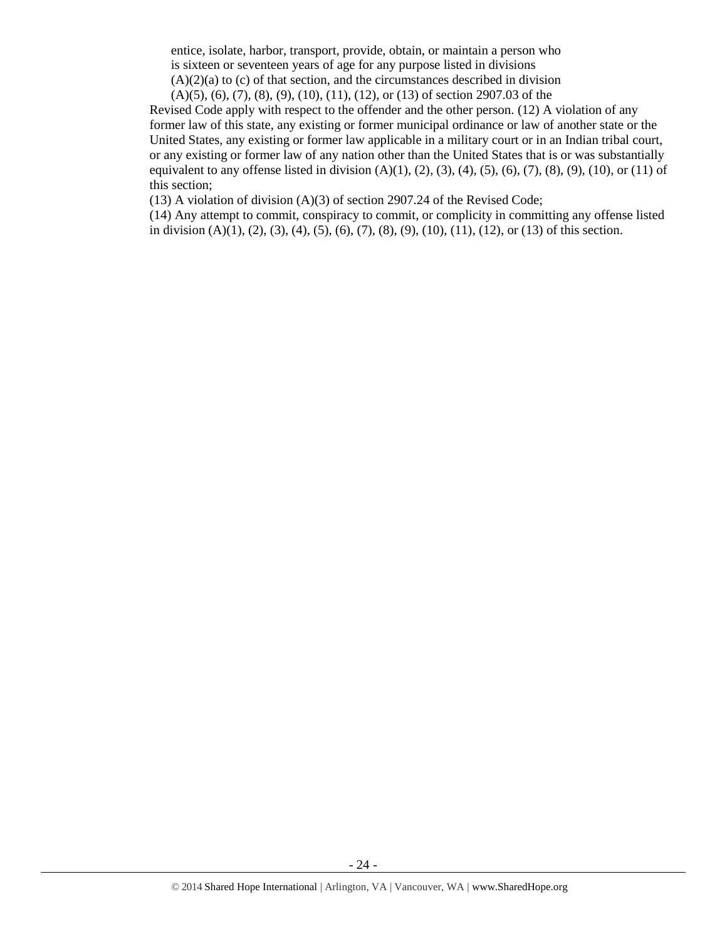entice, isolate, harbor, transport, provide, obtain, or maintain a person who is sixteen or seventeen years of age for any purpose listed in divisions  $(A)(2)(a)$  to  $(c)$  of that section, and the circumstances described in division

(A)(5), (6), (7), (8), (9), (10), (11), (12), or (13) of section 2907.03 of the

Revised Code apply with respect to the offender and the other person. (12) A violation of any former law of this state, any existing or former municipal ordinance or law of another state or the United States, any existing or former law applicable in a military court or in an Indian tribal court, or any existing or former law of any nation other than the United States that is or was substantially equivalent to any offense listed in division  $(A)(1)$ ,  $(2)$ ,  $(3)$ ,  $(4)$ ,  $(5)$ ,  $(6)$ ,  $(7)$ ,  $(8)$ ,  $(9)$ ,  $(10)$ , or  $(11)$  of this section;

(13) A violation of division (A)(3) of section 2907.24 of the Revised Code;

(14) Any attempt to commit, conspiracy to commit, or complicity in committing any offense listed in division  $(A)(1)$ ,  $(2)$ ,  $(3)$ ,  $(4)$ ,  $(5)$ ,  $(6)$ ,  $(7)$ ,  $(8)$ ,  $(9)$ ,  $(10)$ ,  $(11)$ ,  $(12)$ , or  $(13)$  of this section.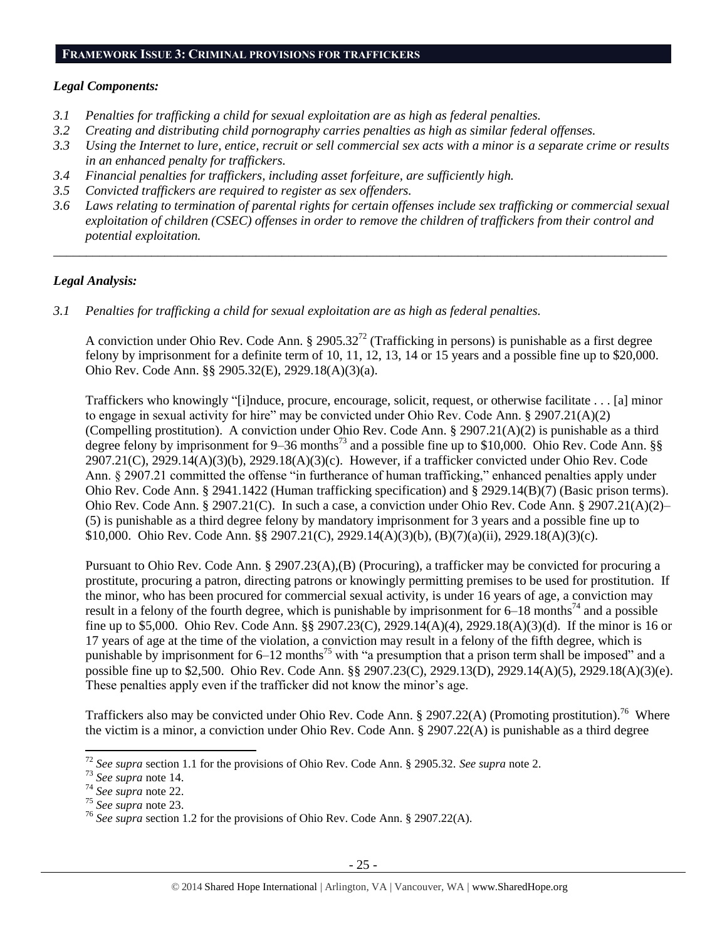#### **FRAMEWORK ISSUE 3: CRIMINAL PROVISIONS FOR TRAFFICKERS**

## *Legal Components:*

- *3.1 Penalties for trafficking a child for sexual exploitation are as high as federal penalties.*
- *3.2 Creating and distributing child pornography carries penalties as high as similar federal offenses.*
- *3.3 Using the Internet to lure, entice, recruit or sell commercial sex acts with a minor is a separate crime or results in an enhanced penalty for traffickers.*
- *3.4 Financial penalties for traffickers, including asset forfeiture, are sufficiently high.*
- *3.5 Convicted traffickers are required to register as sex offenders.*
- *3.6 Laws relating to termination of parental rights for certain offenses include sex trafficking or commercial sexual exploitation of children (CSEC) offenses in order to remove the children of traffickers from their control and potential exploitation.*

*\_\_\_\_\_\_\_\_\_\_\_\_\_\_\_\_\_\_\_\_\_\_\_\_\_\_\_\_\_\_\_\_\_\_\_\_\_\_\_\_\_\_\_\_\_\_\_\_\_\_\_\_\_\_\_\_\_\_\_\_\_\_\_\_\_\_\_\_\_\_\_\_\_\_\_\_\_\_\_\_\_\_\_\_\_\_\_\_\_\_\_\_\_\_*

## *Legal Analysis:*

*3.1 Penalties for trafficking a child for sexual exploitation are as high as federal penalties.* 

A conviction under Ohio Rev. Code Ann. § 2905.32<sup>72</sup> (Trafficking in persons) is punishable as a first degree felony by imprisonment for a definite term of 10, 11, 12, 13, 14 or 15 years and a possible fine up to \$20,000. Ohio Rev. Code Ann. §§ 2905.32(E), 2929.18(A)(3)(a).

Traffickers who knowingly "[i]nduce, procure, encourage, solicit, request, or otherwise facilitate . . . [a] minor to engage in sexual activity for hire" may be convicted under Ohio Rev. Code Ann. § 2907.21(A)(2) (Compelling prostitution). A conviction under Ohio Rev. Code Ann. § 2907.21(A)(2) is punishable as a third degree felony by imprisonment for 9–36 months<sup>73</sup> and a possible fine up to \$10,000. Ohio Rev. Code Ann. §§ 2907.21(C), 2929.14(A)(3)(b), 2929.18(A)(3)(c). However, if a trafficker convicted under Ohio Rev. Code Ann. § 2907.21 committed the offense "in furtherance of human trafficking," enhanced penalties apply under Ohio Rev. Code Ann. § 2941.1422 (Human trafficking specification) and § 2929.14(B)(7) (Basic prison terms). Ohio Rev. Code Ann. § 2907.21(C). In such a case, a conviction under Ohio Rev. Code Ann. § 2907.21(A)(2)– (5) is punishable as a third degree felony by mandatory imprisonment for 3 years and a possible fine up to \$10,000. Ohio Rev. Code Ann. §§ 2907.21(C), 2929.14(A)(3)(b), (B)(7)(a)(ii), 2929.18(A)(3)(c).

Pursuant to Ohio Rev. Code Ann. § 2907.23(A),(B) (Procuring), a trafficker may be convicted for procuring a prostitute, procuring a patron, directing patrons or knowingly permitting premises to be used for prostitution. If the minor, who has been procured for commercial sexual activity, is under 16 years of age, a conviction may result in a felony of the fourth degree, which is punishable by imprisonment for  $6-18$  months<sup>74</sup> and a possible fine up to \$5,000. Ohio Rev. Code Ann. §§ 2907.23(C), 2929.14(A)(4), 2929.18(A)(3)(d). If the minor is 16 or 17 years of age at the time of the violation, a conviction may result in a felony of the fifth degree, which is punishable by imprisonment for  $6-12$  months<sup>75</sup> with "a presumption that a prison term shall be imposed" and a possible fine up to \$2,500. Ohio Rev. Code Ann. §§ 2907.23(C), 2929.13(D), 2929.14(A)(5), 2929.18(A)(3)(e). These penalties apply even if the trafficker did not know the minor's age.

Traffickers also may be convicted under Ohio Rev. Code Ann. § 2907.22(A) (Promoting prostitution).<sup>76</sup> Where the victim is a minor, a conviction under Ohio Rev. Code Ann. § 2907.22(A) is punishable as a third degree

 $\overline{a}$ 

<sup>72</sup> *See supra* section 1.1 for the provisions of Ohio Rev. Code Ann. § 2905.32. *See supra* note [2.](#page-0-0)

<sup>73</sup> *See supra* note [14.](#page-4-1)

<sup>74</sup> *See supra* note [22.](#page-7-1)

<sup>75</sup> *See supra* note [23.](#page-7-0)

<sup>76</sup> *See supra* section 1.2 for the provisions of Ohio Rev. Code Ann. § 2907.22(A).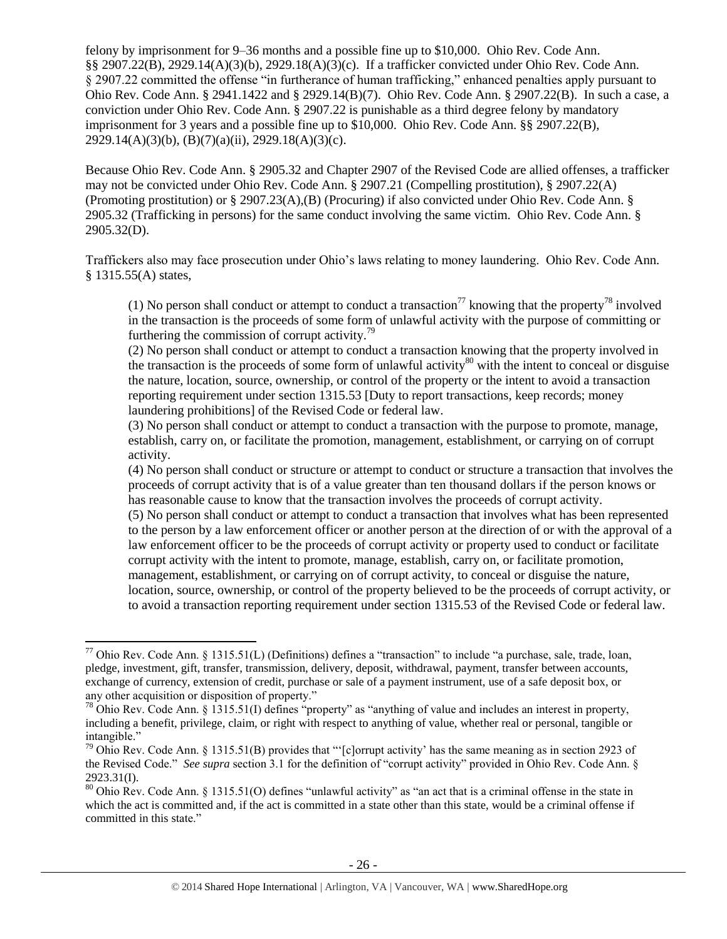felony by imprisonment for 9–36 months and a possible fine up to \$10,000. Ohio Rev. Code Ann. §§ 2907.22(B), 2929.14(A)(3)(b), 2929.18(A)(3)(c). If a trafficker convicted under Ohio Rev. Code Ann. § 2907.22 committed the offense "in furtherance of human trafficking," enhanced penalties apply pursuant to Ohio Rev. Code Ann. § 2941.1422 and § 2929.14(B)(7). Ohio Rev. Code Ann. § 2907.22(B). In such a case, a conviction under Ohio Rev. Code Ann. § 2907.22 is punishable as a third degree felony by mandatory imprisonment for 3 years and a possible fine up to \$10,000. Ohio Rev. Code Ann. §§ 2907.22(B), 2929.14(A)(3)(b), (B)(7)(a)(ii), 2929.18(A)(3)(c).

Because Ohio Rev. Code Ann. § 2905.32 and Chapter 2907 of the Revised Code are allied offenses, a trafficker may not be convicted under Ohio Rev. Code Ann. § 2907.21 (Compelling prostitution), § 2907.22(A) (Promoting prostitution) or § 2907.23(A),(B) (Procuring) if also convicted under Ohio Rev. Code Ann. § 2905.32 (Trafficking in persons) for the same conduct involving the same victim. Ohio Rev. Code Ann. § 2905.32(D).

Traffickers also may face prosecution under Ohio's laws relating to money laundering. Ohio Rev. Code Ann. § 1315.55(A) states,

(1) No person shall conduct or attempt to conduct a transaction<sup>77</sup> knowing that the property<sup>78</sup> involved in the transaction is the proceeds of some form of unlawful activity with the purpose of committing or furthering the commission of corrupt activity.<sup>79</sup>

(2) No person shall conduct or attempt to conduct a transaction knowing that the property involved in the transaction is the proceeds of some form of unlawful activity<sup>80</sup> with the intent to conceal or disguise the nature, location, source, ownership, or control of the property or the intent to avoid a transaction reporting requirement under section 1315.53 [Duty to report transactions, keep records; money laundering prohibitions] of the Revised Code or federal law.

(3) No person shall conduct or attempt to conduct a transaction with the purpose to promote, manage, establish, carry on, or facilitate the promotion, management, establishment, or carrying on of corrupt activity.

(4) No person shall conduct or structure or attempt to conduct or structure a transaction that involves the proceeds of corrupt activity that is of a value greater than ten thousand dollars if the person knows or has reasonable cause to know that the transaction involves the proceeds of corrupt activity.

(5) No person shall conduct or attempt to conduct a transaction that involves what has been represented to the person by a law enforcement officer or another person at the direction of or with the approval of a law enforcement officer to be the proceeds of corrupt activity or property used to conduct or facilitate corrupt activity with the intent to promote, manage, establish, carry on, or facilitate promotion, management, establishment, or carrying on of corrupt activity, to conceal or disguise the nature, location, source, ownership, or control of the property believed to be the proceeds of corrupt activity, or to avoid a transaction reporting requirement under section 1315.53 of the Revised Code or federal law.

 $\overline{\phantom{a}}$ 

 $^{77}$  Ohio Rev. Code Ann. § 1315.51(L) (Definitions) defines a "transaction" to include "a purchase, sale, trade, loan, pledge, investment, gift, transfer, transmission, delivery, deposit, withdrawal, payment, transfer between accounts, exchange of currency, extension of credit, purchase or sale of a payment instrument, use of a safe deposit box, or any other acquisition or disposition of property."

 $^{78}$  Ohio Rev. Code Ann. § 1315.51(I) defines "property" as "anything of value and includes an interest in property, including a benefit, privilege, claim, or right with respect to anything of value, whether real or personal, tangible or intangible."

<sup>&</sup>lt;sup>79</sup> Ohio Rev. Code Ann. § 1315.51(B) provides that "'[c]orrupt activity' has the same meaning as in section 2923 of the Revised Code." *See supra* section 3.1 for the definition of "corrupt activity" provided in Ohio Rev. Code Ann. § 2923.31(I).

<sup>&</sup>lt;sup>80</sup> Ohio Rev. Code Ann. § 1315.51(O) defines "unlawful activity" as "an act that is a criminal offense in the state in which the act is committed and, if the act is committed in a state other than this state, would be a criminal offense if committed in this state."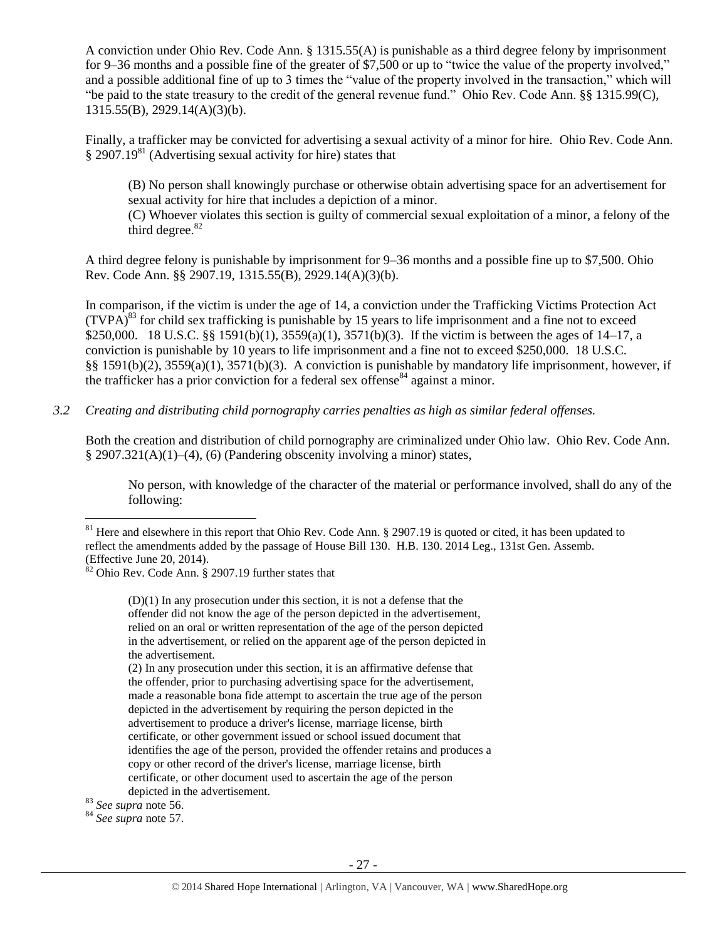A conviction under Ohio Rev. Code Ann. § 1315.55(A) is punishable as a third degree felony by imprisonment for 9–36 months and a possible fine of the greater of \$7,500 or up to "twice the value of the property involved," and a possible additional fine of up to 3 times the "value of the property involved in the transaction," which will "be paid to the state treasury to the credit of the general revenue fund." Ohio Rev. Code Ann. §§ 1315.99(C), 1315.55(B), 2929.14(A)(3)(b).

Finally, a trafficker may be convicted for advertising a sexual activity of a minor for hire. Ohio Rev. Code Ann.  $\S 2907.19<sup>81</sup>$  (Advertising sexual activity for hire) states that

<span id="page-26-0"></span>(B) No person shall knowingly purchase or otherwise obtain advertising space for an advertisement for sexual activity for hire that includes a depiction of a minor.

(C) Whoever violates this section is guilty of commercial sexual exploitation of a minor, a felony of the third degree. $82$ 

A third degree felony is punishable by imprisonment for 9–36 months and a possible fine up to \$7,500. Ohio Rev. Code Ann. §§ 2907.19, 1315.55(B), 2929.14(A)(3)(b).

In comparison, if the victim is under the age of 14, a conviction under the Trafficking Victims Protection Act  $(TVPA)^{83}$  for child sex trafficking is punishable by 15 years to life imprisonment and a fine not to exceed \$250,000. 18 U.S.C. §§ 1591(b)(1), 3559(a)(1), 3571(b)(3). If the victim is between the ages of 14–17, a conviction is punishable by 10 years to life imprisonment and a fine not to exceed \$250,000. 18 U.S.C. §§ 1591(b)(2), 3559(a)(1), 3571(b)(3). A conviction is punishable by mandatory life imprisonment, however, if the trafficker has a prior conviction for a federal sex offense  $84$  against a minor.

## *3.2 Creating and distributing child pornography carries penalties as high as similar federal offenses.*

Both the creation and distribution of child pornography are criminalized under Ohio law. Ohio Rev. Code Ann.  $§$  2907.321(A)(1)–(4), (6) (Pandering obscenity involving a minor) states,

No person, with knowledge of the character of the material or performance involved, shall do any of the following:

<sup>83</sup> *See supra* note [56.](#page-17-0)

 $\overline{\phantom{a}}$ 

<sup>84</sup> *See supra* note [57.](#page-17-1) 

 $81$  Here and elsewhere in this report that Ohio Rev. Code Ann. § 2907.19 is quoted or cited, it has been updated to reflect the amendments added by the passage of House Bill 130. H.B. 130. 2014 Leg., 131st Gen. Assemb. (Effective June 20, 2014).

 $\frac{\delta^2}{\delta^2}$  Ohio Rev. Code Ann. § 2907.19 further states that

<sup>(</sup>D)(1) In any prosecution under this section, it is not a defense that the offender did not know the age of the person depicted in the advertisement, relied on an oral or written representation of the age of the person depicted in the advertisement, or relied on the apparent age of the person depicted in the advertisement.

<sup>(2)</sup> In any prosecution under this section, it is an affirmative defense that the offender, prior to purchasing advertising space for the advertisement, made a reasonable bona fide attempt to ascertain the true age of the person depicted in the advertisement by requiring the person depicted in the advertisement to produce a driver's license, marriage license, birth certificate, or other government issued or school issued document that identifies the age of the person, provided the offender retains and produces a copy or other record of the driver's license, marriage license, birth certificate, or other document used to ascertain the age of the person depicted in the advertisement.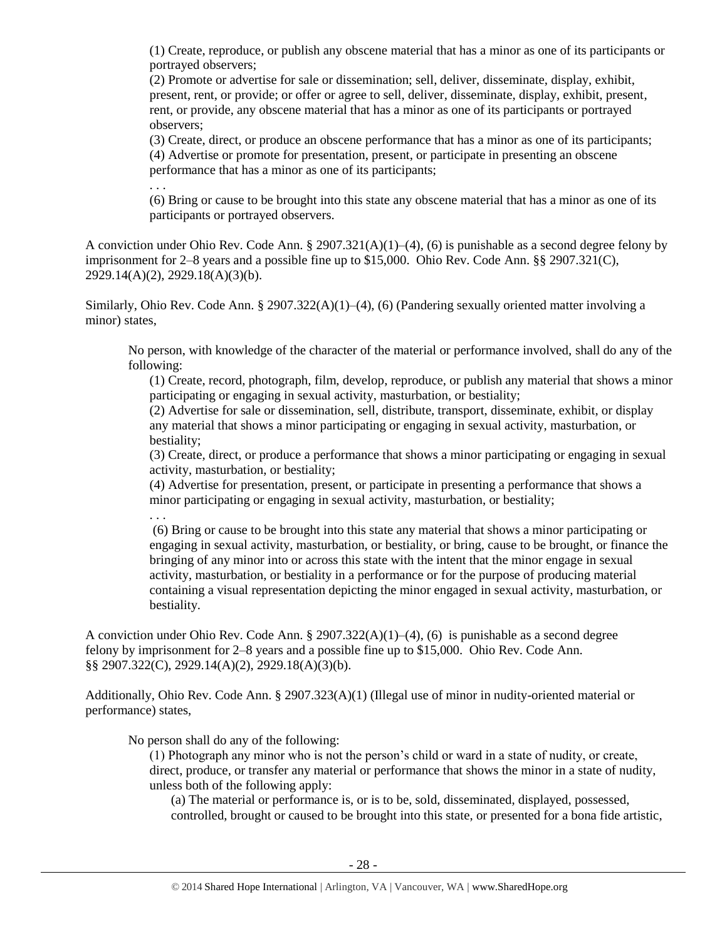(1) Create, reproduce, or publish any obscene material that has a minor as one of its participants or portrayed observers;

(2) Promote or advertise for sale or dissemination; sell, deliver, disseminate, display, exhibit, present, rent, or provide; or offer or agree to sell, deliver, disseminate, display, exhibit, present, rent, or provide, any obscene material that has a minor as one of its participants or portrayed observers;

(3) Create, direct, or produce an obscene performance that has a minor as one of its participants; (4) Advertise or promote for presentation, present, or participate in presenting an obscene performance that has a minor as one of its participants;

. . .

(6) Bring or cause to be brought into this state any obscene material that has a minor as one of its participants or portrayed observers.

A conviction under Ohio Rev. Code Ann. § 2907.321(A)(1)–(4), (6) is punishable as a second degree felony by imprisonment for 2–8 years and a possible fine up to \$15,000. Ohio Rev. Code Ann. §§ 2907.321(C), 2929.14(A)(2), 2929.18(A)(3)(b).

Similarly, Ohio Rev. Code Ann. § 2907.322(A)(1)–(4), (6) (Pandering sexually oriented matter involving a minor) states,

No person, with knowledge of the character of the material or performance involved, shall do any of the following:

(1) Create, record, photograph, film, develop, reproduce, or publish any material that shows a minor participating or engaging in sexual activity, masturbation, or bestiality;

(2) Advertise for sale or dissemination, sell, distribute, transport, disseminate, exhibit, or display any material that shows a minor participating or engaging in sexual activity, masturbation, or bestiality;

(3) Create, direct, or produce a performance that shows a minor participating or engaging in sexual activity, masturbation, or bestiality;

(4) Advertise for presentation, present, or participate in presenting a performance that shows a minor participating or engaging in sexual activity, masturbation, or bestiality;

. . .

(6) Bring or cause to be brought into this state any material that shows a minor participating or engaging in sexual activity, masturbation, or bestiality, or bring, cause to be brought, or finance the bringing of any minor into or across this state with the intent that the minor engage in sexual activity, masturbation, or bestiality in a performance or for the purpose of producing material containing a visual representation depicting the minor engaged in sexual activity, masturbation, or bestiality.

A conviction under Ohio Rev. Code Ann. § 2907.322(A)(1)–(4), (6) is punishable as a second degree felony by imprisonment for 2–8 years and a possible fine up to \$15,000. Ohio Rev. Code Ann. §§ 2907.322(C), 2929.14(A)(2), 2929.18(A)(3)(b).

Additionally, Ohio Rev. Code Ann. § 2907.323(A)(1) (Illegal use of minor in nudity-oriented material or performance) states,

No person shall do any of the following:

(1) Photograph any minor who is not the person's child or ward in a state of nudity, or create, direct, produce, or transfer any material or performance that shows the minor in a state of nudity, unless both of the following apply:

(a) The material or performance is, or is to be, sold, disseminated, displayed, possessed, controlled, brought or caused to be brought into this state, or presented for a bona fide artistic,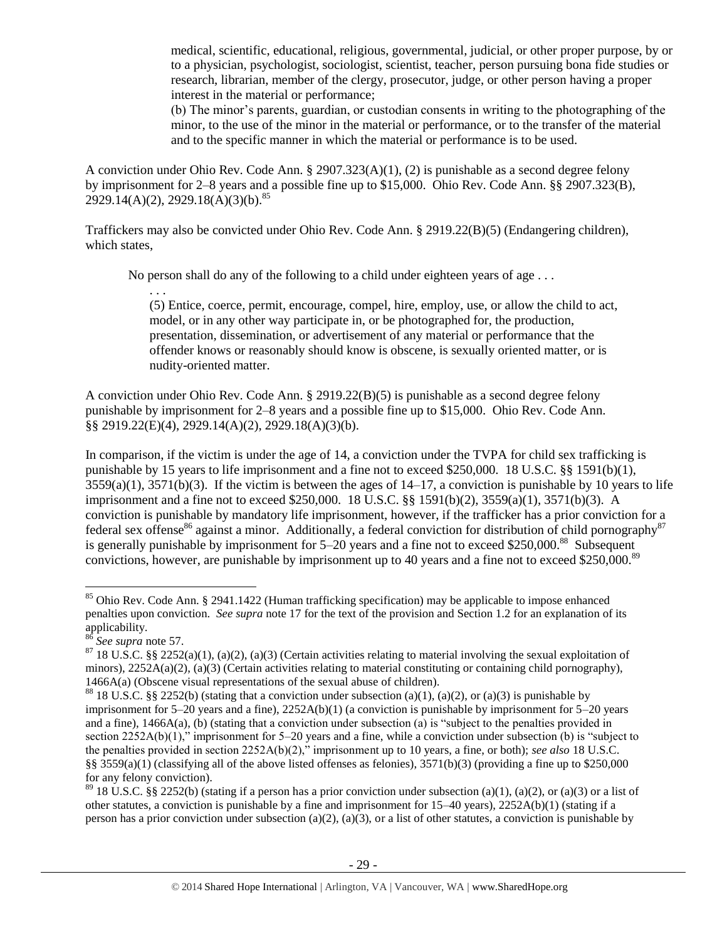medical, scientific, educational, religious, governmental, judicial, or other proper purpose, by or to a physician, psychologist, sociologist, scientist, teacher, person pursuing bona fide studies or research, librarian, member of the clergy, prosecutor, judge, or other person having a proper interest in the material or performance;

(b) The minor's parents, guardian, or custodian consents in writing to the photographing of the minor, to the use of the minor in the material or performance, or to the transfer of the material and to the specific manner in which the material or performance is to be used.

A conviction under Ohio Rev. Code Ann. § 2907.323(A)(1), (2) is punishable as a second degree felony by imprisonment for 2–8 years and a possible fine up to \$15,000. Ohio Rev. Code Ann. §§ 2907.323(B),  $2929.14(A)(2), 2929.18(A)(3)(b).$ <sup>85</sup>

Traffickers may also be convicted under Ohio Rev. Code Ann. § 2919.22(B)(5) (Endangering children), which states,

No person shall do any of the following to a child under eighteen years of age . . .

. . . (5) Entice, coerce, permit, encourage, compel, hire, employ, use, or allow the child to act, model, or in any other way participate in, or be photographed for, the production, presentation, dissemination, or advertisement of any material or performance that the offender knows or reasonably should know is obscene, is sexually oriented matter, or is nudity-oriented matter.

A conviction under Ohio Rev. Code Ann. § 2919.22(B)(5) is punishable as a second degree felony punishable by imprisonment for 2–8 years and a possible fine up to \$15,000. Ohio Rev. Code Ann. §§ 2919.22(E)(4), 2929.14(A)(2), 2929.18(A)(3)(b).

In comparison, if the victim is under the age of 14, a conviction under the TVPA for child sex trafficking is punishable by 15 years to life imprisonment and a fine not to exceed \$250,000. 18 U.S.C. §§ 1591(b)(1),  $3559(a)(1)$ ,  $3571(b)(3)$ . If the victim is between the ages of  $14-17$ , a conviction is punishable by 10 years to life imprisonment and a fine not to exceed \$250,000. 18 U.S.C. §§ 1591(b)(2), 3559(a)(1), 3571(b)(3). A conviction is punishable by mandatory life imprisonment, however, if the trafficker has a prior conviction for a federal sex offense<sup>86</sup> against a minor. Additionally, a federal conviction for distribution of child pornography<sup>87</sup> is generally punishable by imprisonment for  $5-20$  years and a fine not to exceed \$250,000.<sup>88</sup> Subsequent convictions, however, are punishable by imprisonment up to 40 years and a fine not to exceed \$250,000.<sup>89</sup>

 $89$  18 U.S.C. §§ 2252(b) (stating if a person has a prior conviction under subsection (a)(1), (a)(2), or (a)(3) or a list of other statutes, a conviction is punishable by a fine and imprisonment for 15–40 years), 2252A(b)(1) (stating if a person has a prior conviction under subsection (a)(2), (a)(3), or a list of other statutes, a conviction is punishable by

 $\overline{\phantom{a}}$ <sup>85</sup> Ohio Rev. Code Ann. § 2941.1422 (Human trafficking specification) may be applicable to impose enhanced penalties upon conviction. *See supra* not[e 17](#page-4-3) for the text of the provision and Section 1.2 for an explanation of its applicability.

See supra note [57.](#page-17-1)

 $87$  18 U.S.C. §§ 2252(a)(1), (a)(2), (a)(3) (Certain activities relating to material involving the sexual exploitation of minors),  $2252A(a)(2)$ , (a)(3) (Certain activities relating to material constituting or containing child pornography), 1466A(a) (Obscene visual representations of the sexual abuse of children).

<sup>&</sup>lt;sup>88</sup> 18 U.S.C. §§ 2252(b) (stating that a conviction under subsection (a)(1), (a)(2), or (a)(3) is punishable by imprisonment for 5–20 years and a fine), 2252A(b)(1) (a conviction is punishable by imprisonment for 5–20 years and a fine),  $1466A(a)$ , (b) (stating that a conviction under subsection (a) is "subject to the penalties provided in section 2252A(b)(1)," imprisonment for 5–20 years and a fine, while a conviction under subsection (b) is "subject to the penalties provided in section 2252A(b)(2)," imprisonment up to 10 years, a fine, or both); *see also* 18 U.S.C. §§ 3559(a)(1) (classifying all of the above listed offenses as felonies),  $3571(b)(3)$  (providing a fine up to \$250,000 for any felony conviction).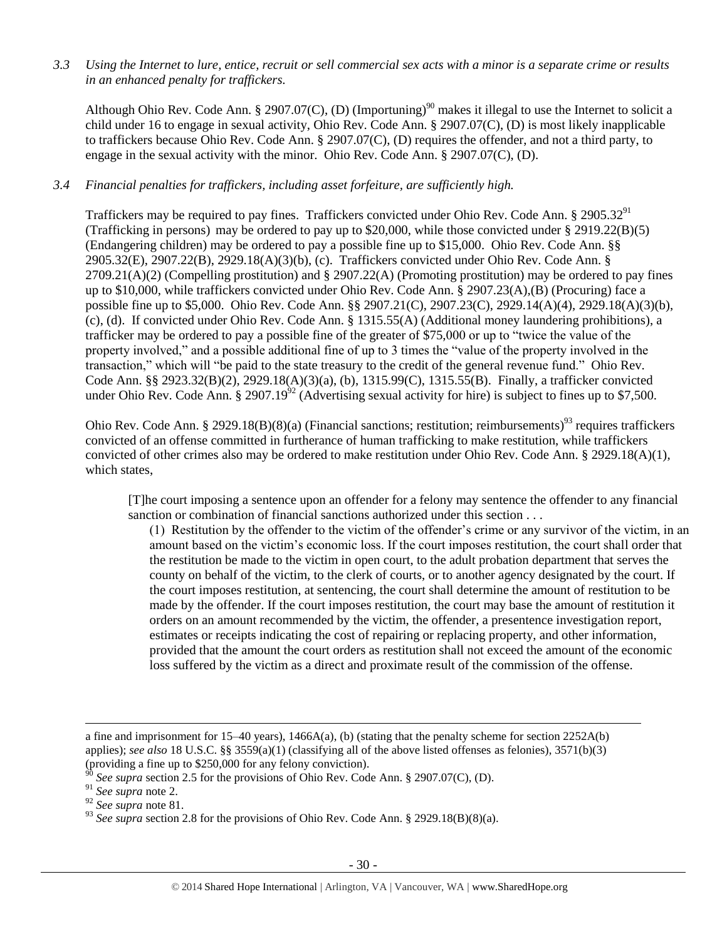*3.3 Using the Internet to lure, entice, recruit or sell commercial sex acts with a minor is a separate crime or results in an enhanced penalty for traffickers.*

Although Ohio Rev. Code Ann. § 2907.07(C), (D) (Importuning)<sup>90</sup> makes it illegal to use the Internet to solicit a child under 16 to engage in sexual activity, Ohio Rev. Code Ann. § 2907.07(C), (D) is most likely inapplicable to traffickers because Ohio Rev. Code Ann. § 2907.07(C), (D) requires the offender, and not a third party, to engage in the sexual activity with the minor. Ohio Rev. Code Ann. § 2907.07(C), (D).

#### *3.4 Financial penalties for traffickers, including asset forfeiture, are sufficiently high.*

Traffickers may be required to pay fines. Traffickers convicted under Ohio Rev. Code Ann. § 2905.32<sup>91</sup> (Trafficking in persons) may be ordered to pay up to \$20,000, while those convicted under § 2919.22(B)(5) (Endangering children) may be ordered to pay a possible fine up to \$15,000. Ohio Rev. Code Ann. §§ 2905.32(E), 2907.22(B), 2929.18(A)(3)(b), (c). Traffickers convicted under Ohio Rev. Code Ann. § 2709.21(A)(2) (Compelling prostitution) and § 2907.22(A) (Promoting prostitution) may be ordered to pay fines up to \$10,000, while traffickers convicted under Ohio Rev. Code Ann. § 2907.23(A),(B) (Procuring) face a possible fine up to \$5,000. Ohio Rev. Code Ann. §§ 2907.21(C), 2907.23(C), 2929.14(A)(4), 2929.18(A)(3)(b), (c), (d). If convicted under Ohio Rev. Code Ann. § 1315.55(A) (Additional money laundering prohibitions), a trafficker may be ordered to pay a possible fine of the greater of \$75,000 or up to "twice the value of the property involved," and a possible additional fine of up to 3 times the "value of the property involved in the transaction," which will "be paid to the state treasury to the credit of the general revenue fund." Ohio Rev. Code Ann. §§ 2923.32(B)(2), 2929.18(A)(3)(a), (b), 1315.99(C), 1315.55(B). Finally, a trafficker convicted under Ohio Rev. Code Ann. § 2907.19<sup>92</sup> (Advertising sexual activity for hire) is subject to fines up to \$7,500.

Ohio Rev. Code Ann. § 2929.18(B)(8)(a) (Financial sanctions; restitution; reimbursements)<sup>93</sup> requires traffickers convicted of an offense committed in furtherance of human trafficking to make restitution, while traffickers convicted of other crimes also may be ordered to make restitution under Ohio Rev. Code Ann. § 2929.18(A)(1), which states,

[T]he court imposing a sentence upon an offender for a felony may sentence the offender to any financial sanction or combination of financial sanctions authorized under this section . . .

(1) Restitution by the offender to the victim of the offender's crime or any survivor of the victim, in an amount based on the victim's economic loss. If the court imposes restitution, the court shall order that the restitution be made to the victim in open court, to the adult probation department that serves the county on behalf of the victim, to the clerk of courts, or to another agency designated by the court. If the court imposes restitution, at sentencing, the court shall determine the amount of restitution to be made by the offender. If the court imposes restitution, the court may base the amount of restitution it orders on an amount recommended by the victim, the offender, a presentence investigation report, estimates or receipts indicating the cost of repairing or replacing property, and other information, provided that the amount the court orders as restitution shall not exceed the amount of the economic loss suffered by the victim as a direct and proximate result of the commission of the offense.

 $\overline{\phantom{a}}$ 

a fine and imprisonment for 15–40 years), 1466A(a), (b) (stating that the penalty scheme for section 2252A(b) applies); *see also* 18 U.S.C. §§ 3559(a)(1) (classifying all of the above listed offenses as felonies), 3571(b)(3) (providing a fine up to \$250,000 for any felony conviction).

See supra section 2.5 for the provisions of Ohio Rev. Code Ann. § 2907.07(C), (D).

<sup>91</sup> *See supra* note [2.](#page-0-0)

<sup>92</sup> *See supra* note [81.](#page-26-0)

<sup>&</sup>lt;sup>93</sup> See supra section 2.8 for the provisions of Ohio Rev. Code Ann. § 2929.18(B)(8)(a).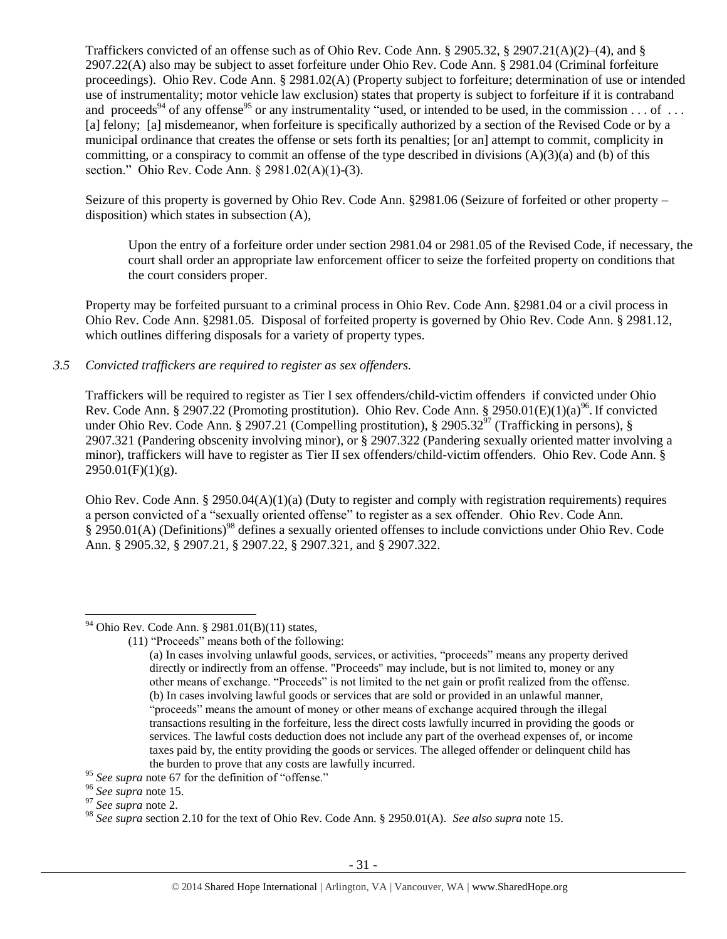<span id="page-30-0"></span>Traffickers convicted of an offense such as of Ohio Rev. Code Ann. § 2905.32, § 2907.21(A)(2)–(4), and § 2907.22(A) also may be subject to asset forfeiture under Ohio Rev. Code Ann. § 2981.04 (Criminal forfeiture proceedings). Ohio Rev. Code Ann. § 2981.02(A) (Property subject to forfeiture; determination of use or intended use of instrumentality; motor vehicle law exclusion) states that property is subject to forfeiture if it is contraband and proceeds<sup>94</sup> of any offense<sup>95</sup> or any instrumentality "used, or intended to be used, in the commission . . . of . . . [a] felony; [a] misdemeanor, when forfeiture is specifically authorized by a section of the Revised Code or by a municipal ordinance that creates the offense or sets forth its penalties; [or an] attempt to commit, complicity in committing, or a conspiracy to commit an offense of the type described in divisions  $(A)(3)(a)$  and (b) of this section." Ohio Rev. Code Ann. § 2981.02(A)(1)-(3).

Seizure of this property is governed by Ohio Rev. Code Ann. §2981.06 (Seizure of forfeited or other property – disposition) which states in subsection (A),

Upon the entry of a forfeiture order under section 2981.04 or 2981.05 of the Revised Code, if necessary, the court shall order an appropriate law enforcement officer to seize the forfeited property on conditions that the court considers proper.

Property may be forfeited pursuant to a criminal process in Ohio Rev. Code Ann. §2981.04 or a civil process in Ohio Rev. Code Ann. §2981.05. Disposal of forfeited property is governed by Ohio Rev. Code Ann. § 2981.12, which outlines differing disposals for a variety of property types.

## *3.5 Convicted traffickers are required to register as sex offenders.*

Traffickers will be required to register as Tier I sex offenders/child-victim offenders if convicted under Ohio Rev. Code Ann. § 2907.22 (Promoting prostitution). Ohio Rev. Code Ann. § 2950.01(E)(1)(a)<sup>96</sup>. If convicted under Ohio Rev. Code Ann. § 2907.21 (Compelling prostitution), § 2905.32<sup>97</sup> (Trafficking in persons), § 2907.321 (Pandering obscenity involving minor), or § 2907.322 (Pandering sexually oriented matter involving a minor), traffickers will have to register as Tier II sex offenders/child-victim offenders. Ohio Rev. Code Ann. §  $2950.01(F)(1)(g)$ .

Ohio Rev. Code Ann. § 2950.04(A)(1)(a) (Duty to register and comply with registration requirements) requires a person convicted of a "sexually oriented offense" to register as a sex offender. Ohio Rev. Code Ann. § 2950.01(A) (Definitions)<sup>98</sup> defines a sexually oriented offenses to include convictions under Ohio Rev. Code Ann. § 2905.32, § 2907.21, § 2907.22, § 2907.321, and § 2907.322.

l

 $94$  Ohio Rev. Code Ann. § 2981.01(B)(11) states,

<sup>(11)</sup> "Proceeds" means both of the following:

<sup>(</sup>a) In cases involving unlawful goods, services, or activities, "proceeds" means any property derived directly or indirectly from an offense. "Proceeds" may include, but is not limited to, money or any other means of exchange. "Proceeds" is not limited to the net gain or profit realized from the offense. (b) In cases involving lawful goods or services that are sold or provided in an unlawful manner, "proceeds" means the amount of money or other means of exchange acquired through the illegal transactions resulting in the forfeiture, less the direct costs lawfully incurred in providing the goods or services. The lawful costs deduction does not include any part of the overhead expenses of, or income taxes paid by, the entity providing the goods or services. The alleged offender or delinquent child has the burden to prove that any costs are lawfully incurred.

<sup>&</sup>lt;sup>95</sup> See supra note [67](#page-20-0) for the definition of "offense."

<sup>96</sup> *See supra* note [15.](#page-4-2)

<sup>97</sup> *See supra* note [2.](#page-0-0)

<sup>98</sup> *See supra* section 2.10 for the text of Ohio Rev. Code Ann. § 2950.01(A). *See also supra* note [15.](#page-4-2)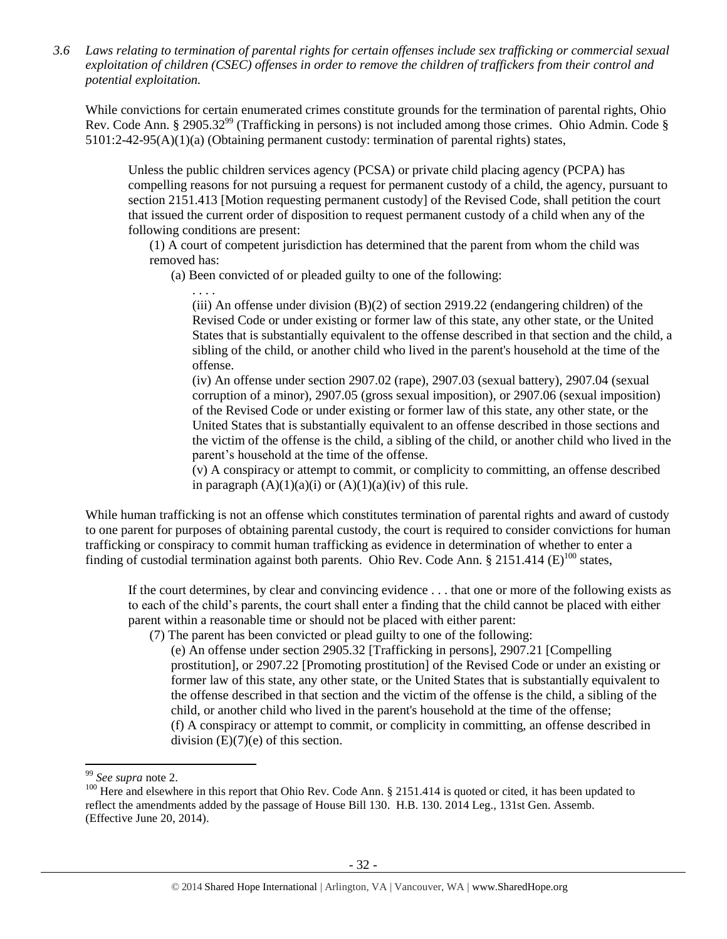*3.6 Laws relating to termination of parental rights for certain offenses include sex trafficking or commercial sexual exploitation of children (CSEC) offenses in order to remove the children of traffickers from their control and potential exploitation.* 

While convictions for certain enumerated crimes constitute grounds for the termination of parental rights, Ohio Rev. Code Ann. § 2905.32<sup>99</sup> (Trafficking in persons) is not included among those crimes. Ohio Admin. Code § 5101:2-42-95(A)(1)(a) (Obtaining permanent custody: termination of parental rights) states,

Unless the public children services agency (PCSA) or private child placing agency (PCPA) has compelling reasons for not pursuing a request for permanent custody of a child, the agency, pursuant to section 2151.413 [Motion requesting permanent custody] of the Revised Code, shall petition the court that issued the current order of disposition to request permanent custody of a child when any of the following conditions are present:

(1) A court of competent jurisdiction has determined that the parent from whom the child was removed has:

(a) Been convicted of or pleaded guilty to one of the following:

. . . .

(iii) An offense under division  $(B)(2)$  of section 2919.22 (endangering children) of the Revised Code or under existing or former law of this state, any other state, or the United States that is substantially equivalent to the offense described in that section and the child, a sibling of the child, or another child who lived in the parent's household at the time of the offense.

(iv) An offense under section 2907.02 (rape), 2907.03 (sexual battery), 2907.04 (sexual corruption of a minor), 2907.05 (gross sexual imposition), or 2907.06 (sexual imposition) of the Revised Code or under existing or former law of this state, any other state, or the United States that is substantially equivalent to an offense described in those sections and the victim of the offense is the child, a sibling of the child, or another child who lived in the parent's household at the time of the offense.

(v) A conspiracy or attempt to commit, or complicity to committing, an offense described in paragraph  $(A)(1)(a)(i)$  or  $(A)(1)(a)(iv)$  of this rule.

While human trafficking is not an offense which constitutes termination of parental rights and award of custody to one parent for purposes of obtaining parental custody, the court is required to consider convictions for human trafficking or conspiracy to commit human trafficking as evidence in determination of whether to enter a finding of custodial termination against both parents. Ohio Rev. Code Ann. § 2151.414 (E)<sup>100</sup> states,

If the court determines, by clear and convincing evidence . . . that one or more of the following exists as to each of the child's parents, the court shall enter a finding that the child cannot be placed with either parent within a reasonable time or should not be placed with either parent:

(7) The parent has been convicted or plead guilty to one of the following:

(e) An offense under section 2905.32 [Trafficking in persons], 2907.21 [Compelling prostitution], or 2907.22 [Promoting prostitution] of the Revised Code or under an existing or former law of this state, any other state, or the United States that is substantially equivalent to the offense described in that section and the victim of the offense is the child, a sibling of the child, or another child who lived in the parent's household at the time of the offense; (f) A conspiracy or attempt to commit, or complicity in committing, an offense described in division  $(E)(7)(e)$  of this section.

 $\overline{\phantom{a}}$ 

<sup>99</sup> *See supra* note [2.](#page-0-0)

<sup>&</sup>lt;sup>100</sup> Here and elsewhere in this report that Ohio Rev. Code Ann. § 2151.414 is quoted or cited, it has been updated to reflect the amendments added by the passage of House Bill 130. H.B. 130. 2014 Leg., 131st Gen. Assemb. (Effective June 20, 2014).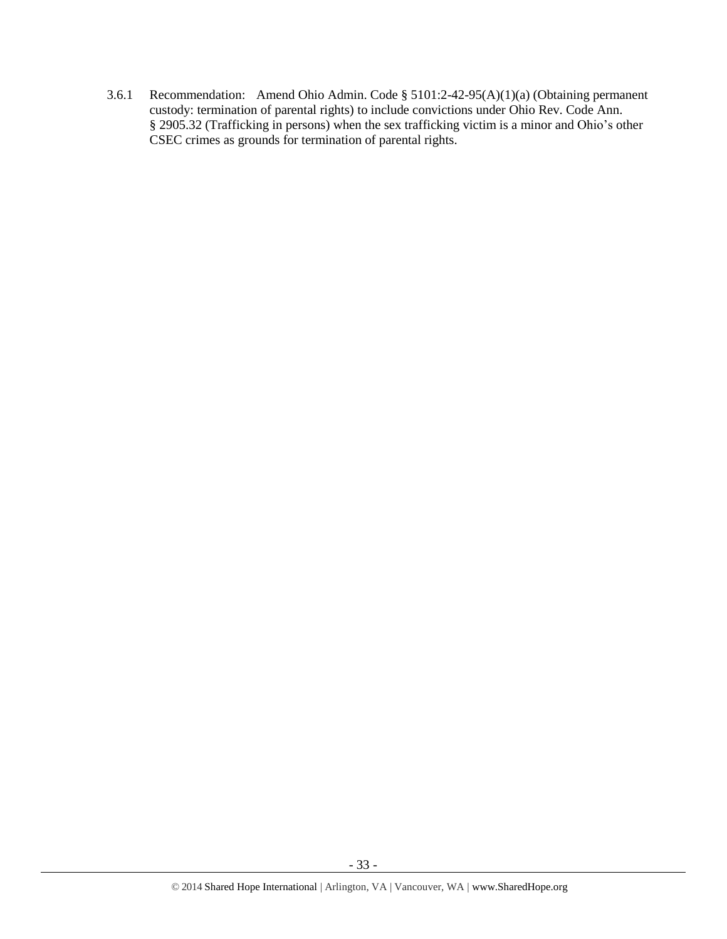3.6.1 Recommendation: Amend Ohio Admin. Code § 5101:2-42-95(A)(1)(a) (Obtaining permanent custody: termination of parental rights) to include convictions under Ohio Rev. Code Ann. § 2905.32 (Trafficking in persons) when the sex trafficking victim is a minor and Ohio's other CSEC crimes as grounds for termination of parental rights.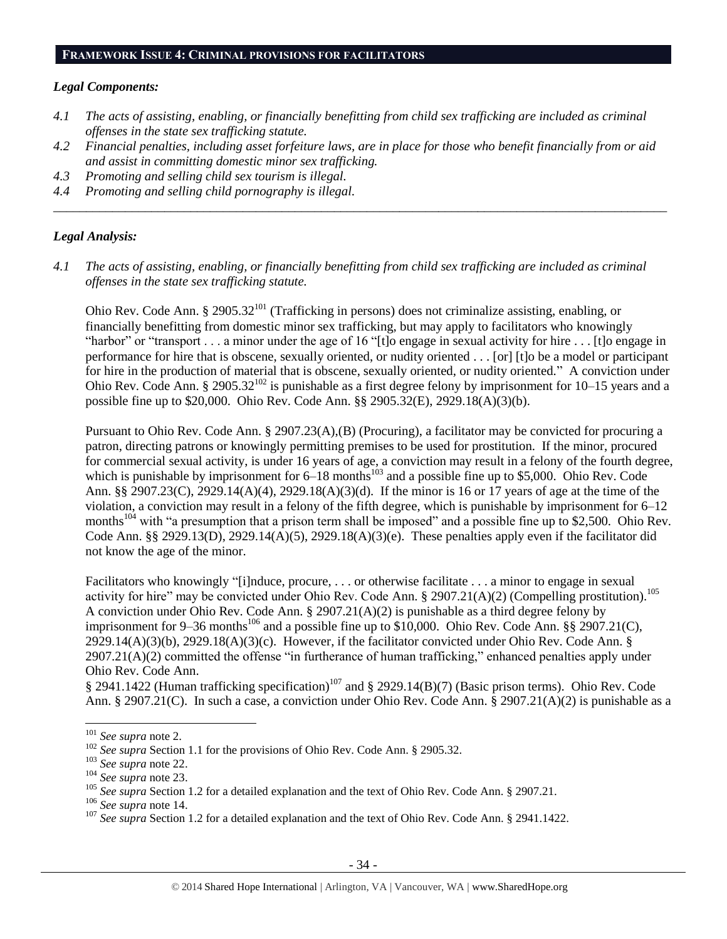#### *Legal Components:*

- *4.1 The acts of assisting, enabling, or financially benefitting from child sex trafficking are included as criminal offenses in the state sex trafficking statute.*
- *4.2 Financial penalties, including asset forfeiture laws, are in place for those who benefit financially from or aid and assist in committing domestic minor sex trafficking.*

*\_\_\_\_\_\_\_\_\_\_\_\_\_\_\_\_\_\_\_\_\_\_\_\_\_\_\_\_\_\_\_\_\_\_\_\_\_\_\_\_\_\_\_\_\_\_\_\_\_\_\_\_\_\_\_\_\_\_\_\_\_\_\_\_\_\_\_\_\_\_\_\_\_\_\_\_\_\_\_\_\_\_\_\_\_\_\_\_\_\_\_\_\_\_*

- *4.3 Promoting and selling child sex tourism is illegal.*
- *4.4 Promoting and selling child pornography is illegal.*

## *Legal Analysis:*

*4.1 The acts of assisting, enabling, or financially benefitting from child sex trafficking are included as criminal offenses in the state sex trafficking statute.*

Ohio Rev. Code Ann. § 2905.32<sup>101</sup> (Trafficking in persons) does not criminalize assisting, enabling, or financially benefitting from domestic minor sex trafficking, but may apply to facilitators who knowingly "harbor" or "transport . . . a minor under the age of 16 "[t]o engage in sexual activity for hire . . . [t]o engage in performance for hire that is obscene, sexually oriented, or nudity oriented . . . [or] [t]o be a model or participant for hire in the production of material that is obscene, sexually oriented, or nudity oriented." A conviction under Ohio Rev. Code Ann. § 2905.32<sup>102</sup> is punishable as a first degree felony by imprisonment for 10–15 years and a possible fine up to \$20,000. Ohio Rev. Code Ann. §§ 2905.32(E), 2929.18(A)(3)(b).

Pursuant to Ohio Rev. Code Ann. § 2907.23(A),(B) (Procuring), a facilitator may be convicted for procuring a patron, directing patrons or knowingly permitting premises to be used for prostitution. If the minor, procured for commercial sexual activity, is under 16 years of age, a conviction may result in a felony of the fourth degree, which is punishable by imprisonment for  $6-18$  months<sup>103</sup> and a possible fine up to \$5,000. Ohio Rev. Code Ann. §§ 2907.23(C), 2929.14(A)(4), 2929.18(A)(3)(d). If the minor is 16 or 17 years of age at the time of the violation, a conviction may result in a felony of the fifth degree, which is punishable by imprisonment for 6–12 months<sup>104</sup> with "a presumption that a prison term shall be imposed" and a possible fine up to \$2,500. Ohio Rev. Code Ann. §§ 2929.13(D), 2929.14(A)(5), 2929.18(A)(3)(e). These penalties apply even if the facilitator did not know the age of the minor.

Facilitators who knowingly "[i]nduce, procure, . . . or otherwise facilitate . . . a minor to engage in sexual activity for hire" may be convicted under Ohio Rev. Code Ann. § 2907.21(A)(2) (Compelling prostitution).<sup>105</sup> A conviction under Ohio Rev. Code Ann. § 2907.21(A)(2) is punishable as a third degree felony by imprisonment for 9–36 months<sup>106</sup> and a possible fine up to \$10,000. Ohio Rev. Code Ann. §§ 2907.21(C), 2929.14(A)(3)(b), 2929.18(A)(3)(c). However, if the facilitator convicted under Ohio Rev. Code Ann. § 2907.21(A)(2) committed the offense "in furtherance of human trafficking," enhanced penalties apply under Ohio Rev. Code Ann.

§ 2941.1422 (Human trafficking specification)<sup>107</sup> and § 2929.14(B)(7) (Basic prison terms). Ohio Rev. Code Ann. § 2907.21(C). In such a case, a conviction under Ohio Rev. Code Ann. § 2907.21(A)(2) is punishable as a

 $\overline{\phantom{a}}$ 

<sup>101</sup> *See supra* note [2.](#page-0-0)

<sup>&</sup>lt;sup>102</sup> *See supra* Section 1.1 for the provisions of Ohio Rev. Code Ann. § 2905.32.

<sup>103</sup> *See supra* not[e 22.](#page-7-1)

<sup>104</sup> *See supra* not[e 23.](#page-7-0)

<sup>&</sup>lt;sup>105</sup> See supra Section 1.2 for a detailed explanation and the text of Ohio Rev. Code Ann. § 2907.21.

<sup>106</sup> *See supra* not[e 14.](#page-4-1)

<sup>107</sup> *See supra* Section 1.2 for a detailed explanation and the text of Ohio Rev. Code Ann. § 2941.1422.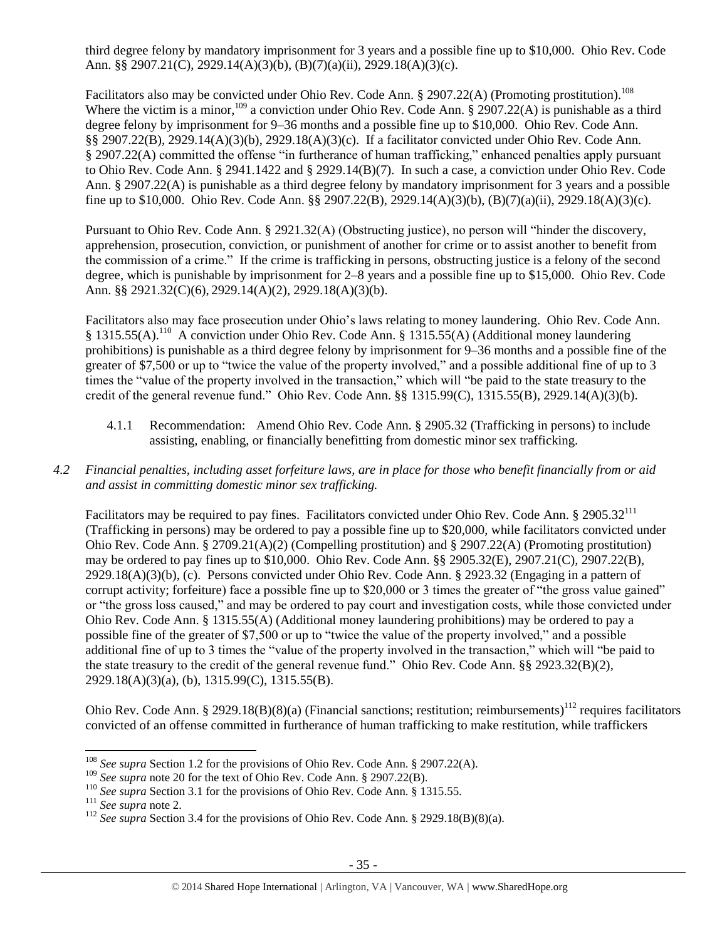third degree felony by mandatory imprisonment for 3 years and a possible fine up to \$10,000. Ohio Rev. Code Ann. §§ 2907.21(C), 2929.14(A)(3)(b), (B)(7)(a)(ii), 2929.18(A)(3)(c).

Facilitators also may be convicted under Ohio Rev. Code Ann. § 2907.22(A) (Promoting prostitution).<sup>108</sup> Where the victim is a minor,<sup>109</sup> a conviction under Ohio Rev. Code Ann. § 2907.22(A) is punishable as a third degree felony by imprisonment for 9–36 months and a possible fine up to \$10,000. Ohio Rev. Code Ann. §§ 2907.22(B), 2929.14(A)(3)(b), 2929.18(A)(3)(c). If a facilitator convicted under Ohio Rev. Code Ann. § 2907.22(A) committed the offense "in furtherance of human trafficking," enhanced penalties apply pursuant to Ohio Rev. Code Ann. § 2941.1422 and § 2929.14(B)(7). In such a case, a conviction under Ohio Rev. Code Ann. § 2907.22(A) is punishable as a third degree felony by mandatory imprisonment for 3 years and a possible fine up to \$10,000. Ohio Rev. Code Ann. §§ 2907.22(B), 2929.14(A)(3)(b), (B)(7)(a)(ii), 2929.18(A)(3)(c).

Pursuant to Ohio Rev. Code Ann. § 2921.32(A) (Obstructing justice), no person will "hinder the discovery, apprehension, prosecution, conviction, or punishment of another for crime or to assist another to benefit from the commission of a crime." If the crime is trafficking in persons, obstructing justice is a felony of the second degree, which is punishable by imprisonment for 2–8 years and a possible fine up to \$15,000. Ohio Rev. Code Ann. §§ 2921.32(C)(6), 2929.14(A)(2), 2929.18(A)(3)(b).

Facilitators also may face prosecution under Ohio's laws relating to money laundering. Ohio Rev. Code Ann. § 1315.55(A).<sup>110</sup> A conviction under Ohio Rev. Code Ann. § 1315.55(A) (Additional money laundering prohibitions) is punishable as a third degree felony by imprisonment for 9–36 months and a possible fine of the greater of \$7,500 or up to "twice the value of the property involved," and a possible additional fine of up to 3 times the "value of the property involved in the transaction," which will "be paid to the state treasury to the credit of the general revenue fund." Ohio Rev. Code Ann. §§ 1315.99(C), 1315.55(B), 2929.14(A)(3)(b).

- 4.1.1 Recommendation: Amend Ohio Rev. Code Ann. § 2905.32 (Trafficking in persons) to include assisting, enabling, or financially benefitting from domestic minor sex trafficking.
- *4.2 Financial penalties, including asset forfeiture laws, are in place for those who benefit financially from or aid and assist in committing domestic minor sex trafficking.*

Facilitators may be required to pay fines. Facilitators convicted under Ohio Rev. Code Ann. § 2905.32<sup>111</sup> (Trafficking in persons) may be ordered to pay a possible fine up to \$20,000, while facilitators convicted under Ohio Rev. Code Ann. § 2709.21(A)(2) (Compelling prostitution) and § 2907.22(A) (Promoting prostitution) may be ordered to pay fines up to \$10,000. Ohio Rev. Code Ann. §§ 2905.32(E), 2907.21(C), 2907.22(B), 2929.18(A)(3)(b), (c). Persons convicted under Ohio Rev. Code Ann. § 2923.32 (Engaging in a pattern of corrupt activity; forfeiture) face a possible fine up to \$20,000 or 3 times the greater of "the gross value gained" or "the gross loss caused," and may be ordered to pay court and investigation costs, while those convicted under Ohio Rev. Code Ann. § 1315.55(A) (Additional money laundering prohibitions) may be ordered to pay a possible fine of the greater of \$7,500 or up to "twice the value of the property involved," and a possible additional fine of up to 3 times the "value of the property involved in the transaction," which will "be paid to the state treasury to the credit of the general revenue fund." Ohio Rev. Code Ann. §§ 2923.32(B)(2), 2929.18(A)(3)(a), (b), 1315.99(C), 1315.55(B).

Ohio Rev. Code Ann. § 2929.18(B)(8)(a) (Financial sanctions; restitution; reimbursements)<sup>112</sup> requires facilitators convicted of an offense committed in furtherance of human trafficking to make restitution, while traffickers

 $\overline{a}$ <sup>108</sup> *See supra* Section 1.2 for the provisions of Ohio Rev. Code Ann. § 2907.22(A).

<sup>109</sup> *See supra* not[e 20](#page-6-0) for the text of Ohio Rev. Code Ann. § 2907.22(B).

<sup>&</sup>lt;sup>110</sup> See supra Section 3.1 for the provisions of Ohio Rev. Code Ann. § 1315.55.

<sup>111</sup> *See supra* note [2.](#page-0-0)

<sup>&</sup>lt;sup>112</sup> *See supra* Section 3.4 for the provisions of Ohio Rev. Code Ann. § 2929.18(B)(8)(a).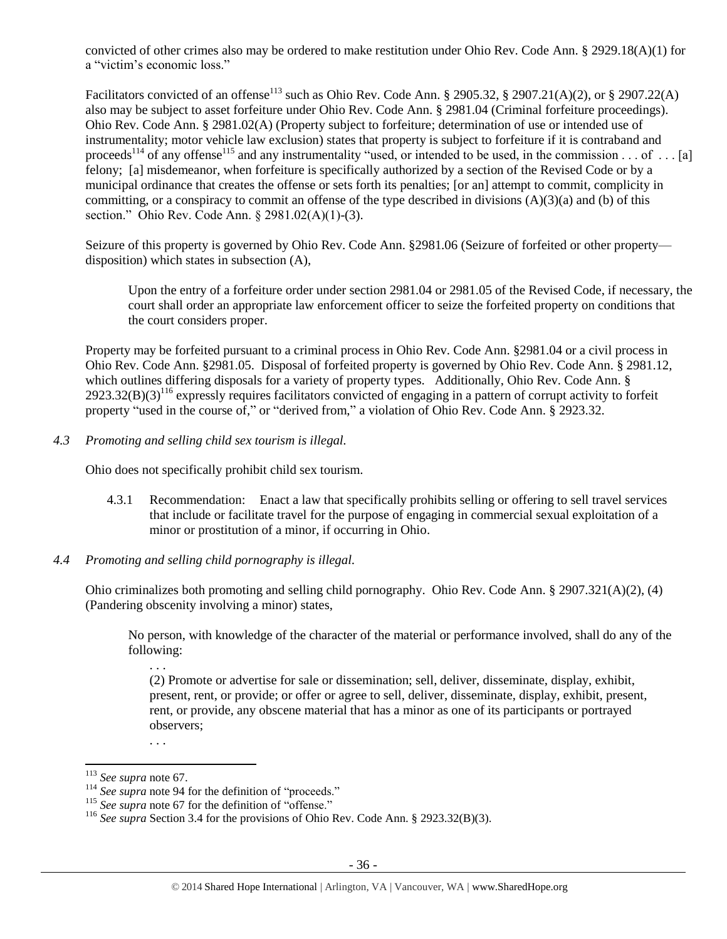convicted of other crimes also may be ordered to make restitution under Ohio Rev. Code Ann. § 2929.18(A)(1) for a "victim's economic loss."

Facilitators convicted of an offense<sup>113</sup> such as Ohio Rev. Code Ann. § 2905.32, § 2907.21(A)(2), or § 2907.22(A) also may be subject to asset forfeiture under Ohio Rev. Code Ann. § 2981.04 (Criminal forfeiture proceedings). Ohio Rev. Code Ann. § 2981.02(A) (Property subject to forfeiture; determination of use or intended use of instrumentality; motor vehicle law exclusion) states that property is subject to forfeiture if it is contraband and proceeds<sup>114</sup> of any offense<sup>115</sup> and any instrumentality "used, or intended to be used, in the commission . . . of . . . [a] felony; [a] misdemeanor, when forfeiture is specifically authorized by a section of the Revised Code or by a municipal ordinance that creates the offense or sets forth its penalties; [or an] attempt to commit, complicity in committing, or a conspiracy to commit an offense of the type described in divisions  $(A)(3)(a)$  and (b) of this section." Ohio Rev. Code Ann. § 2981.02(A)(1)-(3).

Seizure of this property is governed by Ohio Rev. Code Ann. §2981.06 (Seizure of forfeited or other property disposition) which states in subsection (A),

Upon the entry of a forfeiture order under section 2981.04 or 2981.05 of the Revised Code, if necessary, the court shall order an appropriate law enforcement officer to seize the forfeited property on conditions that the court considers proper.

Property may be forfeited pursuant to a criminal process in Ohio Rev. Code Ann. §2981.04 or a civil process in Ohio Rev. Code Ann. §2981.05. Disposal of forfeited property is governed by Ohio Rev. Code Ann. § 2981.12, which outlines differing disposals for a variety of property types. Additionally, Ohio Rev. Code Ann. § 2923.32(B)(3)<sup>116</sup> expressly requires facilitators convicted of engaging in a pattern of corrupt activity to forfeit property "used in the course of," or "derived from," a violation of Ohio Rev. Code Ann. § 2923.32.

*4.3 Promoting and selling child sex tourism is illegal.*

Ohio does not specifically prohibit child sex tourism.

- 4.3.1 Recommendation: Enact a law that specifically prohibits selling or offering to sell travel services that include or facilitate travel for the purpose of engaging in commercial sexual exploitation of a minor or prostitution of a minor, if occurring in Ohio.
- *4.4 Promoting and selling child pornography is illegal.*

Ohio criminalizes both promoting and selling child pornography. Ohio Rev. Code Ann. § 2907.321(A)(2), (4) (Pandering obscenity involving a minor) states,

No person, with knowledge of the character of the material or performance involved, shall do any of the following:

. . .

. . .

(2) Promote or advertise for sale or dissemination; sell, deliver, disseminate, display, exhibit, present, rent, or provide; or offer or agree to sell, deliver, disseminate, display, exhibit, present, rent, or provide, any obscene material that has a minor as one of its participants or portrayed observers;

 $\overline{\phantom{a}}$ <sup>113</sup> *See supra* note [67.](#page-20-0)

<sup>&</sup>lt;sup>114</sup> See supra not[e 94](#page-30-0) for the definition of "proceeds."

<sup>&</sup>lt;sup>115</sup> *See supra* not[e 67](#page-20-0) for the definition of "offense."

<sup>116</sup> *See supra* Section 3.4 for the provisions of Ohio Rev. Code Ann. § 2923.32(B)(3).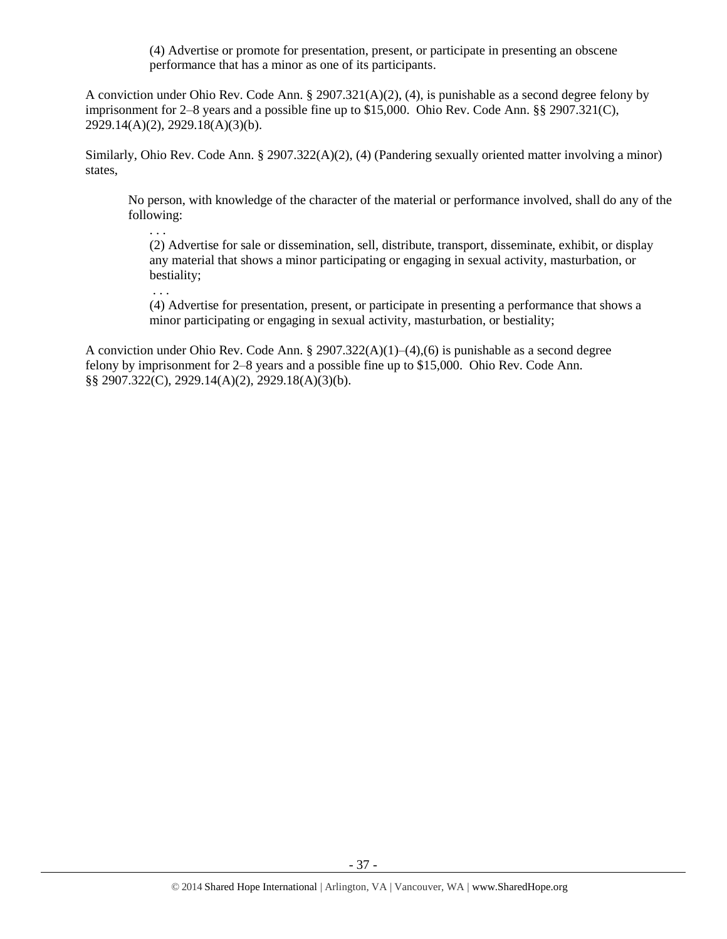(4) Advertise or promote for presentation, present, or participate in presenting an obscene performance that has a minor as one of its participants.

A conviction under Ohio Rev. Code Ann. § 2907.321(A)(2), (4), is punishable as a second degree felony by imprisonment for 2–8 years and a possible fine up to \$15,000. Ohio Rev. Code Ann. §§ 2907.321(C), 2929.14(A)(2), 2929.18(A)(3)(b).

Similarly, Ohio Rev. Code Ann. § 2907.322(A)(2), (4) (Pandering sexually oriented matter involving a minor) states,

No person, with knowledge of the character of the material or performance involved, shall do any of the following:

(2) Advertise for sale or dissemination, sell, distribute, transport, disseminate, exhibit, or display any material that shows a minor participating or engaging in sexual activity, masturbation, or bestiality;

(4) Advertise for presentation, present, or participate in presenting a performance that shows a minor participating or engaging in sexual activity, masturbation, or bestiality;

A conviction under Ohio Rev. Code Ann.  $\S 2907.322(A)(1)–(4),(6)$  is punishable as a second degree felony by imprisonment for 2–8 years and a possible fine up to \$15,000. Ohio Rev. Code Ann. §§ 2907.322(C), 2929.14(A)(2), 2929.18(A)(3)(b).

. . .

. . .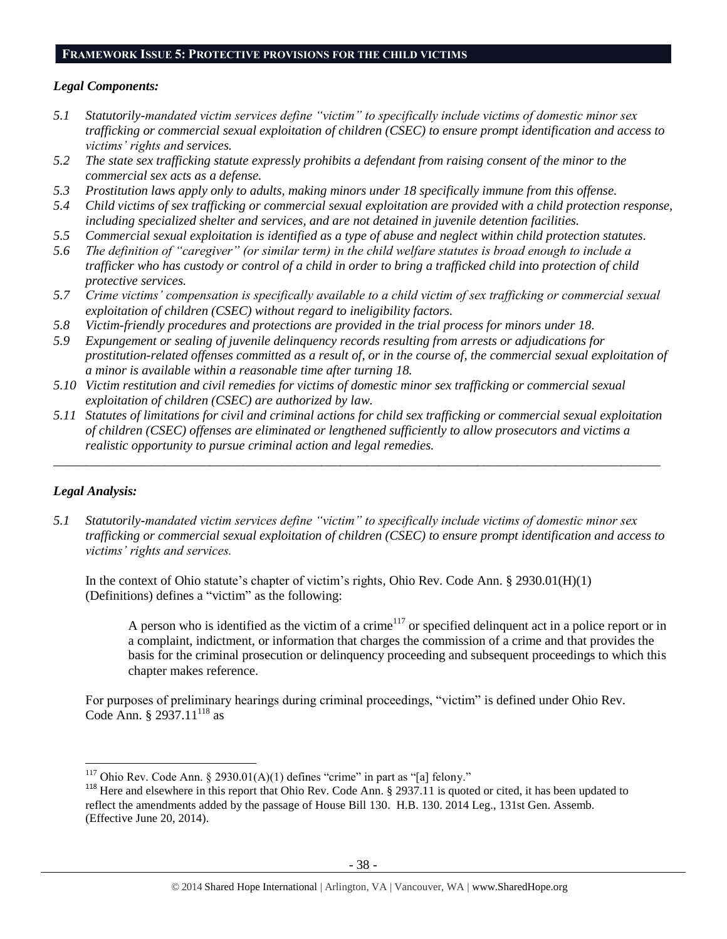#### **FRAMEWORK ISSUE 5: PROTECTIVE PROVISIONS FOR THE CHILD VICTIMS**

#### *Legal Components:*

- *5.1 Statutorily-mandated victim services define "victim" to specifically include victims of domestic minor sex trafficking or commercial sexual exploitation of children (CSEC) to ensure prompt identification and access to victims' rights and services.*
- *5.2 The state sex trafficking statute expressly prohibits a defendant from raising consent of the minor to the commercial sex acts as a defense.*
- *5.3 Prostitution laws apply only to adults, making minors under 18 specifically immune from this offense.*
- *5.4 Child victims of sex trafficking or commercial sexual exploitation are provided with a child protection response, including specialized shelter and services, and are not detained in juvenile detention facilities.*
- *5.5 Commercial sexual exploitation is identified as a type of abuse and neglect within child protection statutes.*
- *5.6 The definition of "caregiver" (or similar term) in the child welfare statutes is broad enough to include a trafficker who has custody or control of a child in order to bring a trafficked child into protection of child protective services.*
- *5.7 Crime victims' compensation is specifically available to a child victim of sex trafficking or commercial sexual exploitation of children (CSEC) without regard to ineligibility factors.*
- *5.8 Victim-friendly procedures and protections are provided in the trial process for minors under 18.*
- *5.9 Expungement or sealing of juvenile delinquency records resulting from arrests or adjudications for prostitution-related offenses committed as a result of, or in the course of, the commercial sexual exploitation of a minor is available within a reasonable time after turning 18.*
- *5.10 Victim restitution and civil remedies for victims of domestic minor sex trafficking or commercial sexual exploitation of children (CSEC) are authorized by law.*
- *5.11 Statutes of limitations for civil and criminal actions for child sex trafficking or commercial sexual exploitation of children (CSEC) offenses are eliminated or lengthened sufficiently to allow prosecutors and victims a realistic opportunity to pursue criminal action and legal remedies.*

*\_\_\_\_\_\_\_\_\_\_\_\_\_\_\_\_\_\_\_\_\_\_\_\_\_\_\_\_\_\_\_\_\_\_\_\_\_\_\_\_\_\_\_\_\_\_\_\_\_\_\_\_\_\_\_\_\_\_\_\_\_\_\_\_\_\_\_\_\_\_\_\_\_\_\_\_\_\_\_\_\_\_\_\_\_\_\_\_\_\_\_\_\_*

## *Legal Analysis:*

 $\overline{\phantom{a}}$ 

*5.1 Statutorily-mandated victim services define "victim" to specifically include victims of domestic minor sex trafficking or commercial sexual exploitation of children (CSEC) to ensure prompt identification and access to victims' rights and services.*

In the context of Ohio statute's chapter of victim's rights, Ohio Rev. Code Ann. § 2930.01(H)(1) (Definitions) defines a "victim" as the following:

A person who is identified as the victim of a crime<sup>117</sup> or specified delinquent act in a police report or in a complaint, indictment, or information that charges the commission of a crime and that provides the basis for the criminal prosecution or delinquency proceeding and subsequent proceedings to which this chapter makes reference.

For purposes of preliminary hearings during criminal proceedings, "victim" is defined under Ohio Rev. Code Ann. § 2937.11 $^{118}$  as

<sup>&</sup>lt;sup>117</sup> Ohio Rev. Code Ann. § 2930.01(A)(1) defines "crime" in part as "[a] felony."

<sup>&</sup>lt;sup>118</sup> Here and elsewhere in this report that Ohio Rev. Code Ann. § 2937.11 is quoted or cited, it has been updated to reflect the amendments added by the passage of House Bill 130. H.B. 130. 2014 Leg., 131st Gen. Assemb. (Effective June 20, 2014).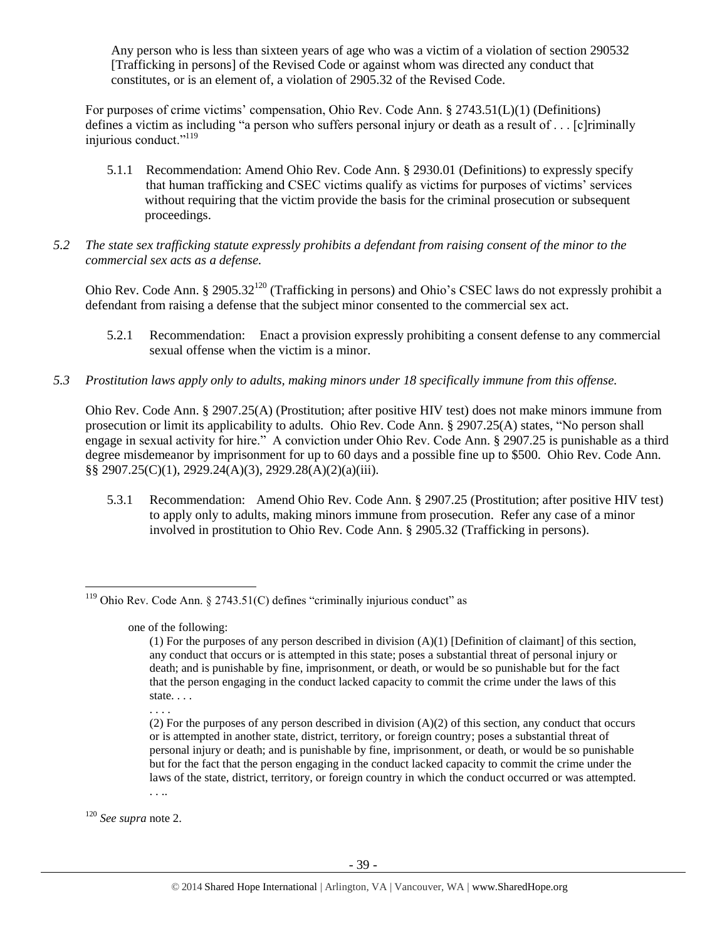Any person who is less than sixteen years of age who was a victim of a violation of section 290532 [Trafficking in persons] of the Revised Code or against whom was directed any conduct that constitutes, or is an element of, a violation of 2905.32 of the Revised Code.

For purposes of crime victims' compensation, Ohio Rev. Code Ann. § 2743.51(L)(1) (Definitions) defines a victim as including "a person who suffers personal injury or death as a result of . . . [c]riminally injurious conduct."<sup>119</sup>

- <span id="page-38-0"></span>5.1.1 Recommendation: Amend Ohio Rev. Code Ann. § 2930.01 (Definitions) to expressly specify that human trafficking and CSEC victims qualify as victims for purposes of victims' services without requiring that the victim provide the basis for the criminal prosecution or subsequent proceedings.
- *5.2 The state sex trafficking statute expressly prohibits a defendant from raising consent of the minor to the commercial sex acts as a defense.*

Ohio Rev. Code Ann. § 2905.32<sup>120</sup> (Trafficking in persons) and Ohio's CSEC laws do not expressly prohibit a defendant from raising a defense that the subject minor consented to the commercial sex act.

- 5.2.1 Recommendation: Enact a provision expressly prohibiting a consent defense to any commercial sexual offense when the victim is a minor.
- *5.3 Prostitution laws apply only to adults, making minors under 18 specifically immune from this offense.*

Ohio Rev. Code Ann. § 2907.25(A) (Prostitution; after positive HIV test) does not make minors immune from prosecution or limit its applicability to adults. Ohio Rev. Code Ann. § 2907.25(A) states, "No person shall engage in sexual activity for hire." A conviction under Ohio Rev. Code Ann. § 2907.25 is punishable as a third degree misdemeanor by imprisonment for up to 60 days and a possible fine up to \$500. Ohio Rev. Code Ann. §§ 2907.25(C)(1), 2929.24(A)(3), 2929.28(A)(2)(a)(iii).

5.3.1 Recommendation: Amend Ohio Rev. Code Ann. § 2907.25 (Prostitution; after positive HIV test) to apply only to adults, making minors immune from prosecution. Refer any case of a minor involved in prostitution to Ohio Rev. Code Ann. § 2905.32 (Trafficking in persons).

one of the following:

. . . .

 $\overline{\phantom{a}}$  $119$  Ohio Rev. Code Ann. § 2743.51(C) defines "criminally injurious conduct" as

<sup>(1)</sup> For the purposes of any person described in division  $(A)(1)$  [Definition of claimant] of this section, any conduct that occurs or is attempted in this state; poses a substantial threat of personal injury or death; and is punishable by fine, imprisonment, or death, or would be so punishable but for the fact that the person engaging in the conduct lacked capacity to commit the crime under the laws of this state. . . .

<sup>(2)</sup> For the purposes of any person described in division (A)(2) of this section, any conduct that occurs or is attempted in another state, district, territory, or foreign country; poses a substantial threat of personal injury or death; and is punishable by fine, imprisonment, or death, or would be so punishable but for the fact that the person engaging in the conduct lacked capacity to commit the crime under the laws of the state, district, territory, or foreign country in which the conduct occurred or was attempted. . . ..

<sup>120</sup> *See supra* note [2.](#page-0-0)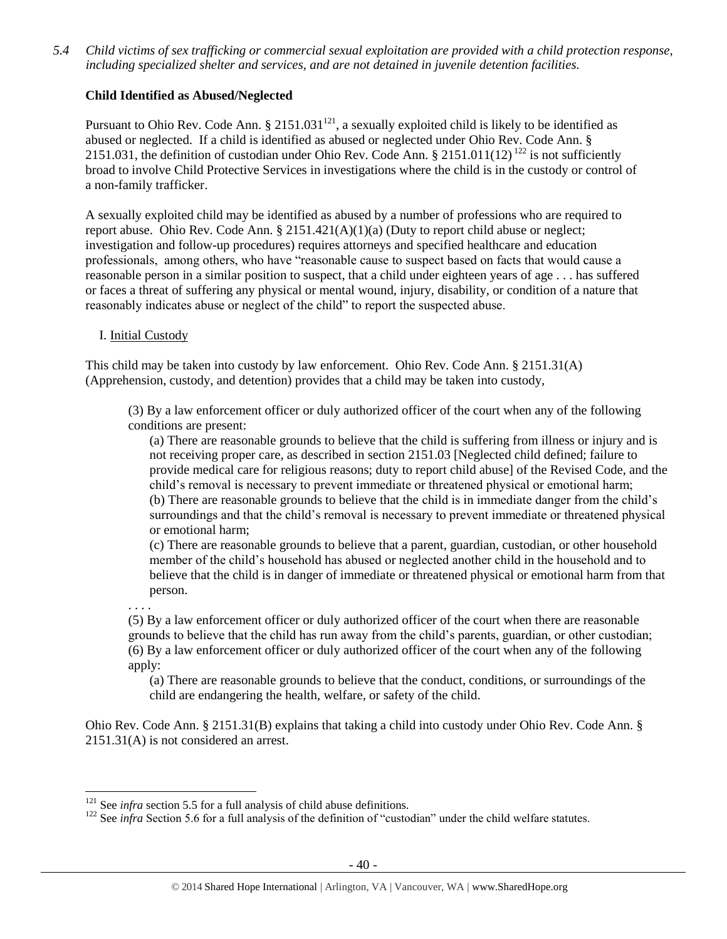*5.4 Child victims of sex trafficking or commercial sexual exploitation are provided with a child protection response, including specialized shelter and services, and are not detained in juvenile detention facilities.*

# **Child Identified as Abused/Neglected**

Pursuant to Ohio Rev. Code Ann. § 2151.031<sup>121</sup>, a sexually exploited child is likely to be identified as abused or neglected. If a child is identified as abused or neglected under Ohio Rev. Code Ann. § 2151.031, the definition of custodian under Ohio Rev. Code Ann. § 2151.011(12)<sup>122</sup> is not sufficiently broad to involve Child Protective Services in investigations where the child is in the custody or control of a non-family trafficker.

A sexually exploited child may be identified as abused by a number of professions who are required to report abuse. Ohio Rev. Code Ann.  $\S 2151.421(A)(1)(a)$  (Duty to report child abuse or neglect; investigation and follow-up procedures) requires attorneys and specified healthcare and education professionals, among others, who have "reasonable cause to suspect based on facts that would cause a reasonable person in a similar position to suspect, that a child under eighteen years of age . . . has suffered or faces a threat of suffering any physical or mental wound, injury, disability, or condition of a nature that reasonably indicates abuse or neglect of the child" to report the suspected abuse.

## I. Initial Custody

This child may be taken into custody by law enforcement. Ohio Rev. Code Ann. § 2151.31(A) (Apprehension, custody, and detention) provides that a child may be taken into custody,

(3) By a law enforcement officer or duly authorized officer of the court when any of the following conditions are present:

(a) There are reasonable grounds to believe that the child is suffering from illness or injury and is not receiving proper care, as described in section [2151.03](http://codes.ohio.gov/orc/2151.03) [Neglected child defined; failure to provide medical care for religious reasons; duty to report child abuse] of the Revised Code, and the child's removal is necessary to prevent immediate or threatened physical or emotional harm; (b) There are reasonable grounds to believe that the child is in immediate danger from the child's surroundings and that the child's removal is necessary to prevent immediate or threatened physical or emotional harm;

(c) There are reasonable grounds to believe that a parent, guardian, custodian, or other household member of the child's household has abused or neglected another child in the household and to believe that the child is in danger of immediate or threatened physical or emotional harm from that person.

. . . .

 $\overline{a}$ 

(5) By a law enforcement officer or duly authorized officer of the court when there are reasonable grounds to believe that the child has run away from the child's parents, guardian, or other custodian; (6) By a law enforcement officer or duly authorized officer of the court when any of the following apply:

(a) There are reasonable grounds to believe that the conduct, conditions, or surroundings of the child are endangering the health, welfare, or safety of the child.

Ohio Rev. Code Ann. § 2151.31(B) explains that taking a child into custody under Ohio Rev. Code Ann. § 2151.31(A) is not considered an arrest.

<sup>&</sup>lt;sup>121</sup> See *infra* section 5.5 for a full analysis of child abuse definitions.

<sup>&</sup>lt;sup>122</sup> See *infra* Section 5.6 for a full analysis of the definition of "custodian" under the child welfare statutes.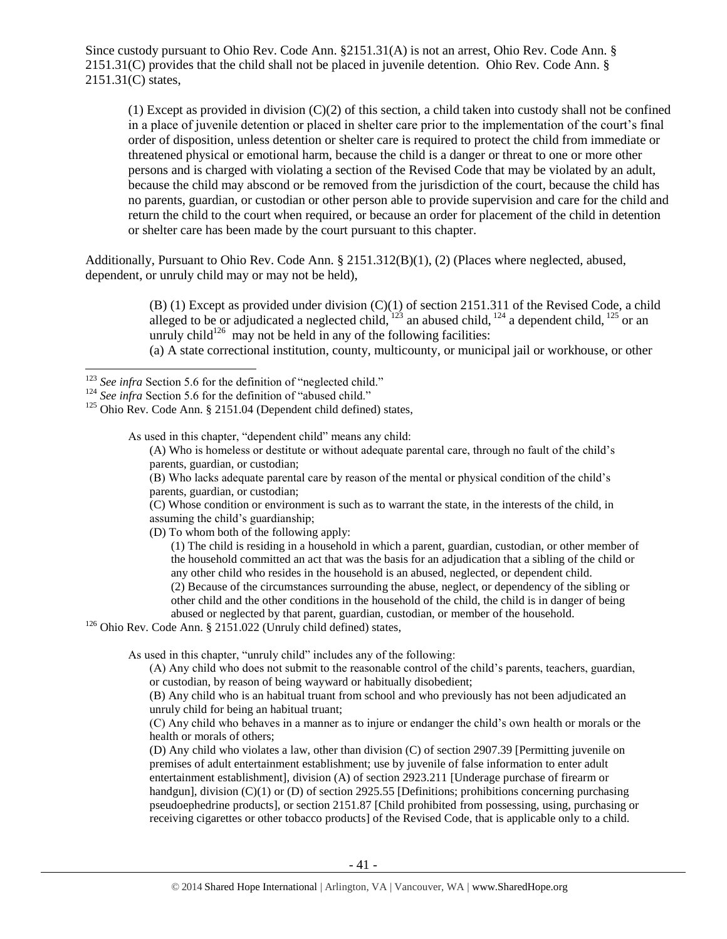Since custody pursuant to Ohio Rev. Code Ann. §2151.31(A) is not an arrest, Ohio Rev. Code Ann. § 2151.31(C) provides that the child shall not be placed in juvenile detention. Ohio Rev. Code Ann. § 2151.31(C) states,

(1) Except as provided in division (C)(2) of this section, a child taken into custody shall not be confined in a place of juvenile detention or placed in shelter care prior to the implementation of the court's final order of disposition, unless detention or shelter care is required to protect the child from immediate or threatened physical or emotional harm, because the child is a danger or threat to one or more other persons and is charged with violating a section of the Revised Code that may be violated by an adult, because the child may abscond or be removed from the jurisdiction of the court, because the child has no parents, guardian, or custodian or other person able to provide supervision and care for the child and return the child to the court when required, or because an order for placement of the child in detention or shelter care has been made by the court pursuant to this chapter.

Additionally, Pursuant to Ohio Rev. Code Ann. § 2151.312(B)(1), (2) (Places where neglected, abused, dependent, or unruly child may or may not be held),

> (B) (1) Except as provided under division (C)(1) of section 2151.311 of the Revised Code, a child alleged to be or adjudicated a neglected child,  $^{123}$  an abused child,  $^{124}$  a dependent child,  $^{125}$  or an unruly child<sup>126</sup> may not be held in any of the following facilities:

(a) A state correctional institution, county, multicounty, or municipal jail or workhouse, or other

l

As used in this chapter, "dependent child" means any child:

(A) Who is homeless or destitute or without adequate parental care, through no fault of the child's parents, guardian, or custodian;

(B) Who lacks adequate parental care by reason of the mental or physical condition of the child's parents, guardian, or custodian;

(C) Whose condition or environment is such as to warrant the state, in the interests of the child, in assuming the child's guardianship;

(D) To whom both of the following apply:

(1) The child is residing in a household in which a parent, guardian, custodian, or other member of the household committed an act that was the basis for an adjudication that a sibling of the child or any other child who resides in the household is an abused, neglected, or dependent child. (2) Because of the circumstances surrounding the abuse, neglect, or dependency of the sibling or other child and the other conditions in the household of the child, the child is in danger of being abused or neglected by that parent, guardian, custodian, or member of the household.

<sup>126</sup> Ohio Rev. Code Ann. § 2151.022 (Unruly child defined) states,

As used in this chapter, "unruly child" includes any of the following:

(A) Any child who does not submit to the reasonable control of the child's parents, teachers, guardian, or custodian, by reason of being wayward or habitually disobedient;

(B) Any child who is an habitual truant from school and who previously has not been adjudicated an unruly child for being an habitual truant;

(C) Any child who behaves in a manner as to injure or endanger the child's own health or morals or the health or morals of others;

(D) Any child who violates a law, other than division (C) of section 2907.39 [Permitting juvenile on premises of adult entertainment establishment; use by juvenile of false information to enter adult entertainment establishment], division (A) of section 2923.211 [Underage purchase of firearm or handgun], division  $(C)(1)$  or  $(D)$  of section 2925.55 [Definitions; prohibitions concerning purchasing pseudoephedrine products], or section 2151.87 [Child prohibited from possessing, using, purchasing or receiving cigarettes or other tobacco products] of the Revised Code, that is applicable only to a child.

<sup>&</sup>lt;sup>123</sup> See infra Section 5.6 for the definition of "neglected child."

<sup>&</sup>lt;sup>124</sup> *See infra* Section 5.6 for the definition of "abused child."

<sup>125</sup> Ohio Rev. Code Ann. § 2151.04 (Dependent child defined) states,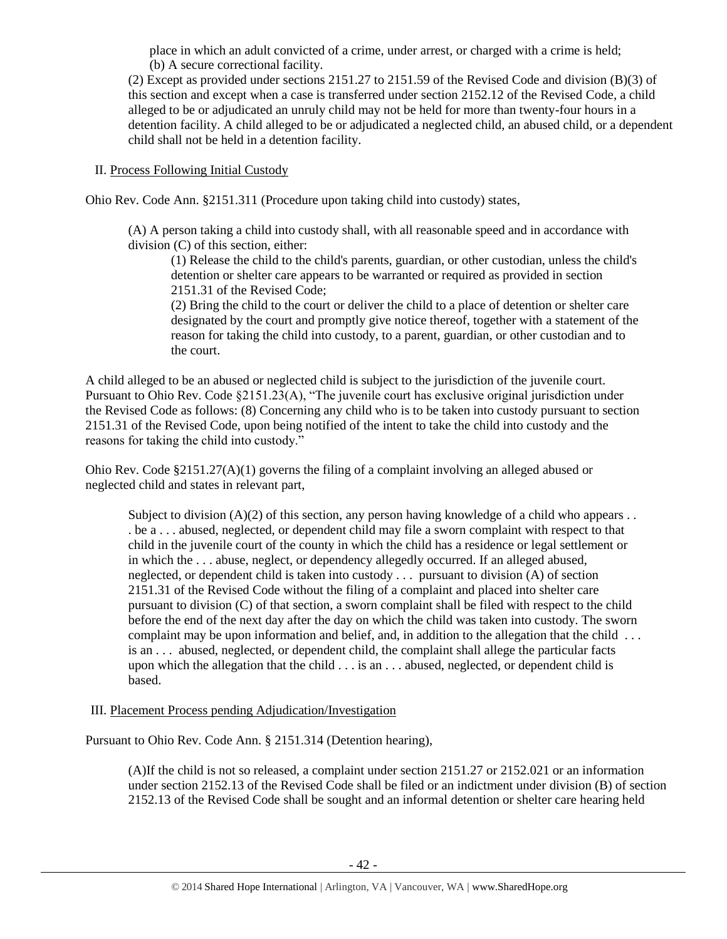place in which an adult convicted of a crime, under arrest, or charged with a crime is held; (b) A secure correctional facility.

(2) Except as provided under sections 2151.27 to 2151.59 of the Revised Code and division (B)(3) of this section and except when a case is transferred under section 2152.12 of the Revised Code, a child alleged to be or adjudicated an unruly child may not be held for more than twenty-four hours in a detention facility. A child alleged to be or adjudicated a neglected child, an abused child, or a dependent child shall not be held in a detention facility.

# II. Process Following Initial Custody

Ohio Rev. Code Ann. §2151.311 (Procedure upon taking child into custody) states,

(A) A person taking a child into custody shall, with all reasonable speed and in accordance with division (C) of this section, either:

(1) Release the child to the child's parents, guardian, or other custodian, unless the child's detention or shelter care appears to be warranted or required as provided in section 2151.31 of the Revised Code;

(2) Bring the child to the court or deliver the child to a place of detention or shelter care designated by the court and promptly give notice thereof, together with a statement of the reason for taking the child into custody, to a parent, guardian, or other custodian and to the court.

A child alleged to be an abused or neglected child is subject to the jurisdiction of the juvenile court. Pursuant to Ohio Rev. Code §2151.23(A), "The juvenile court has exclusive original jurisdiction under the Revised Code as follows: (8) Concerning any child who is to be taken into custody pursuant to section 2151.31 of the Revised Code, upon being notified of the intent to take the child into custody and the reasons for taking the child into custody."

Ohio Rev. Code  $\S2151.27(A)(1)$  governs the filing of a complaint involving an alleged abused or neglected child and states in relevant part,

Subject to division  $(A)(2)$  of this section, any person having knowledge of a child who appears . . . be a . . . abused, neglected, or dependent child may file a sworn complaint with respect to that child in the juvenile court of the county in which the child has a residence or legal settlement or in which the . . . abuse, neglect, or dependency allegedly occurred. If an alleged abused, neglected, or dependent child is taken into custody . . . pursuant to division (A) of section 2151.31 of the Revised Code without the filing of a complaint and placed into shelter care pursuant to division (C) of that section, a sworn complaint shall be filed with respect to the child before the end of the next day after the day on which the child was taken into custody. The sworn complaint may be upon information and belief, and, in addition to the allegation that the child ... is an . . . abused, neglected, or dependent child, the complaint shall allege the particular facts upon which the allegation that the child . . . is an . . . abused, neglected, or dependent child is based.

# III. Placement Process pending Adjudication/Investigation

Pursuant to Ohio Rev. Code Ann. § 2151.314 (Detention hearing),

(A)If the child is not so released, a complaint under section 2151.27 or 2152.021 or an information under [section 2152.13 of the Revised Code](https://a.next.westlaw.com/Link/Document/FullText?findType=L&pubNum=1000279&cite=OHSTS2152.13&originatingDoc=NADDC87705EC911DB8852FC25F2F5B472&refType=LQ&originationContext=document&transitionType=DocumentItem&contextData=(sc.Category)) shall be filed or an indictment under [division \(B\) of section](https://a.next.westlaw.com/Link/Document/FullText?findType=L&pubNum=1000279&cite=OHSTS2152.13&originatingDoc=NADDC87705EC911DB8852FC25F2F5B472&refType=SP&originationContext=document&transitionType=DocumentItem&contextData=(sc.Category)#co_pp_47dd0000d9ea7)  [2152.13 of the Revised Code](https://a.next.westlaw.com/Link/Document/FullText?findType=L&pubNum=1000279&cite=OHSTS2152.13&originatingDoc=NADDC87705EC911DB8852FC25F2F5B472&refType=SP&originationContext=document&transitionType=DocumentItem&contextData=(sc.Category)#co_pp_47dd0000d9ea7) shall be sought and an informal detention or shelter care hearing held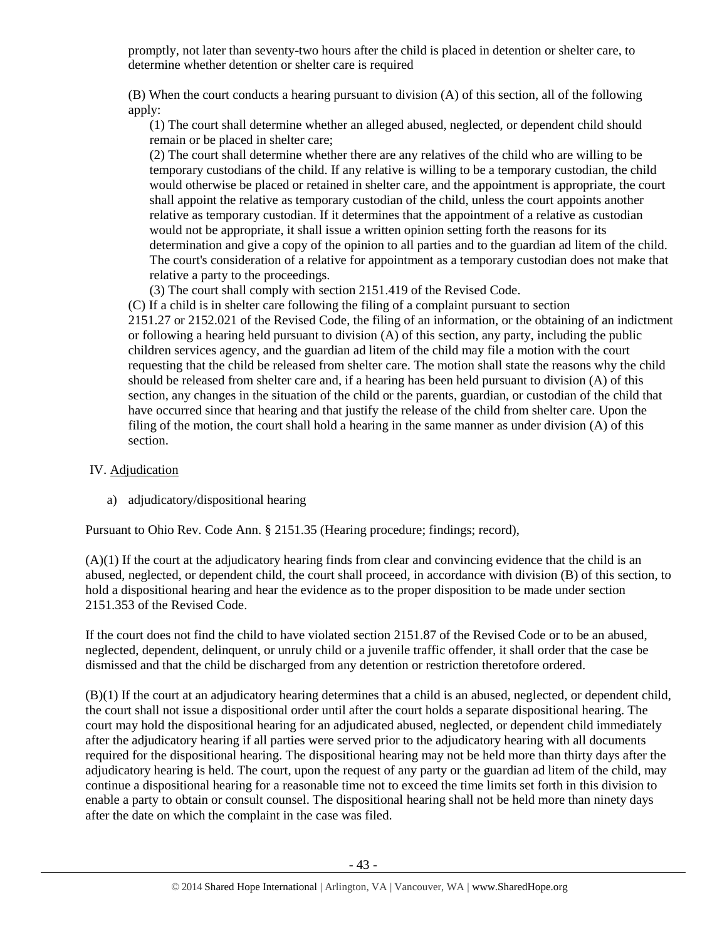promptly, not later than seventy-two hours after the child is placed in detention or shelter care, to determine whether detention or shelter care is required

(B) When the court conducts a hearing pursuant to division (A) of this section, all of the following apply:

(1) The court shall determine whether an alleged abused, neglected, or dependent child should remain or be placed in shelter care;

(2) The court shall determine whether there are any relatives of the child who are willing to be temporary custodians of the child. If any relative is willing to be a temporary custodian, the child would otherwise be placed or retained in shelter care, and the appointment is appropriate, the court shall appoint the relative as temporary custodian of the child, unless the court appoints another relative as temporary custodian. If it determines that the appointment of a relative as custodian would not be appropriate, it shall issue a written opinion setting forth the reasons for its determination and give a copy of the opinion to all parties and to the guardian ad litem of the child. The court's consideration of a relative for appointment as a temporary custodian does not make that relative a party to the proceedings.

(3) The court shall comply with [section 2151.419 of the Revised Code.](https://a.next.westlaw.com/Link/Document/FullText?findType=L&pubNum=1000279&cite=OHSTS2151.419&originatingDoc=NADDC87705EC911DB8852FC25F2F5B472&refType=LQ&originationContext=document&transitionType=DocumentItem&contextData=(sc.Category))

(C) If a child is in shelter care following the filing of a complaint pursuant to [section](https://a.next.westlaw.com/Link/Document/FullText?findType=L&pubNum=1000279&cite=OHSTS2151.27&originatingDoc=NADDC87705EC911DB8852FC25F2F5B472&refType=LQ&originationContext=document&transitionType=DocumentItem&contextData=(sc.Category))  [2151.27](https://a.next.westlaw.com/Link/Document/FullText?findType=L&pubNum=1000279&cite=OHSTS2151.27&originatingDoc=NADDC87705EC911DB8852FC25F2F5B472&refType=LQ&originationContext=document&transitionType=DocumentItem&contextData=(sc.Category)) or [2152.021 of the Revised Code,](https://a.next.westlaw.com/Link/Document/FullText?findType=L&pubNum=1000279&cite=OHSTS2152.021&originatingDoc=NADDC87705EC911DB8852FC25F2F5B472&refType=LQ&originationContext=document&transitionType=DocumentItem&contextData=(sc.Category)) the filing of an information, or the obtaining of an indictment or following a hearing held pursuant to division (A) of this section, any party, including the public children services agency, and the guardian ad litem of the child may file a motion with the court requesting that the child be released from shelter care. The motion shall state the reasons why the child should be released from shelter care and, if a hearing has been held pursuant to division (A) of this section, any changes in the situation of the child or the parents, guardian, or custodian of the child that have occurred since that hearing and that justify the release of the child from shelter care. Upon the filing of the motion, the court shall hold a hearing in the same manner as under division (A) of this section.

## IV. Adjudication

a) adjudicatory/dispositional hearing

Pursuant to Ohio Rev. Code Ann. § 2151.35 (Hearing procedure; findings; record),

(A)(1) If the court at the adjudicatory hearing finds from clear and convincing evidence that the child is an abused, neglected, or dependent child, the court shall proceed, in accordance with division (B) of this section, to hold a dispositional hearing and hear the evidence as to the proper disposition to be made under [section](https://a.next.westlaw.com/Link/Document/FullText?findType=L&pubNum=1000279&cite=OHSTS2151.353&originatingDoc=NAFD98FF05EC911DB8852FC25F2F5B472&refType=LQ&originationContext=document&transitionType=DocumentItem&contextData=(sc.Category))  [2151.353 of the Revised Code.](https://a.next.westlaw.com/Link/Document/FullText?findType=L&pubNum=1000279&cite=OHSTS2151.353&originatingDoc=NAFD98FF05EC911DB8852FC25F2F5B472&refType=LQ&originationContext=document&transitionType=DocumentItem&contextData=(sc.Category))

If the court does not find the child to have violated [section 2151.87 of the Revised Code](https://a.next.westlaw.com/Link/Document/FullText?findType=L&pubNum=1000279&cite=OHSTS2151.87&originatingDoc=NAFD98FF05EC911DB8852FC25F2F5B472&refType=LQ&originationContext=document&transitionType=DocumentItem&contextData=(sc.Category)) or to be an abused, neglected, dependent, delinquent, or unruly child or a juvenile traffic offender, it shall order that the case be dismissed and that the child be discharged from any detention or restriction theretofore ordered.

(B)(1) If the court at an adjudicatory hearing determines that a child is an abused, neglected, or dependent child, the court shall not issue a dispositional order until after the court holds a separate dispositional hearing. The court may hold the dispositional hearing for an adjudicated abused, neglected, or dependent child immediately after the adjudicatory hearing if all parties were served prior to the adjudicatory hearing with all documents required for the dispositional hearing. The dispositional hearing may not be held more than thirty days after the adjudicatory hearing is held. The court, upon the request of any party or the guardian ad litem of the child, may continue a dispositional hearing for a reasonable time not to exceed the time limits set forth in this division to enable a party to obtain or consult counsel. The dispositional hearing shall not be held more than ninety days after the date on which the complaint in the case was filed.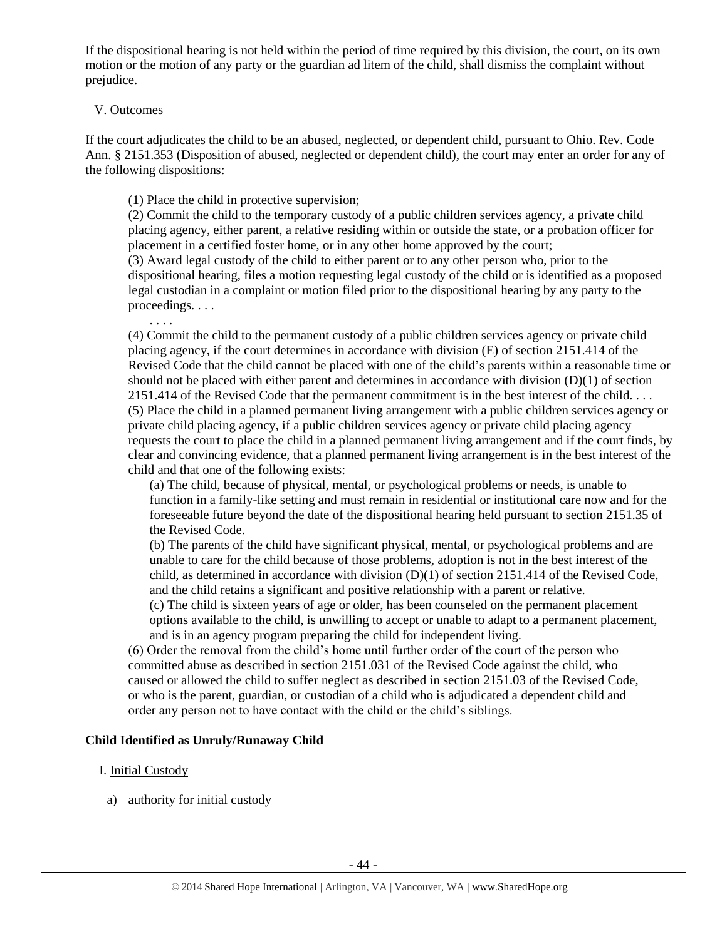If the dispositional hearing is not held within the period of time required by this division, the court, on its own motion or the motion of any party or the guardian ad litem of the child, shall dismiss the complaint without prejudice.

## V. Outcomes

If the court adjudicates the child to be an abused, neglected, or dependent child, pursuant to Ohio. Rev. Code Ann. § 2151.353 (Disposition of abused, neglected or dependent child), the court may enter an order for any of the following dispositions:

(1) Place the child in protective supervision;

(2) Commit the child to the temporary custody of a public children services agency, a private child placing agency, either parent, a relative residing within or outside the state, or a probation officer for placement in a certified foster home, or in any other home approved by the court; (3) Award legal custody of the child to either parent or to any other person who, prior to the dispositional hearing, files a motion requesting legal custody of the child or is identified as a proposed legal custodian in a complaint or motion filed prior to the dispositional hearing by any party to the proceedings. . . .

. . . .

(4) Commit the child to the permanent custody of a public children services agency or private child placing agency, if the court determines in accordance with division (E) of section 2151.414 of the Revised Code that the child cannot be placed with one of the child's parents within a reasonable time or should not be placed with either parent and determines in accordance with division  $(D)(1)$  of section 2151.414 of the Revised Code that the permanent commitment is in the best interest of the child. . . . (5) Place the child in a planned permanent living arrangement with a public children services agency or private child placing agency, if a public children services agency or private child placing agency requests the court to place the child in a planned permanent living arrangement and if the court finds, by clear and convincing evidence, that a planned permanent living arrangement is in the best interest of the child and that one of the following exists:

(a) The child, because of physical, mental, or psychological problems or needs, is unable to function in a family-like setting and must remain in residential or institutional care now and for the foreseeable future beyond the date of the dispositional hearing held pursuant to section 2151.35 of the Revised Code.

(b) The parents of the child have significant physical, mental, or psychological problems and are unable to care for the child because of those problems, adoption is not in the best interest of the child, as determined in accordance with division (D)(1) of section 2151.414 of the Revised Code, and the child retains a significant and positive relationship with a parent or relative.

(c) The child is sixteen years of age or older, has been counseled on the permanent placement options available to the child, is unwilling to accept or unable to adapt to a permanent placement, and is in an agency program preparing the child for independent living.

(6) Order the removal from the child's home until further order of the court of the person who committed abuse as described in section 2151.031 of the Revised Code against the child, who caused or allowed the child to suffer neglect as described in section 2151.03 of the Revised Code, or who is the parent, guardian, or custodian of a child who is adjudicated a dependent child and order any person not to have contact with the child or the child's siblings.

# **Child Identified as Unruly/Runaway Child**

## I. Initial Custody

a) authority for initial custody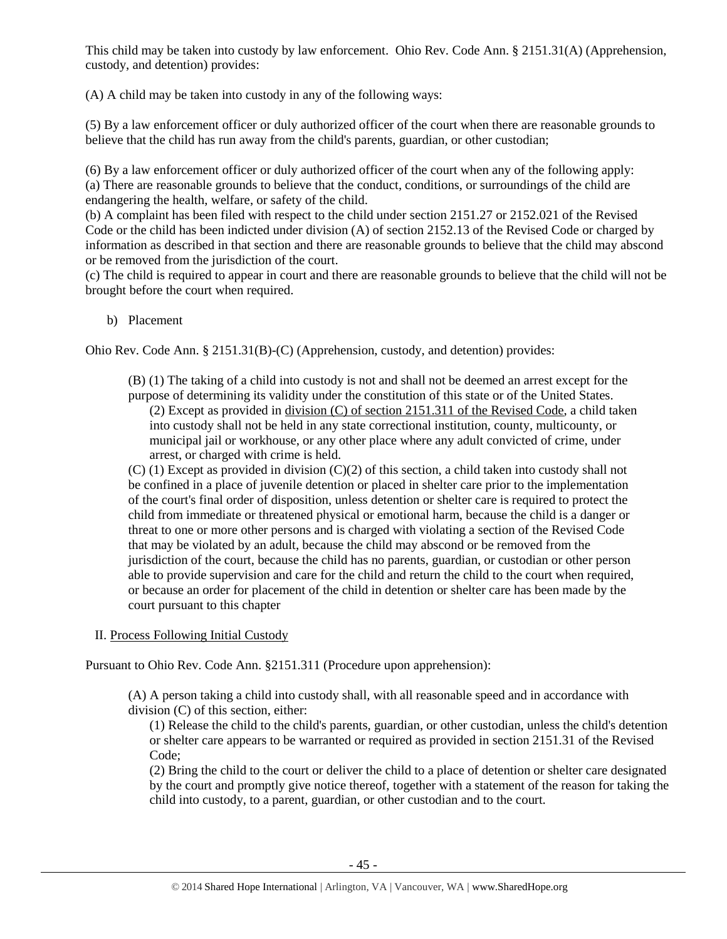This child may be taken into custody by law enforcement. Ohio Rev. Code Ann. § 2151.31(A) (Apprehension, custody, and detention) provides:

(A) A child may be taken into custody in any of the following ways:

(5) By a law enforcement officer or duly authorized officer of the court when there are reasonable grounds to believe that the child has run away from the child's parents, guardian, or other custodian;

(6) By a law enforcement officer or duly authorized officer of the court when any of the following apply: (a) There are reasonable grounds to believe that the conduct, conditions, or surroundings of the child are endangering the health, welfare, or safety of the child.

(b) A complaint has been filed with respect to the child under [section 2151.27](https://1.next.westlaw.com/Link/Document/FullText?findType=L&pubNum=1000279&cite=OHSTS2151.27&originatingDoc=NAC8B9D705EC911DB8852FC25F2F5B472&refType=LQ&originationContext=document&transitionType=DocumentItem&contextData=(sc.Category)) or [2152.021 of the Revised](https://1.next.westlaw.com/Link/Document/FullText?findType=L&pubNum=1000279&cite=OHSTS2152.021&originatingDoc=NAC8B9D705EC911DB8852FC25F2F5B472&refType=LQ&originationContext=document&transitionType=DocumentItem&contextData=(sc.Category))  [Code](https://1.next.westlaw.com/Link/Document/FullText?findType=L&pubNum=1000279&cite=OHSTS2152.021&originatingDoc=NAC8B9D705EC911DB8852FC25F2F5B472&refType=LQ&originationContext=document&transitionType=DocumentItem&contextData=(sc.Category)) or the child has been indicted under [division \(A\) of section 2152.13 of the Revised Code](https://1.next.westlaw.com/Link/Document/FullText?findType=L&pubNum=1000279&cite=OHSTS2152.13&originatingDoc=NAC8B9D705EC911DB8852FC25F2F5B472&refType=SP&originationContext=document&transitionType=DocumentItem&contextData=(sc.Category)#co_pp_9f360000ada85) or charged by information as described in that section and there are reasonable grounds to believe that the child may abscond or be removed from the jurisdiction of the court.

(c) The child is required to appear in court and there are reasonable grounds to believe that the child will not be brought before the court when required.

b) Placement

Ohio Rev. Code Ann. § 2151.31(B)-(C) (Apprehension, custody, and detention) provides:

(B) (1) The taking of a child into custody is not and shall not be deemed an arrest except for the purpose of determining its validity under the constitution of this state or of the United States.

(2) Except as provided in division (C) of section [2151.311 of the Revised Code,](https://1.next.westlaw.com/Link/Document/FullText?findType=L&pubNum=1000279&cite=OHSTS2151.311&originatingDoc=NAC8B9D705EC911DB8852FC25F2F5B472&refType=SP&originationContext=document&transitionType=DocumentItem&contextData=(sc.Category)#co_pp_cf1000002eff7) a child taken into custody shall not be held in any state correctional institution, county, multicounty, or municipal jail or workhouse, or any other place where any adult convicted of crime, under arrest, or charged with crime is held.

(C) (1) Except as provided in division (C)(2) of this section, a child taken into custody shall not be confined in a place of juvenile detention or placed in shelter care prior to the implementation of the court's final order of disposition, unless detention or shelter care is required to protect the child from immediate or threatened physical or emotional harm, because the child is a danger or threat to one or more other persons and is charged with violating a section of the Revised Code that may be violated by an adult, because the child may abscond or be removed from the jurisdiction of the court, because the child has no parents, guardian, or custodian or other person able to provide supervision and care for the child and return the child to the court when required, or because an order for placement of the child in detention or shelter care has been made by the court pursuant to this chapter

# II. Process Following Initial Custody

Pursuant to Ohio Rev. Code Ann. §2151.311 (Procedure upon apprehension):

(A) A person taking a child into custody shall, with all reasonable speed and in accordance with division (C) of this section, either:

(1) Release the child to the child's parents, guardian, or other custodian, unless the child's detention or shelter care appears to be warranted or required as provided in section 2151.31 of the Revised Code;

(2) Bring the child to the court or deliver the child to a place of detention or shelter care designated by the court and promptly give notice thereof, together with a statement of the reason for taking the child into custody, to a parent, guardian, or other custodian and to the court.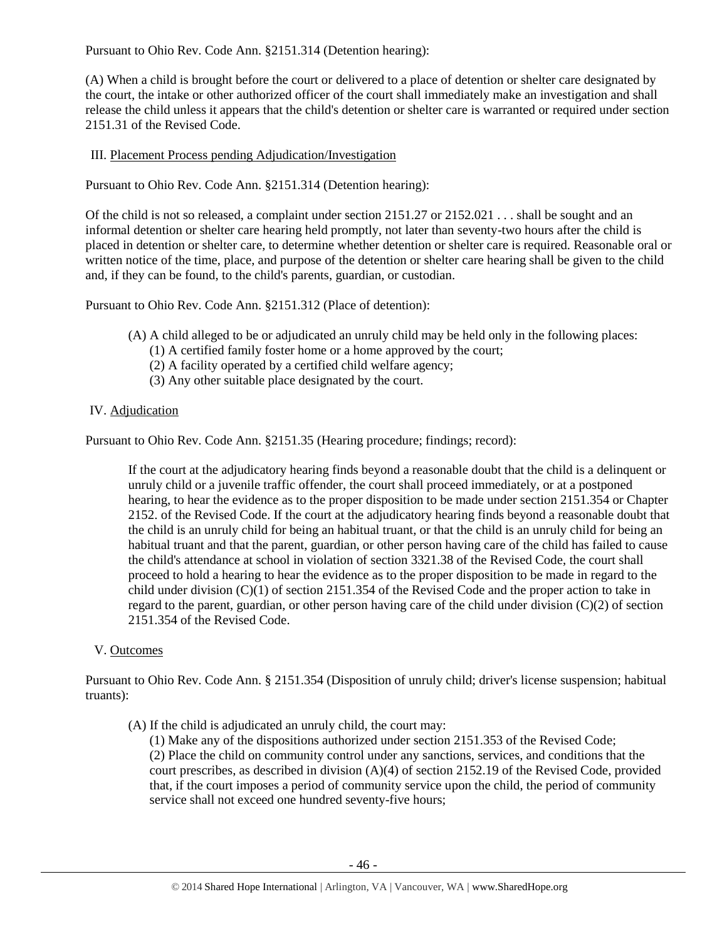Pursuant to Ohio Rev. Code Ann. §2151.314 (Detention hearing):

(A) When a child is brought before the court or delivered to a place of detention or shelter care designated by the court, the intake or other authorized officer of the court shall immediately make an investigation and shall release the child unless it appears that the child's detention or shelter care is warranted or required under section 2151.31 of the Revised Code.

# III. Placement Process pending Adjudication/Investigation

Pursuant to Ohio Rev. Code Ann. §2151.314 (Detention hearing):

Of the child is not so released, a complaint under section 2151.27 or 2152.021 . . . shall be sought and an informal detention or shelter care hearing held promptly, not later than seventy-two hours after the child is placed in detention or shelter care, to determine whether detention or shelter care is required. Reasonable oral or written notice of the time, place, and purpose of the detention or shelter care hearing shall be given to the child and, if they can be found, to the child's parents, guardian, or custodian.

Pursuant to Ohio Rev. Code Ann. §2151.312 (Place of detention):

- (A) A child alleged to be or adjudicated an unruly child may be held only in the following places:
	- (1) A certified family foster home or a home approved by the court;
	- (2) A facility operated by a certified child welfare agency;
	- (3) Any other suitable place designated by the court.

## IV. Adjudication

Pursuant to Ohio Rev. Code Ann. §2151.35 (Hearing procedure; findings; record):

If the court at the adjudicatory hearing finds beyond a reasonable doubt that the child is a delinquent or unruly child or a juvenile traffic offender, the court shall proceed immediately, or at a postponed hearing, to hear the evidence as to the proper disposition to be made under section 2151.354 or Chapter 2152. of the Revised Code. If the court at the adjudicatory hearing finds beyond a reasonable doubt that the child is an unruly child for being an habitual truant, or that the child is an unruly child for being an habitual truant and that the parent, guardian, or other person having care of the child has failed to cause the child's attendance at school in violation of [section 3321.38 of the Revised Code,](https://1.next.westlaw.com/Link/Document/FullText?findType=L&pubNum=1000279&cite=OHSTS3321.38&originatingDoc=NAFD98FF05EC911DB8852FC25F2F5B472&refType=LQ&originationContext=document&transitionType=DocumentItem&contextData=(sc.Category)) the court shall proceed to hold a hearing to hear the evidence as to the proper disposition to be made in regard to the child under [division \(C\)\(1\) of section 2151.354 of the Revised Code](https://1.next.westlaw.com/Link/Document/FullText?findType=L&pubNum=1000279&cite=OHSTS2151.354&originatingDoc=NAFD98FF05EC911DB8852FC25F2F5B472&refType=SP&originationContext=document&transitionType=DocumentItem&contextData=(sc.Category)#co_pp_06d000008da95) and the proper action to take in regard to the parent, guardian, or other person having care of the child under division  $(C)(2)$  of section [2151.354 of the Revised Code.](https://1.next.westlaw.com/Link/Document/FullText?findType=L&pubNum=1000279&cite=OHSTS2151.354&originatingDoc=NAFD98FF05EC911DB8852FC25F2F5B472&refType=SP&originationContext=document&transitionType=DocumentItem&contextData=(sc.Category)#co_pp_142c0000c0301)

## V. Outcomes

Pursuant to Ohio Rev. Code Ann. § 2151.354 (Disposition of unruly child; driver's license suspension; habitual truants):

(A) If the child is adjudicated an unruly child, the court may:

(1) Make any of the dispositions authorized under section 2151.353 of the Revised Code; (2) Place the child on community control under any sanctions, services, and conditions that the court prescribes, as described in division (A)(4) of section 2152.19 of the Revised Code, provided that, if the court imposes a period of community service upon the child, the period of community service shall not exceed one hundred seventy-five hours;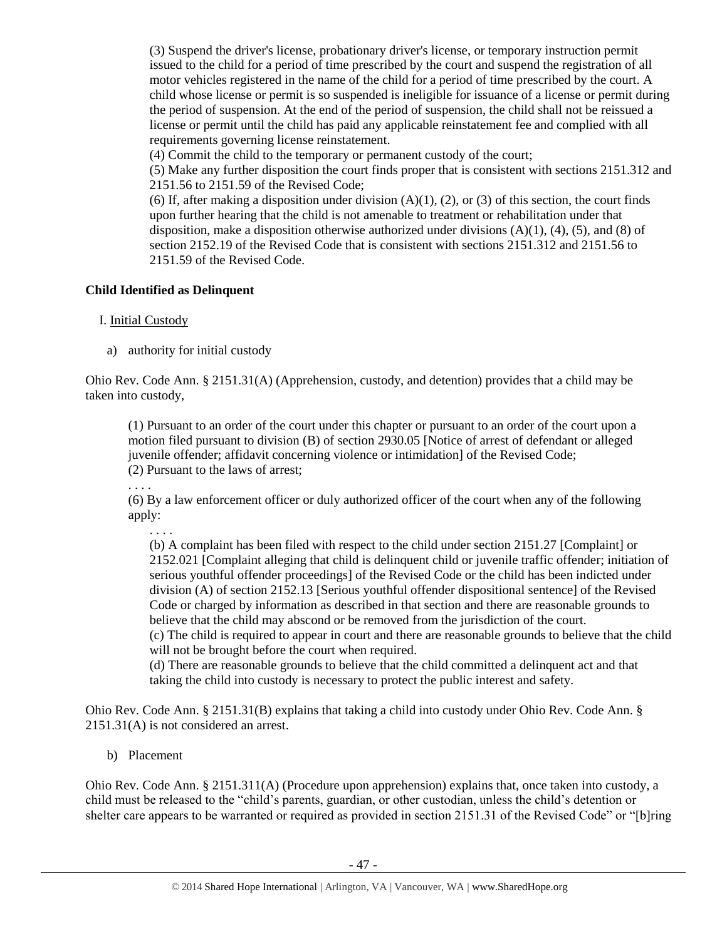(3) Suspend the driver's license, probationary driver's license, or temporary instruction permit issued to the child for a period of time prescribed by the court and suspend the registration of all motor vehicles registered in the name of the child for a period of time prescribed by the court. A child whose license or permit is so suspended is ineligible for issuance of a license or permit during the period of suspension. At the end of the period of suspension, the child shall not be reissued a license or permit until the child has paid any applicable reinstatement fee and complied with all requirements governing license reinstatement.

(4) Commit the child to the temporary or permanent custody of the court;

(5) Make any further disposition the court finds proper that is consistent with sections 2151.312 and 2151.56 to 2151.59 of the Revised Code;

(6) If, after making a disposition under division  $(A)(1)$ ,  $(2)$ , or  $(3)$  of this section, the court finds upon further hearing that the child is not amenable to treatment or rehabilitation under that disposition, make a disposition otherwise authorized under divisions  $(A)(1)$ ,  $(4)$ ,  $(5)$ , and  $(8)$  of section 2152.19 of the Revised Code that is consistent with sections 2151.312 and 2151.56 to 2151.59 of the Revised Code.

# **Child Identified as Delinquent**

- I. Initial Custody
	- a) authority for initial custody

Ohio Rev. Code Ann. § 2151.31(A) (Apprehension, custody, and detention) provides that a child may be taken into custody,

(1) Pursuant to an order of the court under this chapter or pursuant to an order of the court upon a motion filed pursuant to division (B) of section 2930.05 [Notice of arrest of defendant or alleged juvenile offender; affidavit concerning violence or intimidation] of the Revised Code; (2) Pursuant to the laws of arrest;

(6) By a law enforcement officer or duly authorized officer of the court when any of the following apply:

. . . .

. . . .

(b) A complaint has been filed with respect to the child under section 2151.27 [Complaint] or 2152.021 [Complaint alleging that child is delinquent child or juvenile traffic offender; initiation of serious youthful offender proceedings] of the Revised Code or the child has been indicted under division (A) of section 2152.13 [Serious youthful offender dispositional sentence] of the Revised Code or charged by information as described in that section and there are reasonable grounds to believe that the child may abscond or be removed from the jurisdiction of the court.

(c) The child is required to appear in court and there are reasonable grounds to believe that the child will not be brought before the court when required.

(d) There are reasonable grounds to believe that the child committed a delinquent act and that taking the child into custody is necessary to protect the public interest and safety.

Ohio Rev. Code Ann. § 2151.31(B) explains that taking a child into custody under Ohio Rev. Code Ann. § 2151.31(A) is not considered an arrest.

b) Placement

Ohio Rev. Code Ann. § 2151.311(A) (Procedure upon apprehension) explains that, once taken into custody, a child must be released to the "child's parents, guardian, or other custodian, unless the child's detention or shelter care appears to be warranted or required as provided in section 2151.31 of the Revised Code" or "[b]ring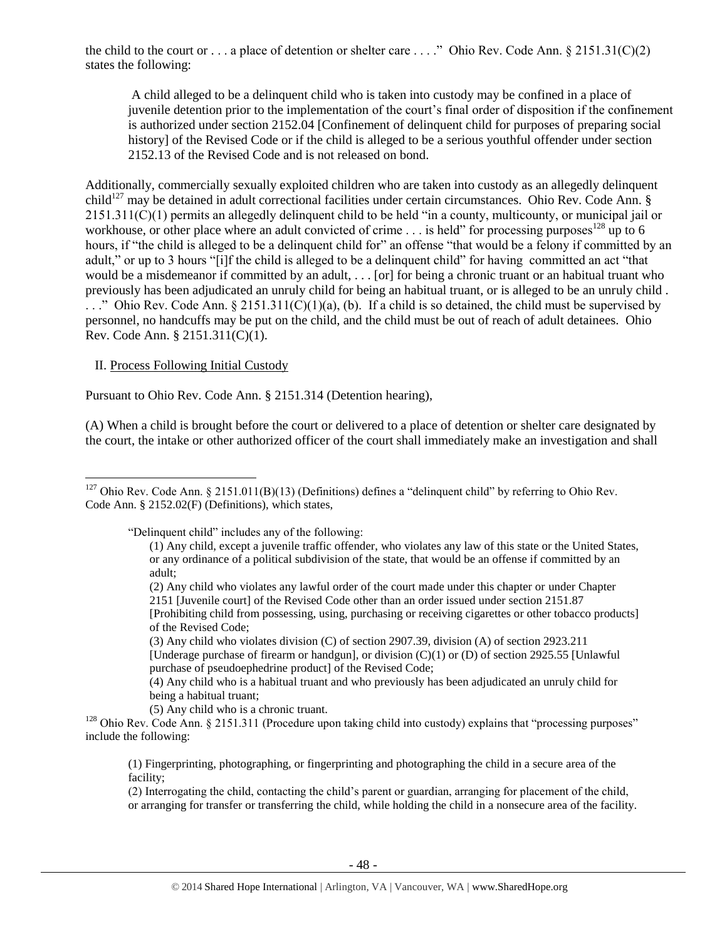the child to the court or . . . a place of detention or shelter care . . . ." Ohio Rev. Code Ann. § 2151.31(C)(2) states the following:

A child alleged to be a delinquent child who is taken into custody may be confined in a place of juvenile detention prior to the implementation of the court's final order of disposition if the confinement is authorized under section 2152.04 [Confinement of delinquent child for purposes of preparing social history] of the Revised Code or if the child is alleged to be a serious youthful offender under section 2152.13 of the Revised Code and is not released on bond.

Additionally, commercially sexually exploited children who are taken into custody as an allegedly delinquent child<sup>127</sup> may be detained in adult correctional facilities under certain circumstances. Ohio Rev. Code Ann. § 2151.311(C)(1) permits an allegedly delinquent child to be held "in a county, multicounty, or municipal jail or workhouse, or other place where an adult convicted of crime  $\ldots$  is held" for processing purposes<sup>128</sup> up to 6 hours, if "the child is alleged to be a delinquent child for" an offense "that would be a felony if committed by an adult," or up to 3 hours "[i]f the child is alleged to be a delinquent child" for having committed an act "that would be a misdemeanor if committed by an adult, . . . [or] for being a chronic truant or an habitual truant who previously has been adjudicated an unruly child for being an habitual truant, or is alleged to be an unruly child . ..." Ohio Rev. Code Ann.  $\S 2151.311(C)(1)(a)$ , (b). If a child is so detained, the child must be supervised by personnel, no handcuffs may be put on the child, and the child must be out of reach of adult detainees. Ohio Rev. Code Ann. § 2151.311(C)(1).

## II. Process Following Initial Custody

 $\overline{\phantom{a}}$ 

Pursuant to Ohio Rev. Code Ann. § 2151.314 (Detention hearing),

(A) When a child is brought before the court or delivered to a place of detention or shelter care designated by the court, the intake or other authorized officer of the court shall immediately make an investigation and shall

"Delinquent child" includes any of the following:

(5) Any child who is a chronic truant.

(1) Fingerprinting, photographing, or fingerprinting and photographing the child in a secure area of the facility;

(2) Interrogating the child, contacting the child's parent or guardian, arranging for placement of the child, or arranging for transfer or transferring the child, while holding the child in a nonsecure area of the facility.

<sup>&</sup>lt;sup>127</sup> Ohio Rev. Code Ann. § 2151.011(B)(13) (Definitions) defines a "delinquent child" by referring to Ohio Rev. Code Ann. § 2152.02(F) (Definitions), which states,

<sup>(1)</sup> Any child, except a juvenile traffic offender, who violates any law of this state or the United States, or any ordinance of a political subdivision of the state, that would be an offense if committed by an adult;

<sup>(2)</sup> Any child who violates any lawful order of the court made under this chapter or under Chapter 2151 [Juvenile court] of the Revised Code other than an order issued under section 2151.87 [Prohibiting child from possessing, using, purchasing or receiving cigarettes or other tobacco products] of the Revised Code;

<sup>(3)</sup> Any child who violates division (C) of section 2907.39, division (A) of section 2923.211 [Underage purchase of firearm or handgun], or division (C)(1) or (D) of section 2925.55 [Unlawful purchase of pseudoephedrine product] of the Revised Code;

<sup>(4)</sup> Any child who is a habitual truant and who previously has been adjudicated an unruly child for being a habitual truant;

<sup>&</sup>lt;sup>128</sup> Ohio Rev. Code Ann. § 2151.311 (Procedure upon taking child into custody) explains that "processing purposes" include the following: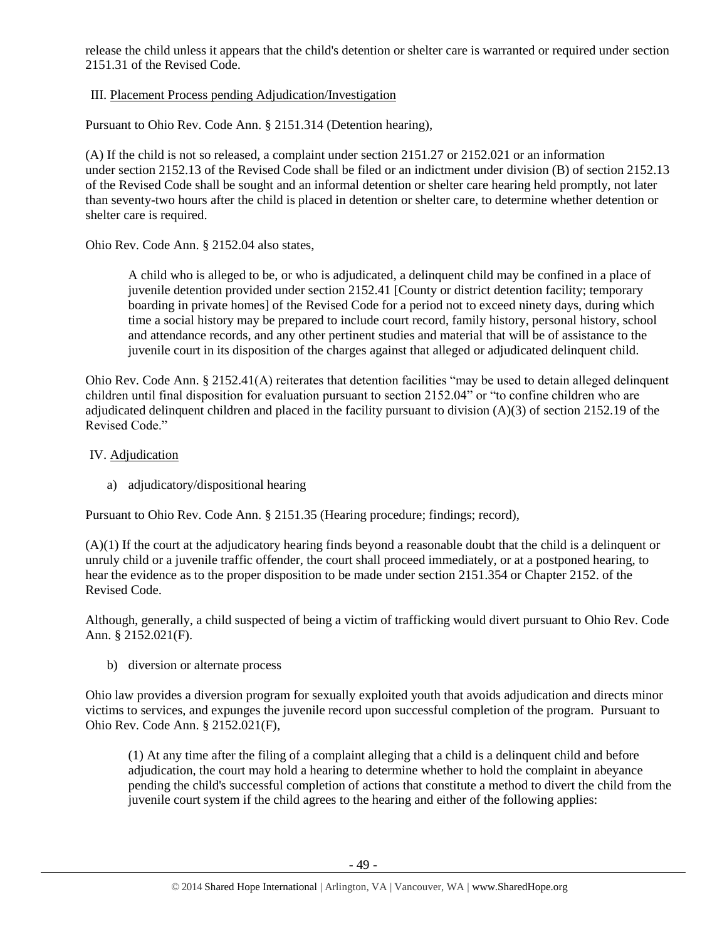release the child unless it appears that the child's detention or shelter care is warranted or required under [section](https://a.next.westlaw.com/Link/Document/FullText?findType=L&pubNum=1000279&cite=OHSTS2151.31&originatingDoc=NADDC87705EC911DB8852FC25F2F5B472&refType=LQ&originationContext=document&transitionType=DocumentItem&contextData=(sc.Category))  [2151.31 of the Revised Code.](https://a.next.westlaw.com/Link/Document/FullText?findType=L&pubNum=1000279&cite=OHSTS2151.31&originatingDoc=NADDC87705EC911DB8852FC25F2F5B472&refType=LQ&originationContext=document&transitionType=DocumentItem&contextData=(sc.Category))

# III. Placement Process pending Adjudication/Investigation

Pursuant to Ohio Rev. Code Ann. § 2151.314 (Detention hearing),

(A) If the child is not so released, a complaint under section 2151.27 or 2152.021 or an information under [section 2152.13 of the Revised Code](https://a.next.westlaw.com/Link/Document/FullText?findType=L&pubNum=1000279&cite=OHSTS2152.13&originatingDoc=NADDC87705EC911DB8852FC25F2F5B472&refType=LQ&originationContext=document&transitionType=DocumentItem&contextData=(sc.Category)) shall be filed or an indictment under [division \(B\) of section 2152.13](https://a.next.westlaw.com/Link/Document/FullText?findType=L&pubNum=1000279&cite=OHSTS2152.13&originatingDoc=NADDC87705EC911DB8852FC25F2F5B472&refType=SP&originationContext=document&transitionType=DocumentItem&contextData=(sc.Category)#co_pp_47dd0000d9ea7)  [of the Revised Code](https://a.next.westlaw.com/Link/Document/FullText?findType=L&pubNum=1000279&cite=OHSTS2152.13&originatingDoc=NADDC87705EC911DB8852FC25F2F5B472&refType=SP&originationContext=document&transitionType=DocumentItem&contextData=(sc.Category)#co_pp_47dd0000d9ea7) shall be sought and an informal detention or shelter care hearing held promptly, not later than seventy-two hours after the child is placed in detention or shelter care, to determine whether detention or shelter care is required.

Ohio Rev. Code Ann. § 2152.04 also states,

A child who is alleged to be, or who is adjudicated, a delinquent child may be confined in a place of juvenile detention provided under section 2152.41 [County or district detention facility; temporary boarding in private homes] of the Revised Code for a period not to exceed ninety days, during which time a social history may be prepared to include court record, family history, personal history, school and attendance records, and any other pertinent studies and material that will be of assistance to the juvenile court in its disposition of the charges against that alleged or adjudicated delinquent child.

Ohio Rev. Code Ann. § 2152.41(A) reiterates that detention facilities "may be used to detain alleged delinquent children until final disposition for evaluation pursuant to section 2152.04" or "to confine children who are adjudicated delinquent children and placed in the facility pursuant to division (A)(3) of section 2152.19 of the Revised Code."

- IV. Adjudication
	- a) adjudicatory/dispositional hearing

Pursuant to Ohio Rev. Code Ann. § 2151.35 (Hearing procedure; findings; record),

(A)(1) If the court at the adjudicatory hearing finds beyond a reasonable doubt that the child is a delinquent or unruly child or a juvenile traffic offender, the court shall proceed immediately, or at a postponed hearing, to hear the evidence as to the proper disposition to be made under section 2151.354 or Chapter 2152. of the Revised Code.

Although, generally, a child suspected of being a victim of trafficking would divert pursuant to Ohio Rev. Code Ann. § 2152.021(F).

b) diversion or alternate process

Ohio law provides a diversion program for sexually exploited youth that avoids adjudication and directs minor victims to services, and expunges the juvenile record upon successful completion of the program. Pursuant to Ohio Rev. Code Ann. § 2152.021(F),

(1) At any time after the filing of a complaint alleging that a child is a delinquent child and before adjudication, the court may hold a hearing to determine whether to hold the complaint in abeyance pending the child's successful completion of actions that constitute a method to divert the child from the juvenile court system if the child agrees to the hearing and either of the following applies: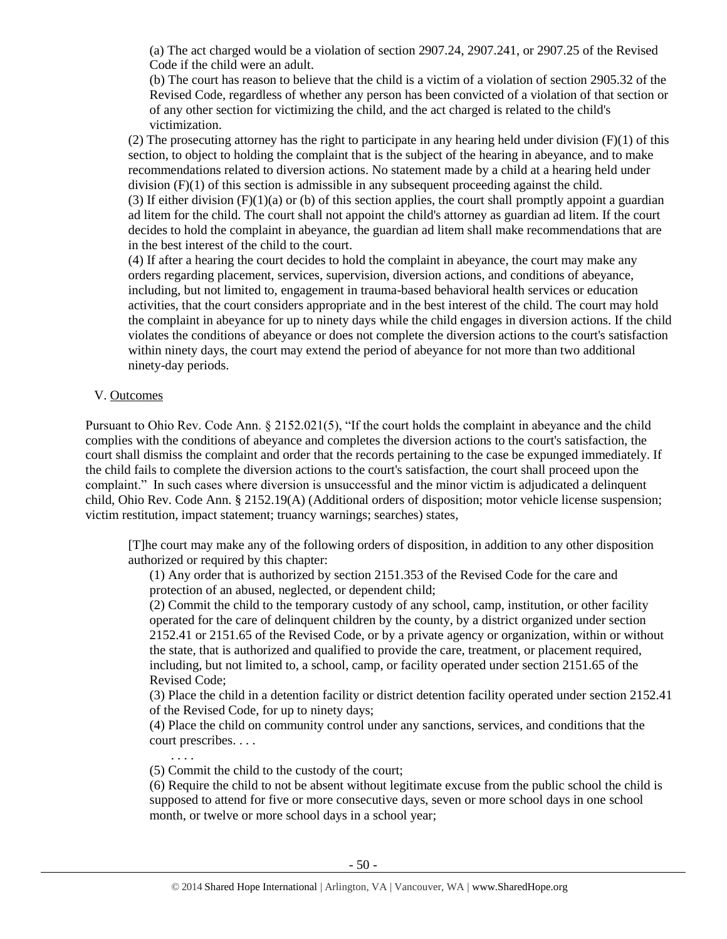(a) The act charged would be a violation of section 2907.24, 2907.241, or 2907.25 of the Revised Code if the child were an adult.

(b) The court has reason to believe that the child is a victim of a violation of section 2905.32 of the Revised Code, regardless of whether any person has been convicted of a violation of that section or of any other section for victimizing the child, and the act charged is related to the child's victimization.

(2) The prosecuting attorney has the right to participate in any hearing held under division  $(F)(1)$  of this section, to object to holding the complaint that is the subject of the hearing in abeyance, and to make recommendations related to diversion actions. No statement made by a child at a hearing held under division  $(F)(1)$  of this section is admissible in any subsequent proceeding against the child.

(3) If either division  $(F)(1)(a)$  or (b) of this section applies, the court shall promptly appoint a guardian ad litem for the child. The court shall not appoint the child's attorney as guardian ad litem. If the court decides to hold the complaint in abeyance, the guardian ad litem shall make recommendations that are in the best interest of the child to the court.

(4) If after a hearing the court decides to hold the complaint in abeyance, the court may make any orders regarding placement, services, supervision, diversion actions, and conditions of abeyance, including, but not limited to, engagement in trauma-based behavioral health services or education activities, that the court considers appropriate and in the best interest of the child. The court may hold the complaint in abeyance for up to ninety days while the child engages in diversion actions. If the child violates the conditions of abeyance or does not complete the diversion actions to the court's satisfaction within ninety days, the court may extend the period of abeyance for not more than two additional ninety-day periods.

# V. Outcomes

Pursuant to Ohio Rev. Code Ann. § 2152.021(5), "If the court holds the complaint in abeyance and the child complies with the conditions of abeyance and completes the diversion actions to the court's satisfaction, the court shall dismiss the complaint and order that the records pertaining to the case be expunged immediately. If the child fails to complete the diversion actions to the court's satisfaction, the court shall proceed upon the complaint." In such cases where diversion is unsuccessful and the minor victim is adjudicated a delinquent child, Ohio Rev. Code Ann. § 2152.19(A) (Additional orders of disposition; motor vehicle license suspension; victim restitution, impact statement; truancy warnings; searches) states,

[T]he court may make any of the following orders of disposition, in addition to any other disposition authorized or required by this chapter:

(1) Any order that is authorized by section 2151.353 of the Revised Code for the care and protection of an abused, neglected, or dependent child;

(2) Commit the child to the temporary custody of any school, camp, institution, or other facility operated for the care of delinquent children by the county, by a district organized under section 2152.41 or 2151.65 of the Revised Code, or by a private agency or organization, within or without the state, that is authorized and qualified to provide the care, treatment, or placement required, including, but not limited to, a school, camp, or facility operated under section 2151.65 of the Revised Code;

(3) Place the child in a detention facility or district detention facility operated under section 2152.41 of the Revised Code, for up to ninety days;

(4) Place the child on community control under any sanctions, services, and conditions that the court prescribes. . . .

. . . . (5) Commit the child to the custody of the court;

(6) Require the child to not be absent without legitimate excuse from the public school the child is supposed to attend for five or more consecutive days, seven or more school days in one school month, or twelve or more school days in a school year;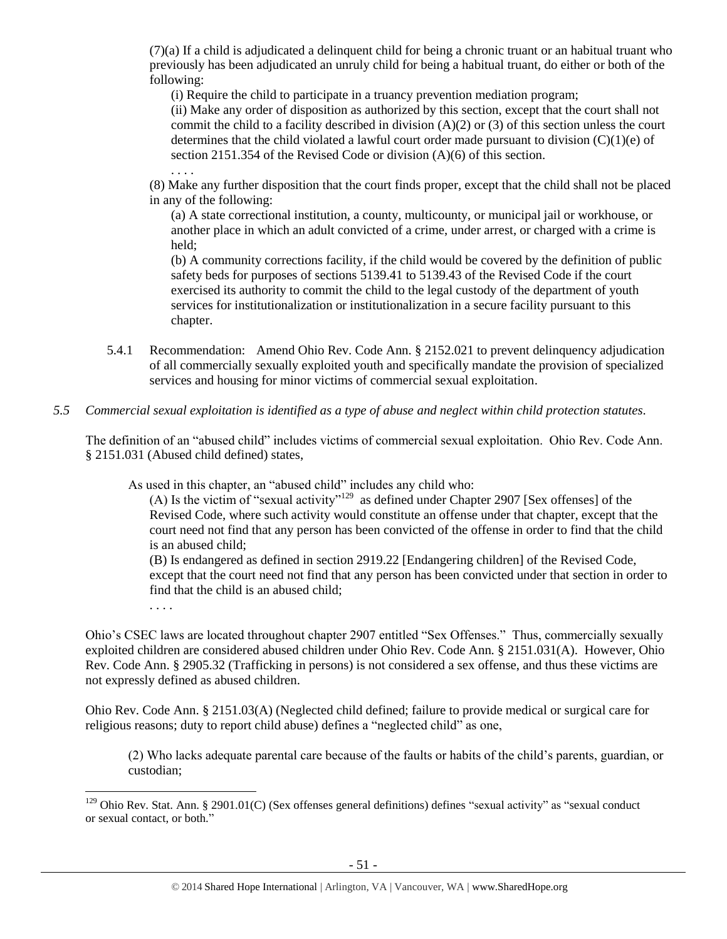(7)(a) If a child is adjudicated a delinquent child for being a chronic truant or an habitual truant who previously has been adjudicated an unruly child for being a habitual truant, do either or both of the following:

(i) Require the child to participate in a truancy prevention mediation program;

(ii) Make any order of disposition as authorized by this section, except that the court shall not commit the child to a facility described in division  $(A)(2)$  or  $(B)$  of this section unless the court determines that the child violated a lawful court order made pursuant to division  $(C)(1)(e)$  of section 2151.354 of the Revised Code or division (A)(6) of this section.

(8) Make any further disposition that the court finds proper, except that the child shall not be placed in any of the following:

(a) A state correctional institution, a county, multicounty, or municipal jail or workhouse, or another place in which an adult convicted of a crime, under arrest, or charged with a crime is held;

(b) A community corrections facility, if the child would be covered by the definition of public safety beds for purposes of sections 5139.41 to 5139.43 of the Revised Code if the court exercised its authority to commit the child to the legal custody of the department of youth services for institutionalization or institutionalization in a secure facility pursuant to this chapter.

- 5.4.1 Recommendation: Amend Ohio Rev. Code Ann. § 2152.021 to prevent delinquency adjudication of all commercially sexually exploited youth and specifically mandate the provision of specialized services and housing for minor victims of commercial sexual exploitation.
- *5.5 Commercial sexual exploitation is identified as a type of abuse and neglect within child protection statutes.*

The definition of an "abused child" includes victims of commercial sexual exploitation. Ohio Rev. Code Ann. § 2151.031 (Abused child defined) states,

As used in this chapter, an "abused child" includes any child who:

(A) Is the victim of "sexual activity"<sup>129</sup> as defined under Chapter 2907 [Sex offenses] of the Revised Code, where such activity would constitute an offense under that chapter, except that the court need not find that any person has been convicted of the offense in order to find that the child is an abused child;

(B) Is endangered as defined in section 2919.22 [Endangering children] of the Revised Code, except that the court need not find that any person has been convicted under that section in order to find that the child is an abused child;

. . . .

 $\overline{a}$ 

. . . .

Ohio's CSEC laws are located throughout chapter 2907 entitled "Sex Offenses." Thus, commercially sexually exploited children are considered abused children under Ohio Rev. Code Ann. § 2151.031(A). However, Ohio Rev. Code Ann. § 2905.32 (Trafficking in persons) is not considered a sex offense, and thus these victims are not expressly defined as abused children.

Ohio Rev. Code Ann. § 2151.03(A) (Neglected child defined; failure to provide medical or surgical care for religious reasons; duty to report child abuse) defines a "neglected child" as one,

(2) Who lacks adequate parental care because of the faults or habits of the child's parents, guardian, or custodian;

 $129$  Ohio Rev. Stat. Ann. § 2901.01(C) (Sex offenses general definitions) defines "sexual activity" as "sexual conduct or sexual contact, or both."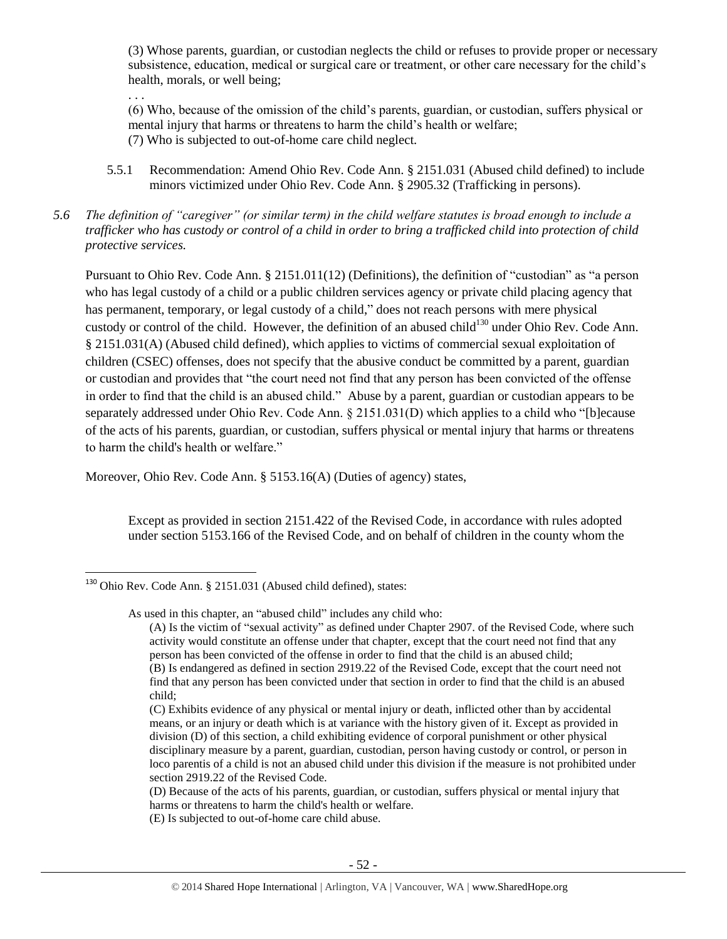(3) Whose parents, guardian, or custodian neglects the child or refuses to provide proper or necessary subsistence, education, medical or surgical care or treatment, or other care necessary for the child's health, morals, or well being;

. . .

 $\overline{\phantom{a}}$ 

(6) Who, because of the omission of the child's parents, guardian, or custodian, suffers physical or mental injury that harms or threatens to harm the child's health or welfare; (7) Who is subjected to out-of-home care child neglect.

- 5.5.1 Recommendation: Amend Ohio Rev. Code Ann. § 2151.031 (Abused child defined) to include minors victimized under Ohio Rev. Code Ann. § 2905.32 (Trafficking in persons).
- *5.6 The definition of "caregiver" (or similar term) in the child welfare statutes is broad enough to include a trafficker who has custody or control of a child in order to bring a trafficked child into protection of child protective services.*

Pursuant to Ohio Rev. Code Ann. § 2151.011(12) (Definitions), the definition of "custodian" as "a person who has legal custody of a child or a public children services agency or private child placing agency that has permanent, temporary, or legal custody of a child," does not reach persons with mere physical custody or control of the child. However, the definition of an abused child<sup>130</sup> under Ohio Rev. Code Ann. § 2151.031(A) (Abused child defined), which applies to victims of commercial sexual exploitation of children (CSEC) offenses, does not specify that the abusive conduct be committed by a parent, guardian or custodian and provides that "the court need not find that any person has been convicted of the offense in order to find that the child is an abused child." Abuse by a parent, guardian or custodian appears to be separately addressed under Ohio Rev. Code Ann. § 2151.031(D) which applies to a child who "[b]ecause of the acts of his parents, guardian, or custodian, suffers physical or mental injury that harms or threatens to harm the child's health or welfare."

Moreover, Ohio Rev. Code Ann. § 5153.16(A) (Duties of agency) states,

Except as provided in section 2151.422 of the Revised Code, in accordance with rules adopted under section 5153.166 of the Revised Code, and on behalf of children in the county whom the

As used in this chapter, an "abused child" includes any child who:

(E) Is subjected to out-of-home care child abuse.

 $130$  Ohio Rev. Code Ann. § 2151.031 (Abused child defined), states:

<sup>(</sup>A) Is the victim of "sexual activity" as defined under Chapter 2907. of the Revised Code, where such activity would constitute an offense under that chapter, except that the court need not find that any person has been convicted of the offense in order to find that the child is an abused child; (B) Is endangered as defined in section 2919.22 of the Revised Code, except that the court need not find that any person has been convicted under that section in order to find that the child is an abused child;

<sup>(</sup>C) Exhibits evidence of any physical or mental injury or death, inflicted other than by accidental means, or an injury or death which is at variance with the history given of it. Except as provided in division (D) of this section, a child exhibiting evidence of corporal punishment or other physical disciplinary measure by a parent, guardian, custodian, person having custody or control, or person in loco parentis of a child is not an abused child under this division if the measure is not prohibited under section 2919.22 of the Revised Code.

<sup>(</sup>D) Because of the acts of his parents, guardian, or custodian, suffers physical or mental injury that harms or threatens to harm the child's health or welfare.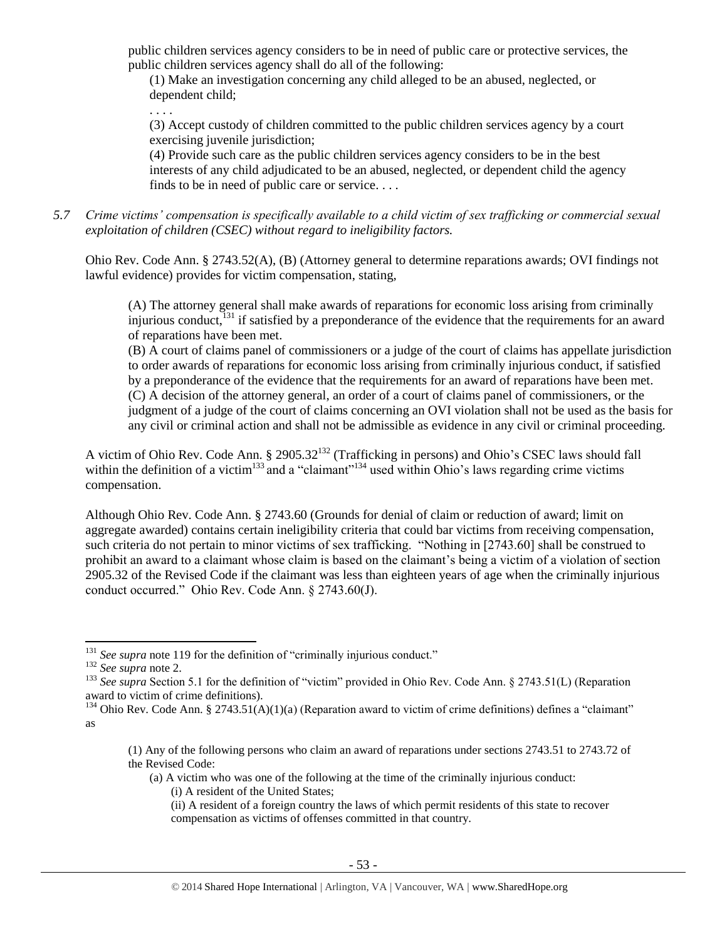public children services agency considers to be in need of public care or protective services, the public children services agency shall do all of the following:

(1) Make an investigation concerning any child alleged to be an abused, neglected, or dependent child;

. . . .

(3) Accept custody of children committed to the public children services agency by a court exercising juvenile jurisdiction;

(4) Provide such care as the public children services agency considers to be in the best interests of any child adjudicated to be an abused, neglected, or dependent child the agency finds to be in need of public care or service. . . .

*5.7 Crime victims' compensation is specifically available to a child victim of sex trafficking or commercial sexual exploitation of children (CSEC) without regard to ineligibility factors.*

Ohio Rev. Code Ann. § 2743.52(A), (B) (Attorney general to determine reparations awards; OVI findings not lawful evidence) provides for victim compensation, stating,

(A) The attorney general shall make awards of reparations for economic loss arising from criminally injurious conduct,  $^{131}$  if satisfied by a preponderance of the evidence that the requirements for an award of reparations have been met.

(B) A court of claims panel of commissioners or a judge of the court of claims has appellate jurisdiction to order awards of reparations for economic loss arising from criminally injurious conduct, if satisfied by a preponderance of the evidence that the requirements for an award of reparations have been met. (C) A decision of the attorney general, an order of a court of claims panel of commissioners, or the judgment of a judge of the court of claims concerning an OVI violation shall not be used as the basis for any civil or criminal action and shall not be admissible as evidence in any civil or criminal proceeding.

A victim of Ohio Rev. Code Ann. § 2905.32<sup>132</sup> (Trafficking in persons) and Ohio's CSEC laws should fall within the definition of a victim<sup>133</sup> and a "claimant"<sup>134</sup> used within Ohio's laws regarding crime victims compensation.

Although Ohio Rev. Code Ann. § 2743.60 (Grounds for denial of claim or reduction of award; limit on aggregate awarded) contains certain ineligibility criteria that could bar victims from receiving compensation, such criteria do not pertain to minor victims of sex trafficking. "Nothing in [2743.60] shall be construed to prohibit an award to a claimant whose claim is based on the claimant's being a victim of a violation of section 2905.32 of the Revised Code if the claimant was less than eighteen years of age when the criminally injurious conduct occurred." Ohio Rev. Code Ann. § 2743.60(J).

 $\overline{\phantom{a}}$ 

- (a) A victim who was one of the following at the time of the criminally injurious conduct: (i) A resident of the United States;
	- (ii) A resident of a foreign country the laws of which permit residents of this state to recover compensation as victims of offenses committed in that country.

<sup>&</sup>lt;sup>131</sup> See supra not[e 119](#page-38-0) for the definition of "criminally injurious conduct."

<sup>132</sup> *See supra* note [2.](#page-0-0)

<sup>&</sup>lt;sup>133</sup> See supra Section 5.1 for the definition of "victim" provided in Ohio Rev. Code Ann. § 2743.51(L) (Reparation award to victim of crime definitions).

<sup>&</sup>lt;sup>134</sup> Ohio Rev. Code Ann. § 2743.51(A)(1)(a) (Reparation award to victim of crime definitions) defines a "claimant" as

<sup>(1)</sup> Any of the following persons who claim an award of reparations under sections 2743.51 to 2743.72 of the Revised Code: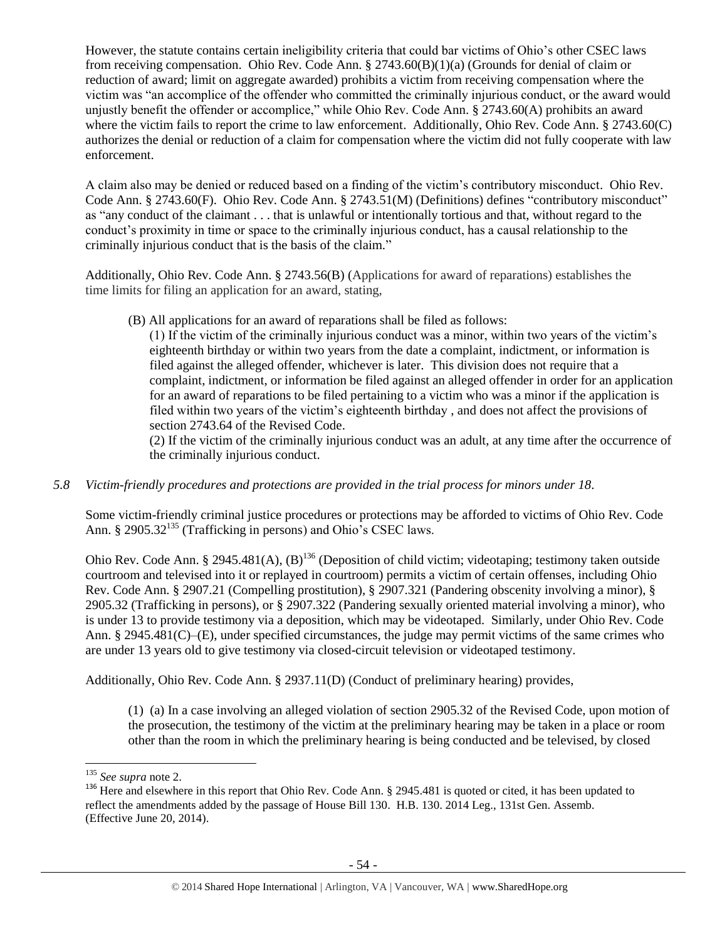However, the statute contains certain ineligibility criteria that could bar victims of Ohio's other CSEC laws from receiving compensation. Ohio Rev. Code Ann. § 2743.60(B)(1)(a) (Grounds for denial of claim or reduction of award; limit on aggregate awarded) prohibits a victim from receiving compensation where the victim was "an accomplice of the offender who committed the criminally injurious conduct, or the award would unjustly benefit the offender or accomplice," while Ohio Rev. Code Ann. § 2743.60(A) prohibits an award where the victim fails to report the crime to law enforcement. Additionally, Ohio Rev. Code Ann. § 2743.60(C) authorizes the denial or reduction of a claim for compensation where the victim did not fully cooperate with law enforcement.

A claim also may be denied or reduced based on a finding of the victim's contributory misconduct. Ohio Rev. Code Ann. § 2743.60(F). Ohio Rev. Code Ann. § 2743.51(M) (Definitions) defines "contributory misconduct" as "any conduct of the claimant . . . that is unlawful or intentionally tortious and that, without regard to the conduct's proximity in time or space to the criminally injurious conduct, has a causal relationship to the criminally injurious conduct that is the basis of the claim."

Additionally, Ohio Rev. Code Ann. § 2743.56(B) (Applications for award of reparations) establishes the time limits for filing an application for an award, stating,

(B) All applications for an award of reparations shall be filed as follows:

(1) If the victim of the criminally injurious conduct was a minor, within two years of the victim's eighteenth birthday or within two years from the date a complaint, indictment, or information is filed against the alleged offender, whichever is later. This division does not require that a complaint, indictment, or information be filed against an alleged offender in order for an application for an award of reparations to be filed pertaining to a victim who was a minor if the application is filed within two years of the victim's eighteenth birthday , and does not affect the provisions of section 2743.64 of the Revised Code.

(2) If the victim of the criminally injurious conduct was an adult, at any time after the occurrence of the criminally injurious conduct.

*5.8 Victim-friendly procedures and protections are provided in the trial process for minors under 18.*

Some victim-friendly criminal justice procedures or protections may be afforded to victims of Ohio Rev. Code Ann. § 2905.32 $^{135}$  (Trafficking in persons) and Ohio's CSEC laws.

Ohio Rev. Code Ann. § 2945.481(A),  $(B)^{136}$  (Deposition of child victim; videotaping; testimony taken outside courtroom and televised into it or replayed in courtroom) permits a victim of certain offenses, including Ohio Rev. Code Ann. § 2907.21 (Compelling prostitution), § 2907.321 (Pandering obscenity involving a minor), § 2905.32 (Trafficking in persons), or § 2907.322 (Pandering sexually oriented material involving a minor), who is under 13 to provide testimony via a deposition, which may be videotaped. Similarly, under Ohio Rev. Code Ann. § 2945.481(C)–(E), under specified circumstances, the judge may permit victims of the same crimes who are under 13 years old to give testimony via closed-circuit television or videotaped testimony.

Additionally, Ohio Rev. Code Ann. § 2937.11(D) (Conduct of preliminary hearing) provides,

(1) (a) In a case involving an alleged violation of section 2905.32 of the Revised Code, upon motion of the prosecution, the testimony of the victim at the preliminary hearing may be taken in a place or room other than the room in which the preliminary hearing is being conducted and be televised, by closed

 $\overline{\phantom{a}}$ <sup>135</sup> *See supra* note [2.](#page-0-0)

<sup>&</sup>lt;sup>136</sup> Here and elsewhere in this report that Ohio Rev. Code Ann. § 2945.481 is quoted or cited, it has been updated to reflect the amendments added by the passage of House Bill 130. H.B. 130. 2014 Leg., 131st Gen. Assemb. (Effective June 20, 2014).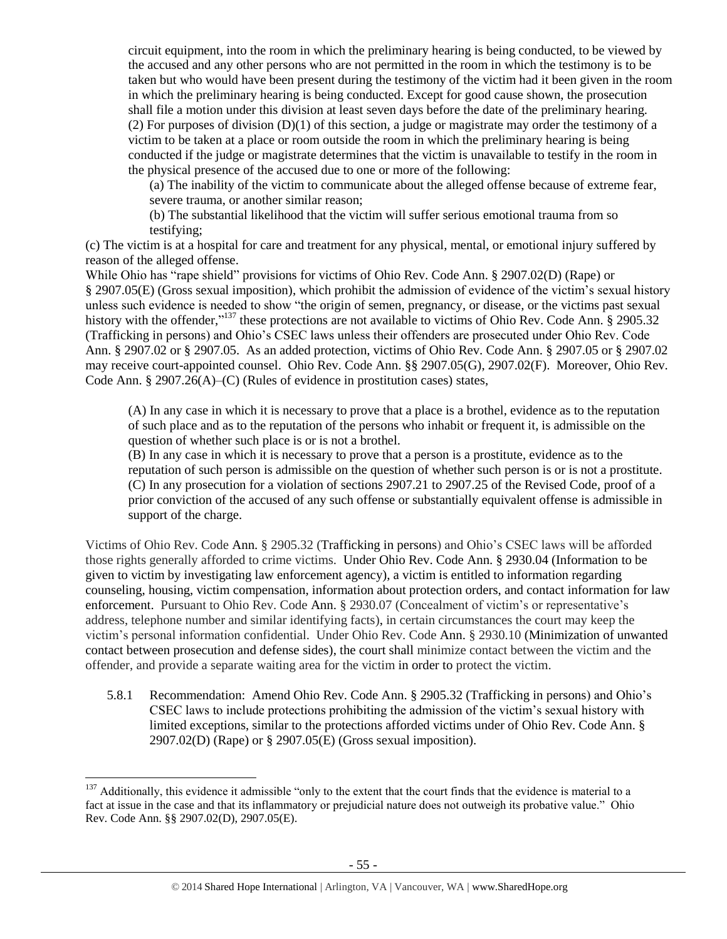circuit equipment, into the room in which the preliminary hearing is being conducted, to be viewed by the accused and any other persons who are not permitted in the room in which the testimony is to be taken but who would have been present during the testimony of the victim had it been given in the room in which the preliminary hearing is being conducted. Except for good cause shown, the prosecution shall file a motion under this division at least seven days before the date of the preliminary hearing. (2) For purposes of division (D)(1) of this section, a judge or magistrate may order the testimony of a victim to be taken at a place or room outside the room in which the preliminary hearing is being conducted if the judge or magistrate determines that the victim is unavailable to testify in the room in the physical presence of the accused due to one or more of the following:

(a) The inability of the victim to communicate about the alleged offense because of extreme fear, severe trauma, or another similar reason;

(b) The substantial likelihood that the victim will suffer serious emotional trauma from so testifying;

(c) The victim is at a hospital for care and treatment for any physical, mental, or emotional injury suffered by reason of the alleged offense.

While Ohio has "rape shield" provisions for victims of Ohio Rev. Code Ann. § 2907.02(D) (Rape) or § 2907.05(E) (Gross sexual imposition), which prohibit the admission of evidence of the victim's sexual history unless such evidence is needed to show "the origin of semen, pregnancy, or disease, or the victims past sexual history with the offender,"<sup>137</sup> these protections are not available to victims of Ohio Rev. Code Ann. § 2905.32 (Trafficking in persons) and Ohio's CSEC laws unless their offenders are prosecuted under Ohio Rev. Code Ann. § 2907.02 or § 2907.05. As an added protection, victims of Ohio Rev. Code Ann. § 2907.05 or § 2907.02 may receive court-appointed counsel. Ohio Rev. Code Ann. §§ 2907.05(G), 2907.02(F). Moreover, Ohio Rev. Code Ann. § 2907.26(A)–(C) (Rules of evidence in prostitution cases) states,

(A) In any case in which it is necessary to prove that a place is a brothel, evidence as to the reputation of such place and as to the reputation of the persons who inhabit or frequent it, is admissible on the question of whether such place is or is not a brothel.

(B) In any case in which it is necessary to prove that a person is a prostitute, evidence as to the reputation of such person is admissible on the question of whether such person is or is not a prostitute. (C) In any prosecution for a violation of sections 2907.21 to 2907.25 of the Revised Code, proof of a prior conviction of the accused of any such offense or substantially equivalent offense is admissible in support of the charge.

Victims of Ohio Rev. Code Ann. § 2905.32 (Trafficking in persons) and Ohio's CSEC laws will be afforded those rights generally afforded to crime victims. Under Ohio Rev. Code Ann. § 2930.04 (Information to be given to victim by investigating law enforcement agency), a victim is entitled to information regarding counseling, housing, victim compensation, information about protection orders, and contact information for law enforcement. Pursuant to Ohio Rev. Code Ann. § 2930.07 (Concealment of victim's or representative's address, telephone number and similar identifying facts), in certain circumstances the court may keep the victim's personal information confidential. Under Ohio Rev. Code Ann. § 2930.10 (Minimization of unwanted contact between prosecution and defense sides), the court shall minimize contact between the victim and the offender, and provide a separate waiting area for the victim in order to protect the victim.

5.8.1 Recommendation: Amend Ohio Rev. Code Ann. § 2905.32 (Trafficking in persons) and Ohio's CSEC laws to include protections prohibiting the admission of the victim's sexual history with limited exceptions, similar to the protections afforded victims under of Ohio Rev. Code Ann. § 2907.02(D) (Rape) or § 2907.05(E) (Gross sexual imposition).

 $\overline{\phantom{a}}$  $137$  Additionally, this evidence it admissible "only to the extent that the court finds that the evidence is material to a fact at issue in the case and that its inflammatory or prejudicial nature does not outweigh its probative value." Ohio Rev. Code Ann. §§ 2907.02(D), 2907.05(E).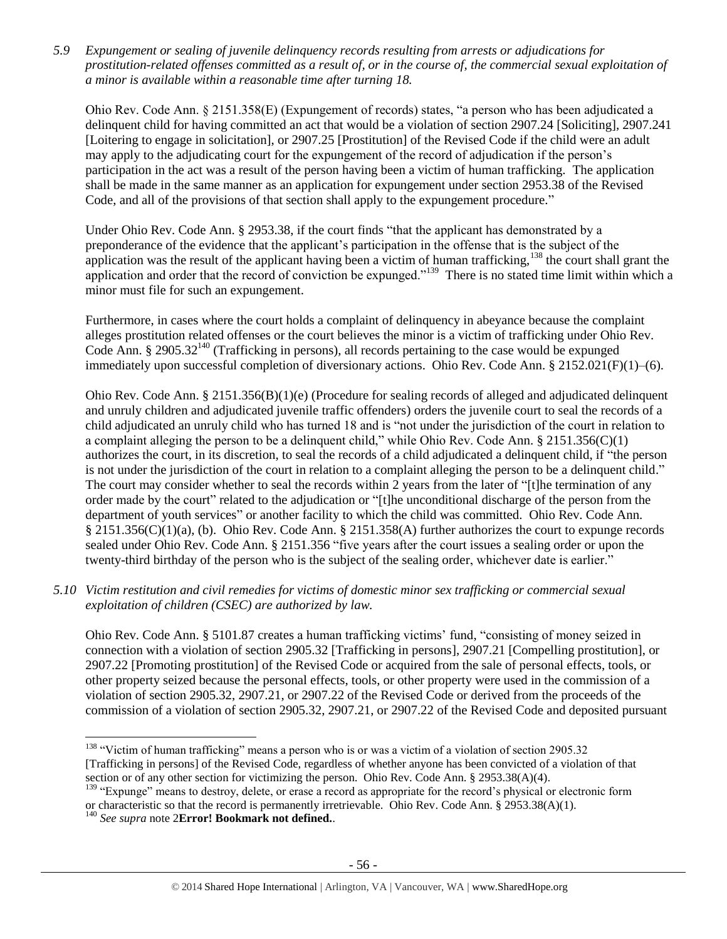*5.9 Expungement or sealing of juvenile delinquency records resulting from arrests or adjudications for prostitution-related offenses committed as a result of, or in the course of, the commercial sexual exploitation of a minor is available within a reasonable time after turning 18.*

Ohio Rev. Code Ann. § 2151.358(E) (Expungement of records) states, "a person who has been adjudicated a delinquent child for having committed an act that would be a violation of section 2907.24 [Soliciting], 2907.241 [Loitering to engage in solicitation], or 2907.25 [Prostitution] of the Revised Code if the child were an adult may apply to the adjudicating court for the expungement of the record of adjudication if the person's participation in the act was a result of the person having been a victim of human trafficking. The application shall be made in the same manner as an application for expungement under section 2953.38 of the Revised Code, and all of the provisions of that section shall apply to the expungement procedure."

Under Ohio Rev. Code Ann. § 2953.38, if the court finds "that the applicant has demonstrated by a preponderance of the evidence that the applicant's participation in the offense that is the subject of the application was the result of the applicant having been a victim of human trafficking,<sup>138</sup> the court shall grant the application and order that the record of conviction be expunged."<sup>139</sup> There is no stated time limit within which a minor must file for such an expungement.

Furthermore, in cases where the court holds a complaint of delinquency in abeyance because the complaint alleges prostitution related offenses or the court believes the minor is a victim of trafficking under Ohio Rev. Code Ann. § 2905.32<sup>140</sup> (Trafficking in persons), all records pertaining to the case would be expunged immediately upon successful completion of diversionary actions. Ohio Rev. Code Ann. § 2152.021(F)(1)–(6).

Ohio Rev. Code Ann. § 2151.356(B)(1)(e) (Procedure for sealing records of alleged and adjudicated delinquent and unruly children and adjudicated juvenile traffic offenders) orders the juvenile court to seal the records of a child adjudicated an unruly child who has turned 18 and is "not under the jurisdiction of the court in relation to a complaint alleging the person to be a delinquent child," while Ohio Rev. Code Ann. § 2151.356(C)(1) authorizes the court, in its discretion, to seal the records of a child adjudicated a delinquent child, if "the person is not under the jurisdiction of the court in relation to a complaint alleging the person to be a delinquent child." The court may consider whether to seal the records within 2 years from the later of "[t]he termination of any order made by the court" related to the adjudication or "[t]he unconditional discharge of the person from the department of youth services" or another facility to which the child was committed. Ohio Rev. Code Ann. § 2151.356(C)(1)(a), (b). Ohio Rev. Code Ann. § 2151.358(A) further authorizes the court to expunge records sealed under Ohio Rev. Code Ann. § 2151.356 "five years after the court issues a sealing order or upon the twenty-third birthday of the person who is the subject of the sealing order, whichever date is earlier."

*5.10 Victim restitution and civil remedies for victims of domestic minor sex trafficking or commercial sexual exploitation of children (CSEC) are authorized by law.* 

Ohio Rev. Code Ann. § 5101.87 creates a human trafficking victims' fund, "consisting of money seized in connection with a violation of section 2905.32 [Trafficking in persons], 2907.21 [Compelling prostitution], or 2907.22 [Promoting prostitution] of the Revised Code or acquired from the sale of personal effects, tools, or other property seized because the personal effects, tools, or other property were used in the commission of a violation of section 2905.32, 2907.21, or 2907.22 of the Revised Code or derived from the proceeds of the commission of a violation of section 2905.32, 2907.21, or 2907.22 of the Revised Code and deposited pursuant

l <sup>138</sup> "Victim of human trafficking" means a person who is or was a victim of a violation of section 2905.32 [Trafficking in persons] of the Revised Code, regardless of whether anyone has been convicted of a violation of that section or of any other section for victimizing the person. Ohio Rev. Code Ann. § 2953.38(A)(4).

<sup>&</sup>lt;sup>139</sup> "Expunge" means to destroy, delete, or erase a record as appropriate for the record's physical or electronic form or characteristic so that the record is permanently irretrievable. Ohio Rev. Code Ann. § 2953.38(A)(1).

<sup>140</sup> *See supra* not[e 2](#page-0-0)**[Error! Bookmark not defined.](#page-0-0)**.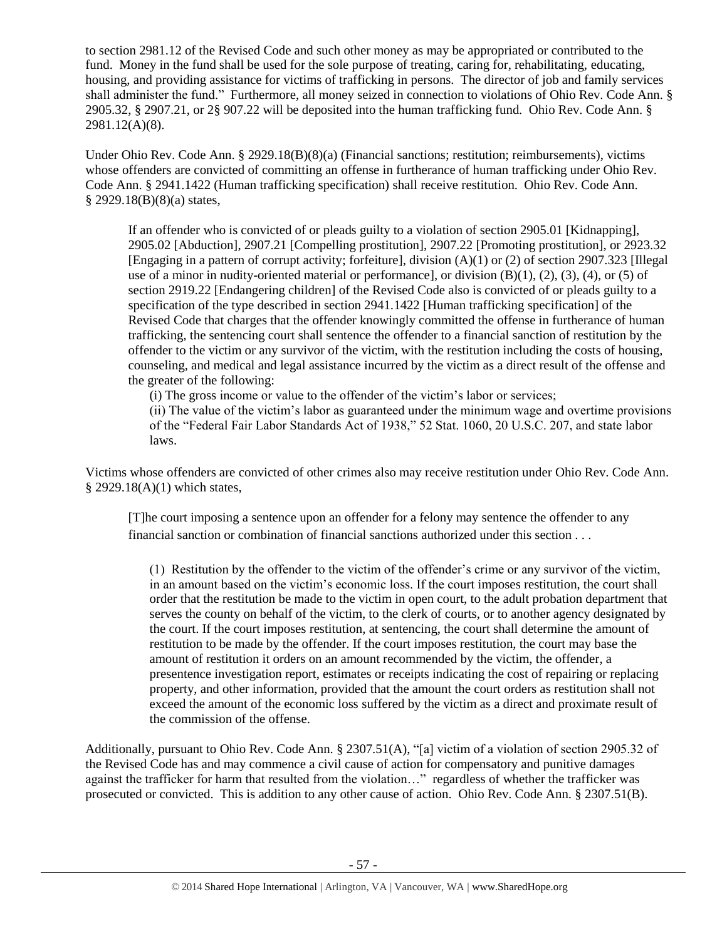to section 2981.12 of the Revised Code and such other money as may be appropriated or contributed to the fund. Money in the fund shall be used for the sole purpose of treating, caring for, rehabilitating, educating, housing, and providing assistance for victims of trafficking in persons. The director of job and family services shall administer the fund." Furthermore, all money seized in connection to violations of Ohio Rev. Code Ann. § 2905.32, § 2907.21, or 2§ 907.22 will be deposited into the human trafficking fund. Ohio Rev. Code Ann. § 2981.12(A)(8).

Under Ohio Rev. Code Ann. § 2929.18(B)(8)(a) (Financial sanctions; restitution; reimbursements), victims whose offenders are convicted of committing an offense in furtherance of human trafficking under Ohio Rev. Code Ann. § 2941.1422 (Human trafficking specification) shall receive restitution. Ohio Rev. Code Ann.  $§$  2929.18(B)(8)(a) states,

If an offender who is convicted of or pleads guilty to a violation of section 2905.01 [Kidnapping], 2905.02 [Abduction], 2907.21 [Compelling prostitution], 2907.22 [Promoting prostitution], or 2923.32 [Engaging in a pattern of corrupt activity; forfeiture], division (A)(1) or (2) of section 2907.323 [Illegal use of a minor in nudity-oriented material or performance], or division  $(B)(1)$ ,  $(2)$ ,  $(3)$ ,  $(4)$ , or  $(5)$  of section 2919.22 [Endangering children] of the Revised Code also is convicted of or pleads guilty to a specification of the type described in section 2941.1422 [Human trafficking specification] of the Revised Code that charges that the offender knowingly committed the offense in furtherance of human trafficking, the sentencing court shall sentence the offender to a financial sanction of restitution by the offender to the victim or any survivor of the victim, with the restitution including the costs of housing, counseling, and medical and legal assistance incurred by the victim as a direct result of the offense and the greater of the following:

(i) The gross income or value to the offender of the victim's labor or services;

(ii) The value of the victim's labor as guaranteed under the minimum wage and overtime provisions of the "Federal Fair Labor Standards Act of 1938," 52 Stat. 1060, 20 U.S.C. 207, and state labor laws.

Victims whose offenders are convicted of other crimes also may receive restitution under Ohio Rev. Code Ann.  $§$  2929.18(A)(1) which states,

[T]he court imposing a sentence upon an offender for a felony may sentence the offender to any financial sanction or combination of financial sanctions authorized under this section . . .

(1) Restitution by the offender to the victim of the offender's crime or any survivor of the victim, in an amount based on the victim's economic loss. If the court imposes restitution, the court shall order that the restitution be made to the victim in open court, to the adult probation department that serves the county on behalf of the victim, to the clerk of courts, or to another agency designated by the court. If the court imposes restitution, at sentencing, the court shall determine the amount of restitution to be made by the offender. If the court imposes restitution, the court may base the amount of restitution it orders on an amount recommended by the victim, the offender, a presentence investigation report, estimates or receipts indicating the cost of repairing or replacing property, and other information, provided that the amount the court orders as restitution shall not exceed the amount of the economic loss suffered by the victim as a direct and proximate result of the commission of the offense.

Additionally, pursuant to Ohio Rev. Code Ann. § 2307.51(A), "[a] victim of a violation of section 2905.32 of the Revised Code has and may commence a civil cause of action for compensatory and punitive damages against the trafficker for harm that resulted from the violation…" regardless of whether the trafficker was prosecuted or convicted. This is addition to any other cause of action. Ohio Rev. Code Ann. § 2307.51(B).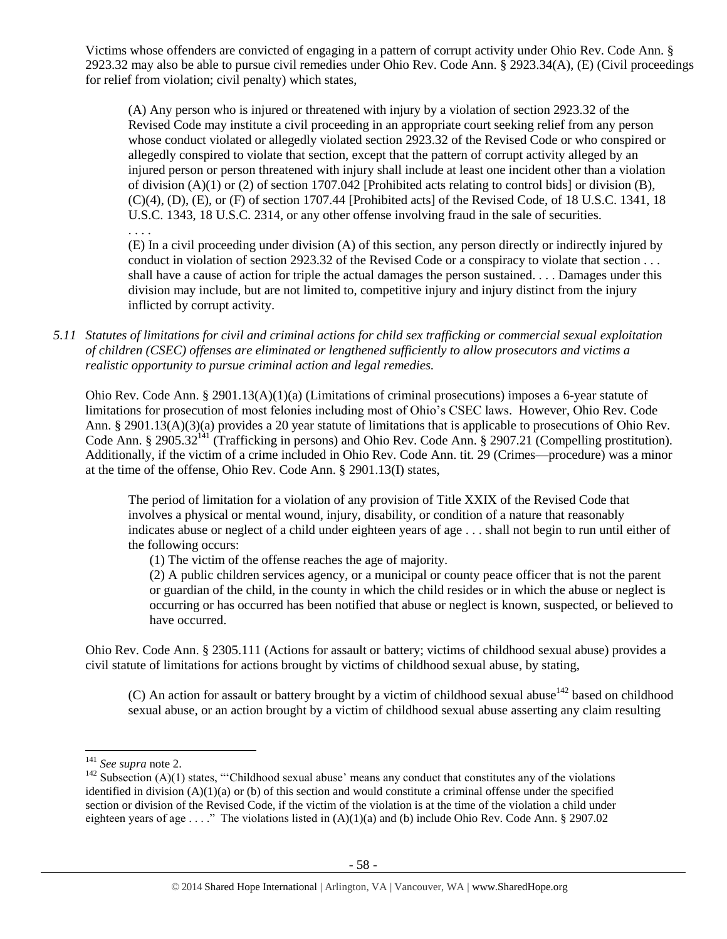Victims whose offenders are convicted of engaging in a pattern of corrupt activity under Ohio Rev. Code Ann. § 2923.32 may also be able to pursue civil remedies under Ohio Rev. Code Ann. § 2923.34(A), (E) (Civil proceedings for relief from violation; civil penalty) which states,

(A) Any person who is injured or threatened with injury by a violation of section 2923.32 of the Revised Code may institute a civil proceeding in an appropriate court seeking relief from any person whose conduct violated or allegedly violated section 2923.32 of the Revised Code or who conspired or allegedly conspired to violate that section, except that the pattern of corrupt activity alleged by an injured person or person threatened with injury shall include at least one incident other than a violation of division (A)(1) or (2) of section 1707.042 [Prohibited acts relating to control bids] or division (B),  $(C)(4)$ ,  $(D)$ ,  $(E)$ , or  $(F)$  of section 1707.44 [Prohibited acts] of the Revised Code, of 18 U.S.C. 1341, 18 U.S.C. 1343, 18 U.S.C. 2314, or any other offense involving fraud in the sale of securities.

(E) In a civil proceeding under division (A) of this section, any person directly or indirectly injured by conduct in violation of section 2923.32 of the Revised Code or a conspiracy to violate that section . . . shall have a cause of action for triple the actual damages the person sustained. . . . Damages under this division may include, but are not limited to, competitive injury and injury distinct from the injury inflicted by corrupt activity.

*5.11 Statutes of limitations for civil and criminal actions for child sex trafficking or commercial sexual exploitation of children (CSEC) offenses are eliminated or lengthened sufficiently to allow prosecutors and victims a realistic opportunity to pursue criminal action and legal remedies.*

Ohio Rev. Code Ann. § 2901.13(A)(1)(a) (Limitations of criminal prosecutions) imposes a 6-year statute of limitations for prosecution of most felonies including most of Ohio's CSEC laws. However, Ohio Rev. Code Ann. § 2901.13(A)(3)(a) provides a 20 year statute of limitations that is applicable to prosecutions of Ohio Rev. Code Ann. § 2905.32<sup>141</sup> (Trafficking in persons) and Ohio Rev. Code Ann. § 2907.21 (Compelling prostitution). Additionally, if the victim of a crime included in Ohio Rev. Code Ann. tit. 29 (Crimes—procedure) was a minor at the time of the offense, Ohio Rev. Code Ann. § 2901.13(I) states,

The period of limitation for a violation of any provision of Title XXIX of the Revised Code that involves a physical or mental wound, injury, disability, or condition of a nature that reasonably indicates abuse or neglect of a child under eighteen years of age . . . shall not begin to run until either of the following occurs:

(1) The victim of the offense reaches the age of majority.

(2) A public children services agency, or a municipal or county peace officer that is not the parent or guardian of the child, in the county in which the child resides or in which the abuse or neglect is occurring or has occurred has been notified that abuse or neglect is known, suspected, or believed to have occurred.

Ohio Rev. Code Ann. § 2305.111 (Actions for assault or battery; victims of childhood sexual abuse) provides a civil statute of limitations for actions brought by victims of childhood sexual abuse, by stating,

(C) An action for assault or battery brought by a victim of childhood sexual abuse<sup>142</sup> based on childhood sexual abuse, or an action brought by a victim of childhood sexual abuse asserting any claim resulting

 $\overline{a}$ 

. . . .

<sup>141</sup> *See supra* note [2.](#page-0-0)

 $142$  Subsection (A)(1) states, "'Childhood sexual abuse' means any conduct that constitutes any of the violations identified in division  $(A)(1)(a)$  or (b) of this section and would constitute a criminal offense under the specified section or division of the Revised Code, if the victim of the violation is at the time of the violation a child under eighteen years of age . . . ." The violations listed in  $(A)(1)(a)$  and (b) include Ohio Rev. Code Ann. § 2907.02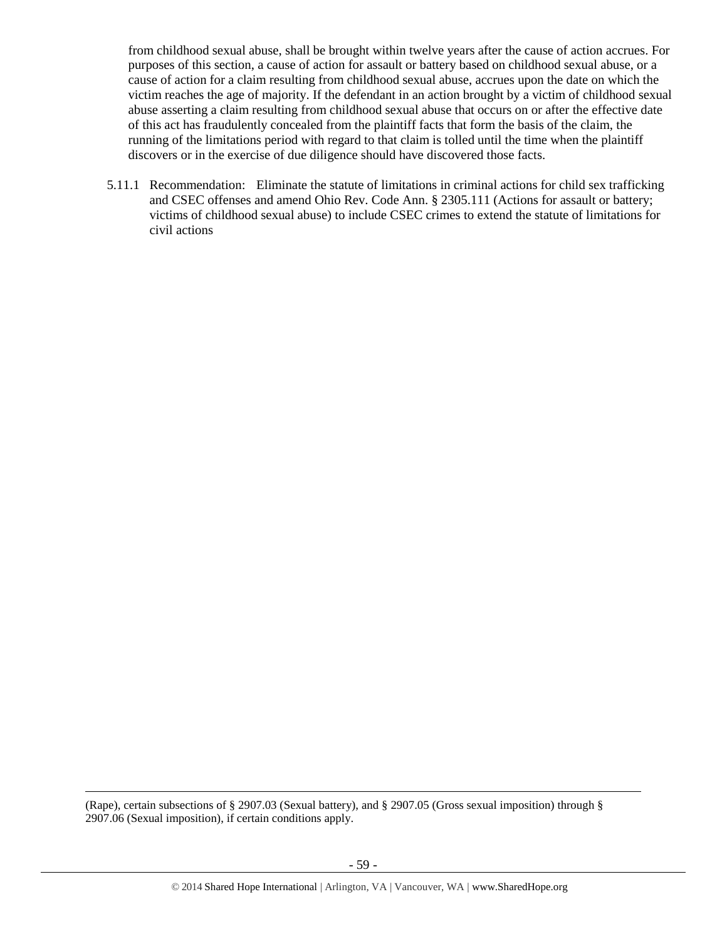from childhood sexual abuse, shall be brought within twelve years after the cause of action accrues. For purposes of this section, a cause of action for assault or battery based on childhood sexual abuse, or a cause of action for a claim resulting from childhood sexual abuse, accrues upon the date on which the victim reaches the age of majority. If the defendant in an action brought by a victim of childhood sexual abuse asserting a claim resulting from childhood sexual abuse that occurs on or after the effective date of this act has fraudulently concealed from the plaintiff facts that form the basis of the claim, the running of the limitations period with regard to that claim is tolled until the time when the plaintiff discovers or in the exercise of due diligence should have discovered those facts.

5.11.1 Recommendation: Eliminate the statute of limitations in criminal actions for child sex trafficking and CSEC offenses and amend Ohio Rev. Code Ann. § 2305.111 (Actions for assault or battery; victims of childhood sexual abuse) to include CSEC crimes to extend the statute of limitations for civil actions

(Rape), certain subsections of § 2907.03 (Sexual battery), and § 2907.05 (Gross sexual imposition) through § 2907.06 (Sexual imposition), if certain conditions apply.

 $\overline{a}$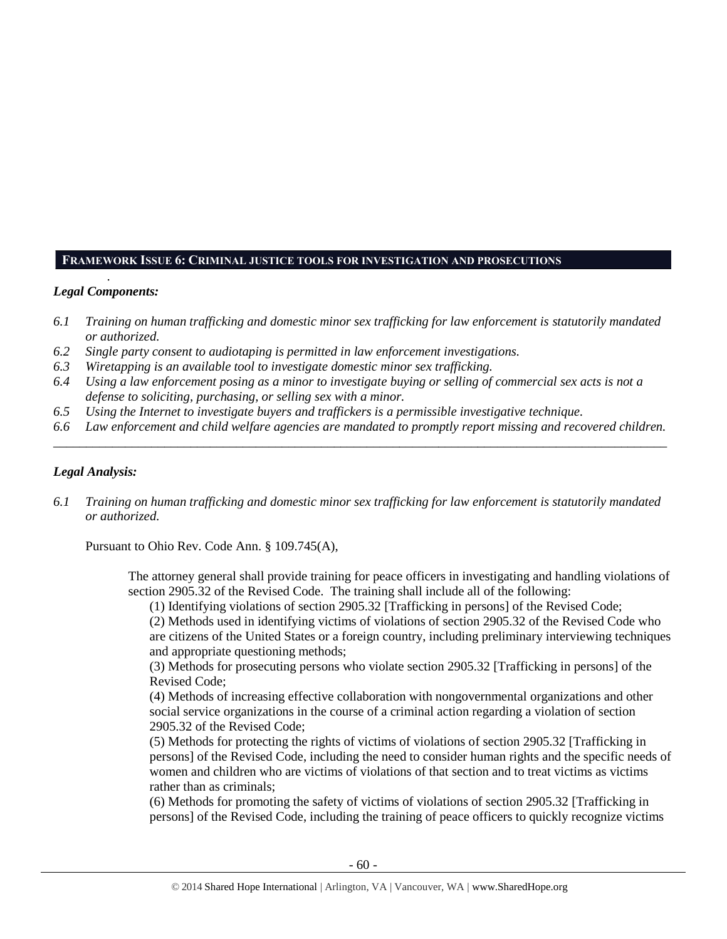## **FRAMEWORK ISSUE 6: CRIMINAL JUSTICE TOOLS FOR INVESTIGATION AND PROSECUTIONS**

## . *Legal Components:*

- *6.1 Training on human trafficking and domestic minor sex trafficking for law enforcement is statutorily mandated or authorized.*
- *6.2 Single party consent to audiotaping is permitted in law enforcement investigations.*
- *6.3 Wiretapping is an available tool to investigate domestic minor sex trafficking.*
- *6.4 Using a law enforcement posing as a minor to investigate buying or selling of commercial sex acts is not a defense to soliciting, purchasing, or selling sex with a minor.*
- *6.5 Using the Internet to investigate buyers and traffickers is a permissible investigative technique.*
- *6.6 Law enforcement and child welfare agencies are mandated to promptly report missing and recovered children. \_\_\_\_\_\_\_\_\_\_\_\_\_\_\_\_\_\_\_\_\_\_\_\_\_\_\_\_\_\_\_\_\_\_\_\_\_\_\_\_\_\_\_\_\_\_\_\_\_\_\_\_\_\_\_\_\_\_\_\_\_\_\_\_\_\_\_\_\_\_\_\_\_\_\_\_\_\_\_\_\_\_\_\_\_\_\_\_\_\_\_\_\_\_*

# *Legal Analysis:*

*6.1 Training on human trafficking and domestic minor sex trafficking for law enforcement is statutorily mandated or authorized.*

Pursuant to Ohio Rev. Code Ann. § 109.745(A),

The attorney general shall provide training for peace officers in investigating and handling violations of section 2905.32 of the Revised Code. The training shall include all of the following:

(1) Identifying violations of section 2905.32 [Trafficking in persons] of the Revised Code;

(2) Methods used in identifying victims of violations of section 2905.32 of the Revised Code who are citizens of the United States or a foreign country, including preliminary interviewing techniques and appropriate questioning methods;

(3) Methods for prosecuting persons who violate section 2905.32 [Trafficking in persons] of the Revised Code;

(4) Methods of increasing effective collaboration with nongovernmental organizations and other social service organizations in the course of a criminal action regarding a violation of section 2905.32 of the Revised Code;

(5) Methods for protecting the rights of victims of violations of section 2905.32 [Trafficking in persons] of the Revised Code, including the need to consider human rights and the specific needs of women and children who are victims of violations of that section and to treat victims as victims rather than as criminals;

(6) Methods for promoting the safety of victims of violations of section 2905.32 [Trafficking in persons] of the Revised Code, including the training of peace officers to quickly recognize victims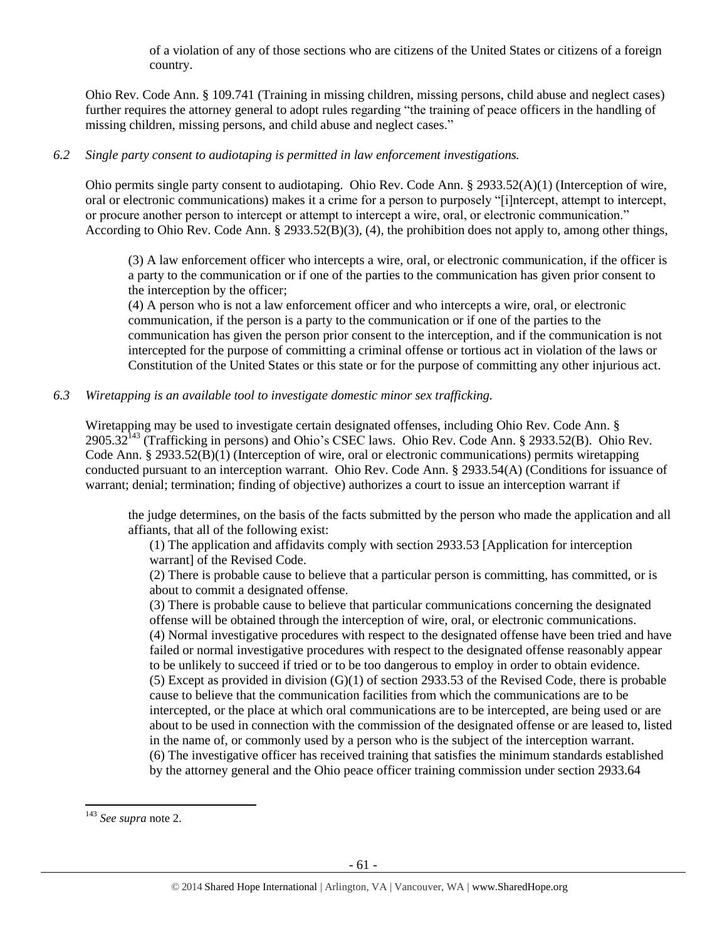of a violation of any of those sections who are citizens of the United States or citizens of a foreign country.

Ohio Rev. Code Ann. § 109.741 (Training in missing children, missing persons, child abuse and neglect cases) further requires the attorney general to adopt rules regarding "the training of peace officers in the handling of missing children, missing persons, and child abuse and neglect cases."

## *6.2 Single party consent to audiotaping is permitted in law enforcement investigations.*

Ohio permits single party consent to audiotaping. Ohio Rev. Code Ann. § 2933.52(A)(1) (Interception of wire, oral or electronic communications) makes it a crime for a person to purposely "[i]ntercept, attempt to intercept, or procure another person to intercept or attempt to intercept a wire, oral, or electronic communication." According to Ohio Rev. Code Ann. § 2933.52(B)(3), (4), the prohibition does not apply to, among other things,

(3) A law enforcement officer who intercepts a wire, oral, or electronic communication, if the officer is a party to the communication or if one of the parties to the communication has given prior consent to the interception by the officer;

(4) A person who is not a law enforcement officer and who intercepts a wire, oral, or electronic communication, if the person is a party to the communication or if one of the parties to the communication has given the person prior consent to the interception, and if the communication is not intercepted for the purpose of committing a criminal offense or tortious act in violation of the laws or Constitution of the United States or this state or for the purpose of committing any other injurious act.

## *6.3 Wiretapping is an available tool to investigate domestic minor sex trafficking.*

Wiretapping may be used to investigate certain designated offenses, including Ohio Rev. Code Ann. §  $2905.32^{143}$  (Trafficking in persons) and Ohio's CSEC laws. Ohio Rev. Code Ann. § 2933.52(B). Ohio Rev. Code Ann. § 2933.52(B)(1) (Interception of wire, oral or electronic communications) permits wiretapping conducted pursuant to an interception warrant. Ohio Rev. Code Ann. § 2933.54(A) (Conditions for issuance of warrant; denial; termination; finding of objective) authorizes a court to issue an interception warrant if

the judge determines, on the basis of the facts submitted by the person who made the application and all affiants, that all of the following exist:

(1) The application and affidavits comply with section 2933.53 [Application for interception warrant] of the Revised Code.

(2) There is probable cause to believe that a particular person is committing, has committed, or is about to commit a designated offense.

(3) There is probable cause to believe that particular communications concerning the designated offense will be obtained through the interception of wire, oral, or electronic communications. (4) Normal investigative procedures with respect to the designated offense have been tried and have failed or normal investigative procedures with respect to the designated offense reasonably appear to be unlikely to succeed if tried or to be too dangerous to employ in order to obtain evidence.  $(5)$  Except as provided in division  $(G)(1)$  of section 2933.53 of the Revised Code, there is probable cause to believe that the communication facilities from which the communications are to be intercepted, or the place at which oral communications are to be intercepted, are being used or are about to be used in connection with the commission of the designated offense or are leased to, listed in the name of, or commonly used by a person who is the subject of the interception warrant. (6) The investigative officer has received training that satisfies the minimum standards established by the attorney general and the Ohio peace officer training commission under section 2933.64

 $\overline{\phantom{a}}$ 

<sup>143</sup> *See supra* note [2.](#page-0-0)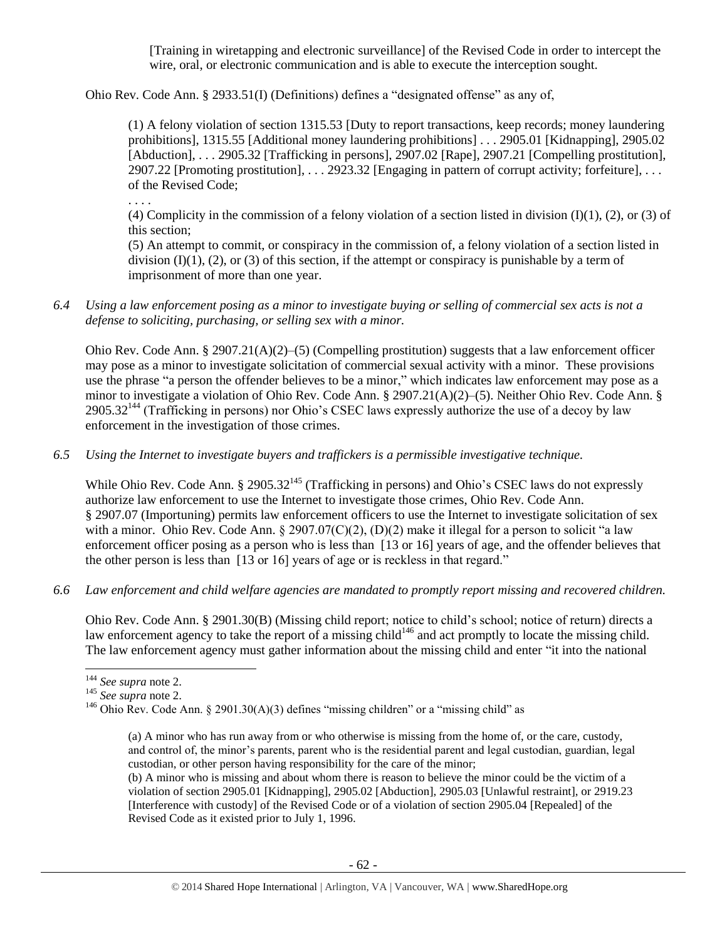[Training in wiretapping and electronic surveillance] of the Revised Code in order to intercept the wire, oral, or electronic communication and is able to execute the interception sought.

Ohio Rev. Code Ann. § 2933.51(I) (Definitions) defines a "designated offense" as any of,

(1) A felony violation of section 1315.53 [Duty to report transactions, keep records; money laundering prohibitions], 1315.55 [Additional money laundering prohibitions] . . . 2905.01 [Kidnapping], 2905.02 [Abduction], ... 2905.32 [Trafficking in persons], 2907.02 [Rape], 2907.21 [Compelling prostitution], 2907.22 [Promoting prostitution], . . . 2923.32 [Engaging in pattern of corrupt activity; forfeiture], . . . of the Revised Code;

. . . .

(4) Complicity in the commission of a felony violation of a section listed in division  $(I)(1)$ ,  $(2)$ , or  $(3)$  of this section;

(5) An attempt to commit, or conspiracy in the commission of, a felony violation of a section listed in division  $(I)(1)$ ,  $(2)$ , or  $(3)$  of this section, if the attempt or conspiracy is punishable by a term of imprisonment of more than one year.

*6.4 Using a law enforcement posing as a minor to investigate buying or selling of commercial sex acts is not a defense to soliciting, purchasing, or selling sex with a minor.*

Ohio Rev. Code Ann. § 2907.21(A)(2)–(5) (Compelling prostitution) suggests that a law enforcement officer may pose as a minor to investigate solicitation of commercial sexual activity with a minor. These provisions use the phrase "a person the offender believes to be a minor," which indicates law enforcement may pose as a minor to investigate a violation of Ohio Rev. Code Ann. § 2907.21(A)(2)–(5). Neither Ohio Rev. Code Ann. §  $2905.32<sup>144</sup>$  (Trafficking in persons) nor Ohio's CSEC laws expressly authorize the use of a decoy by law enforcement in the investigation of those crimes.

*6.5 Using the Internet to investigate buyers and traffickers is a permissible investigative technique.*

While Ohio Rev. Code Ann. § 2905.32<sup>145</sup> (Trafficking in persons) and Ohio's CSEC laws do not expressly authorize law enforcement to use the Internet to investigate those crimes, Ohio Rev. Code Ann. § 2907.07 (Importuning) permits law enforcement officers to use the Internet to investigate solicitation of sex with a minor. Ohio Rev. Code Ann.  $\S 2907.07(C)(2)$ , (D)(2) make it illegal for a person to solicit "a law enforcement officer posing as a person who is less than [13 or 16] years of age, and the offender believes that the other person is less than [13 or 16] years of age or is reckless in that regard."

*6.6 Law enforcement and child welfare agencies are mandated to promptly report missing and recovered children.* 

Ohio Rev. Code Ann. § 2901.30(B) (Missing child report; notice to child's school; notice of return) directs a law enforcement agency to take the report of a missing child<sup>146</sup> and act promptly to locate the missing child. The law enforcement agency must gather information about the missing child and enter "it into the national

 $\overline{\phantom{a}}$ <sup>144</sup> *See supra* note [2.](#page-0-0)

<sup>145</sup> *See supra* note [2.](#page-0-0)

<sup>&</sup>lt;sup>146</sup> Ohio Rev. Code Ann. § 2901.30(A)(3) defines "missing children" or a "missing child" as

<span id="page-61-0"></span><sup>(</sup>a) A minor who has run away from or who otherwise is missing from the home of, or the care, custody, and control of, the minor's parents, parent who is the residential parent and legal custodian, guardian, legal custodian, or other person having responsibility for the care of the minor;

<sup>(</sup>b) A minor who is missing and about whom there is reason to believe the minor could be the victim of a violation of section 2905.01 [Kidnapping], 2905.02 [Abduction], 2905.03 [Unlawful restraint], or 2919.23 [Interference with custody] of the Revised Code or of a violation of section 2905.04 [Repealed] of the Revised Code as it existed prior to July 1, 1996.